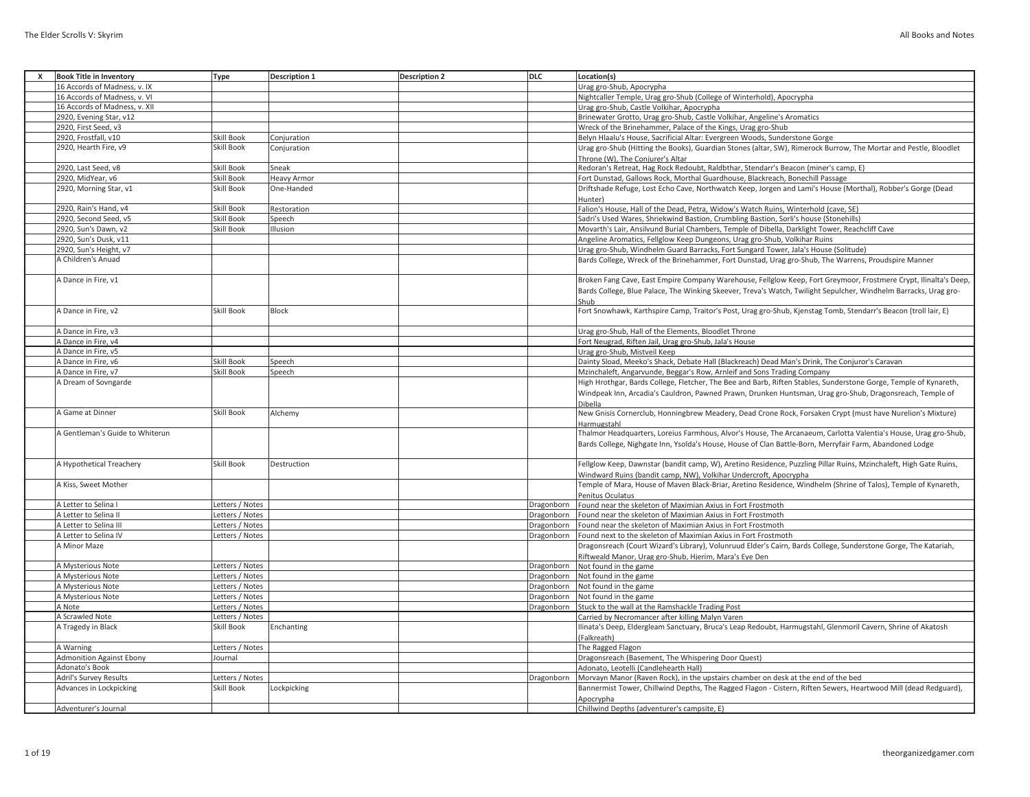| All Books and Notes |  |  |
|---------------------|--|--|
|---------------------|--|--|

| $\mathsf{x}$ | <b>Book Title in Inventory</b>  |                 | <b>Description 1</b> |                      | <b>DLC</b> | Location(s)                                                                                                       |
|--------------|---------------------------------|-----------------|----------------------|----------------------|------------|-------------------------------------------------------------------------------------------------------------------|
|              |                                 | Type            |                      | <b>Description 2</b> |            |                                                                                                                   |
|              | 16 Accords of Madness, v. IX    |                 |                      |                      |            | Urag gro-Shub, Apocrypha                                                                                          |
|              | 16 Accords of Madness, v. VI    |                 |                      |                      |            | Nightcaller Temple, Urag gro-Shub (College of Winterhold), Apocrypha                                              |
|              | 16 Accords of Madness, v. XII   |                 |                      |                      |            | Urag gro-Shub, Castle Volkihar, Apocrypha                                                                         |
|              | 2920, Evening Star, v12         |                 |                      |                      |            | Brinewater Grotto, Urag gro-Shub, Castle Volkihar, Angeline's Aromatics                                           |
|              | 2920, First Seed, v3            |                 |                      |                      |            | Wreck of the Brinehammer, Palace of the Kings, Urag gro-Shub                                                      |
|              | 2920, Frostfall, v10            | Skill Book      | Conjuration          |                      |            | Belyn Hlaalu's House, Sacrificial Altar: Evergreen Woods, Sunderstone Gorge                                       |
|              |                                 |                 |                      |                      |            |                                                                                                                   |
|              | 2920, Hearth Fire, v9           | Skill Book      | Conjuration          |                      |            | Urag gro-Shub (Hitting the Books), Guardian Stones (altar, SW), Rimerock Burrow, The Mortar and Pestle, Bloodlet  |
|              |                                 |                 |                      |                      |            | Throne (W), The Conjurer's Altar                                                                                  |
|              | 2920, Last Seed, v8             | Skill Book      | Sneak                |                      |            | Redoran's Retreat, Hag Rock Redoubt, Raldbthar, Stendarr's Beacon (miner's camp, E)                               |
|              | 2920, MidYear, v6               | Skill Book      | <b>Heavy Armor</b>   |                      |            | Fort Dunstad, Gallows Rock, Morthal Guardhouse, Blackreach, Bonechill Passage                                     |
|              | 2920, Morning Star, v1          | Skill Book      | One-Handed           |                      |            | Driftshade Refuge, Lost Echo Cave, Northwatch Keep, Jorgen and Lami's House (Morthal), Robber's Gorge (Dead       |
|              |                                 |                 |                      |                      |            | Hunter)                                                                                                           |
|              |                                 |                 |                      |                      |            |                                                                                                                   |
|              | 2920, Rain's Hand, v4           | Skill Book      | Restoration          |                      |            | Falion's House, Hall of the Dead, Petra, Widow's Watch Ruins, Winterhold (cave, SE)                               |
|              | 2920, Second Seed, v5           | Skill Book      | Speech               |                      |            | Sadri's Used Wares, Shriekwind Bastion, Crumbling Bastion, Sorli's house (Stonehills)                             |
|              | 2920, Sun's Dawn, v2            | Skill Book      | Illusion             |                      |            | Movarth's Lair, Ansilvund Burial Chambers, Temple of Dibella, Darklight Tower, Reachcliff Cave                    |
|              | 2920, Sun's Dusk, v11           |                 |                      |                      |            | Angeline Aromatics, Fellglow Keep Dungeons, Urag gro-Shub, Volkihar Ruins                                         |
|              | 2920, Sun's Height, v7          |                 |                      |                      |            | Urag gro-Shub, Windhelm Guard Barracks, Fort Sungard Tower, Jala's House (Solitude)                               |
|              | A Children's Anuad              |                 |                      |                      |            | Bards College, Wreck of the Brinehammer, Fort Dunstad, Urag gro-Shub, The Warrens, Proudspire Manner              |
|              |                                 |                 |                      |                      |            |                                                                                                                   |
|              |                                 |                 |                      |                      |            |                                                                                                                   |
|              | A Dance in Fire, v1             |                 |                      |                      |            | Broken Fang Cave, East Empire Company Warehouse, Fellglow Keep, Fort Greymoor, Frostmere Crypt, Ilinalta's Deep,  |
|              |                                 |                 |                      |                      |            | Bards College, Blue Palace, The Winking Skeever, Treva's Watch, Twilight Sepulcher, Windhelm Barracks, Urag gro-  |
|              |                                 |                 |                      |                      |            | Shub                                                                                                              |
|              | A Dance in Fire, v2             | Skill Book      | <b>Block</b>         |                      |            | Fort Snowhawk, Karthspire Camp, Traitor's Post, Urag gro-Shub, Kjenstag Tomb, Stendarr's Beacon (troll lair, E)   |
|              |                                 |                 |                      |                      |            |                                                                                                                   |
|              |                                 |                 |                      |                      |            |                                                                                                                   |
|              | A Dance in Fire, v3             |                 |                      |                      |            | Urag gro-Shub, Hall of the Elements, Bloodlet Throne                                                              |
|              | A Dance in Fire, v4             |                 |                      |                      |            | Fort Neugrad, Riften Jail, Urag gro-Shub, Jala's House                                                            |
|              | A Dance in Fire, v5             |                 |                      |                      |            | Urag gro-Shub, Mistveil Keep                                                                                      |
|              | A Dance in Fire, v6             | Skill Book      | Speech               |                      |            | Dainty Sload, Meeko's Shack, Debate Hall (Blackreach) Dead Man's Drink, The Conjuror's Caravan                    |
|              | A Dance in Fire, v7             | Skill Book      | Speech               |                      |            | Mzinchaleft, Angarvunde, Beggar's Row, Arnleif and Sons Trading Company                                           |
|              |                                 |                 |                      |                      |            |                                                                                                                   |
|              | A Dream of Sovngarde            |                 |                      |                      |            | High Hrothgar, Bards College, Fletcher, The Bee and Barb, Riften Stables, Sunderstone Gorge, Temple of Kynareth,  |
|              |                                 |                 |                      |                      |            | Windpeak Inn, Arcadia's Cauldron, Pawned Prawn, Drunken Huntsman, Urag gro-Shub, Dragonsreach, Temple of          |
|              |                                 |                 |                      |                      |            | Dibella                                                                                                           |
|              | A Game at Dinner                | Skill Book      | Alchemy              |                      |            | New Gnisis Cornerclub, Honningbrew Meadery, Dead Crone Rock, Forsaken Crypt (must have Nurelion's Mixture)        |
|              |                                 |                 |                      |                      |            | Harmugstahl                                                                                                       |
|              | A Gentleman's Guide to Whiterun |                 |                      |                      |            | Thalmor Headquarters, Loreius Farmhous, Alvor's House, The Arcanaeum, Carlotta Valentia's House, Urag gro-Shub,   |
|              |                                 |                 |                      |                      |            |                                                                                                                   |
|              |                                 |                 |                      |                      |            | Bards College, Nighgate Inn, Ysolda's House, House of Clan Battle-Born, Merryfair Farm, Abandoned Lodge           |
|              |                                 |                 |                      |                      |            |                                                                                                                   |
|              | A Hypothetical Treachery        | Skill Book      | Destruction          |                      |            | Fellglow Keep, Dawnstar (bandit camp, W), Aretino Residence, Puzzling Pillar Ruins, Mzinchaleft, High Gate Ruins, |
|              |                                 |                 |                      |                      |            | Windward Ruins (bandit camp, NW), Volkihar Undercroft, Apocrypha                                                  |
|              | A Kiss, Sweet Mother            |                 |                      |                      |            | Temple of Mara, House of Maven Black-Briar, Aretino Residence, Windhelm (Shrine of Talos), Temple of Kynareth,    |
|              |                                 |                 |                      |                      |            | Penitus Oculatus                                                                                                  |
|              |                                 |                 |                      |                      |            |                                                                                                                   |
|              | A Letter to Selina I            | Letters / Notes |                      |                      | Dragonborn | Found near the skeleton of Maximian Axius in Fort Frostmoth                                                       |
|              | A Letter to Selina II           | Letters / Notes |                      |                      | Dragonborn | Found near the skeleton of Maximian Axius in Fort Frostmoth                                                       |
|              | A Letter to Selina III          | Letters / Notes |                      |                      | Dragonborn | Found near the skeleton of Maximian Axius in Fort Frostmoth                                                       |
|              | A Letter to Selina IV           | Letters / Notes |                      |                      | Dragonborn | Found next to the skeleton of Maximian Axius in Fort Frostmoth                                                    |
|              | A Minor Maze                    |                 |                      |                      |            | Dragonsreach (Court Wizard's Library), Volunruud Elder's Cairn, Bards College, Sunderstone Gorge, The Katariah,   |
|              |                                 |                 |                      |                      |            | Riftweald Manor, Urag gro-Shub, Hjerim, Mara's Eye Den                                                            |
|              |                                 |                 |                      |                      |            |                                                                                                                   |
|              | A Mysterious Note               | etters / Notes  |                      |                      | Dragonborn | Not found in the game                                                                                             |
|              | A Mysterious Note               | etters / Notes  |                      |                      | Dragonborn | Not found in the game                                                                                             |
|              | A Mysterious Note               | Letters / Notes |                      |                      | Dragonborn | Not found in the game                                                                                             |
|              | A Mysterious Note               | etters / Notes  |                      |                      | Dragonborn | Not found in the game                                                                                             |
|              | A Note                          | Letters / Notes |                      |                      |            | Dragonborn Stuck to the wall at the Ramshackle Trading Post                                                       |
|              | A Scrawled Note                 | Letters / Notes |                      |                      |            | Carried by Necromancer after killing Malyn Varen                                                                  |
|              |                                 |                 |                      |                      |            |                                                                                                                   |
|              | A Tragedy in Black              | Skill Book      | Enchanting           |                      |            | Ilinata's Deep, Eldergleam Sanctuary, Bruca's Leap Redoubt, Harmugstahl, Glenmoril Cavern, Shrine of Akatosh      |
|              |                                 |                 |                      |                      |            | (Falkreath)                                                                                                       |
|              | A Warning                       | Letters / Notes |                      |                      |            | The Ragged Flagon                                                                                                 |
|              | <b>Admonition Against Ebony</b> | Journal         |                      |                      |            | Dragonsreach (Basement, The Whispering Door Quest)                                                                |
|              | Adonato's Book                  |                 |                      |                      |            | Adonato, Leotelli (Candlehearth Hall)                                                                             |
|              | Adril's Survey Results          | etters / Notes  |                      |                      | Dragonborn | Morvayn Manor (Raven Rock), in the upstairs chamber on desk at the end of the bed                                 |
|              |                                 |                 |                      |                      |            |                                                                                                                   |
|              | Advances in Lockpicking         | Skill Book      | Lockpicking          |                      |            | Bannermist Tower, Chillwind Depths, The Ragged Flagon - Cistern, Riften Sewers, Heartwood Mill (dead Redguard),   |
|              |                                 |                 |                      |                      |            | Apocrypha                                                                                                         |
|              | Adventurer's Journal            |                 |                      |                      |            | Chillwind Depths (adventurer's campsite, E)                                                                       |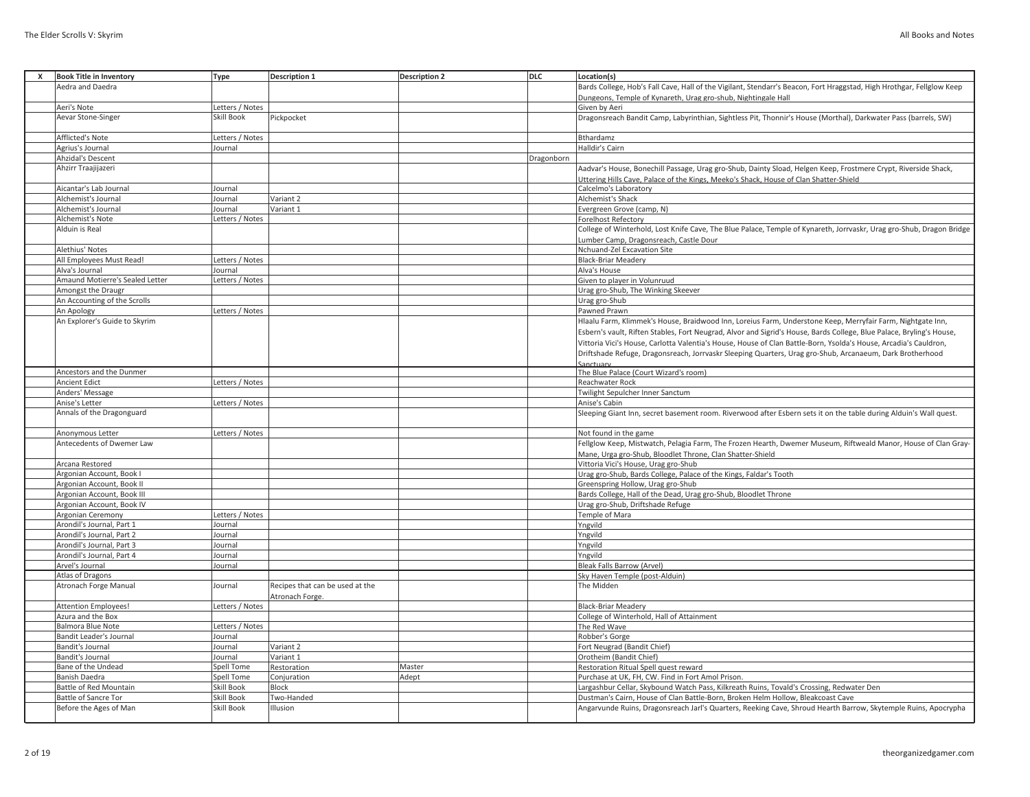| x | <b>Book Title in Inventory</b>                        | Type              | <b>Description 1</b>            | <b>Description 2</b> | DLC        | Location(s)                                                                                                           |
|---|-------------------------------------------------------|-------------------|---------------------------------|----------------------|------------|-----------------------------------------------------------------------------------------------------------------------|
|   | Aedra and Daedra                                      |                   |                                 |                      |            | Bards College, Hob's Fall Cave, Hall of the Vigilant, Stendarr's Beacon, Fort Hraggstad, High Hrothgar, Fellglow Keep |
|   |                                                       |                   |                                 |                      |            | Dungeons, Temple of Kynareth, Urag gro-shub, Nightingale Hall                                                         |
|   | Aeri's Note                                           | Letters / Notes   |                                 |                      |            | Given by Aeri                                                                                                         |
|   | Aevar Stone-Singer                                    | Skill Book        | Pickpocket                      |                      |            | Dragonsreach Bandit Camp, Labyrinthian, Sightless Pit, Thonnir's House (Morthal), Darkwater Pass (barrels, SW)        |
|   | <b>Afflicted's Note</b>                               | Letters / Notes   |                                 |                      |            | Bthardamz                                                                                                             |
|   | Agrius's Journal                                      | Journal           |                                 |                      |            | Halldir's Cairn                                                                                                       |
|   | <b>Ahzidal's Descent</b>                              |                   |                                 |                      | Dragonborn |                                                                                                                       |
|   | Ahzirr Traajijazeri                                   |                   |                                 |                      |            | Aadvar's House, Bonechill Passage, Urag gro-Shub, Dainty Sload, Helgen Keep, Frostmere Crypt, Riverside Shack,        |
|   |                                                       |                   |                                 |                      |            | Uttering Hills Cave, Palace of the Kings, Meeko's Shack, House of Clan Shatter-Shield                                 |
|   | Aicantar's Lab Journal                                | Journal           |                                 |                      |            | Calcelmo's Laboratory                                                                                                 |
|   | Alchemist's Journal                                   | Journal           | Variant 2                       |                      |            | Alchemist's Shack                                                                                                     |
|   | Alchemist's Journal                                   | Journal           | Variant 1                       |                      |            | Evergreen Grove (camp, N)                                                                                             |
|   | Alchemist's Note                                      | Letters / Notes   |                                 |                      |            | <b>Forelhost Refectory</b>                                                                                            |
|   | Alduin is Real                                        |                   |                                 |                      |            | College of Winterhold, Lost Knife Cave, The Blue Palace, Temple of Kynareth, Jorrvaskr, Urag gro-Shub, Dragon Bridge  |
|   |                                                       |                   |                                 |                      |            | Lumber Camp, Dragonsreach, Castle Dour                                                                                |
|   | Alethius' Notes                                       |                   |                                 |                      |            | Nchuand-Zel Excavation Site                                                                                           |
|   | All Employees Must Read!                              | Letters / Notes   |                                 |                      |            | <b>Black-Briar Meadery</b>                                                                                            |
|   | Alva's Journal                                        | Journal           |                                 |                      |            | Alva's House                                                                                                          |
|   | Amaund Motierre's Sealed Letter<br>Amongst the Draugr | Letters / Notes   |                                 |                      |            | Given to player in Volunruud<br>Urag gro-Shub, The Winking Skeever                                                    |
|   | An Accounting of the Scrolls                          |                   |                                 |                      |            | Urag gro-Shub                                                                                                         |
|   | An Apology                                            | Letters / Notes   |                                 |                      |            | Pawned Prawn                                                                                                          |
|   | An Explorer's Guide to Skyrim                         |                   |                                 |                      |            | Hlaalu Farm, Klimmek's House, Braidwood Inn, Loreius Farm, Understone Keep, Merryfair Farm, Nightgate Inn,            |
|   |                                                       |                   |                                 |                      |            | Esbern's vault, Riften Stables, Fort Neugrad, Alvor and Sigrid's House, Bards College, Blue Palace, Bryling's House,  |
|   |                                                       |                   |                                 |                      |            |                                                                                                                       |
|   |                                                       |                   |                                 |                      |            | Vittoria Vici's House, Carlotta Valentia's House, House of Clan Battle-Born, Ysolda's House, Arcadia's Cauldron,      |
|   |                                                       |                   |                                 |                      |            | Driftshade Refuge, Dragonsreach, Jorrvaskr Sleeping Quarters, Urag gro-Shub, Arcanaeum, Dark Brotherhood<br>Sanctuary |
|   | Ancestors and the Dunmer                              |                   |                                 |                      |            | The Blue Palace (Court Wizard's room)                                                                                 |
|   | <b>Ancient Edict</b>                                  | Letters / Notes   |                                 |                      |            | Reachwater Rock                                                                                                       |
|   | Anders' Message                                       |                   |                                 |                      |            | Twilight Sepulcher Inner Sanctum                                                                                      |
|   | Anise's Letter                                        | Letters / Notes   |                                 |                      |            | Anise's Cabin                                                                                                         |
|   | Annals of the Dragonguard                             |                   |                                 |                      |            | Sleeping Giant Inn, secret basement room. Riverwood after Esbern sets it on the table during Alduin's Wall quest.     |
|   | Anonymous Letter                                      | Letters / Notes   |                                 |                      |            | Not found in the game                                                                                                 |
|   | Antecedents of Dwemer Law                             |                   |                                 |                      |            | Fellglow Keep, Mistwatch, Pelagia Farm, The Frozen Hearth, Dwemer Museum, Riftweald Manor, House of Clan Gray-        |
|   |                                                       |                   |                                 |                      |            | Mane, Urga gro-Shub, Bloodlet Throne, Clan Shatter-Shield                                                             |
|   | Arcana Restored                                       |                   |                                 |                      |            | Vittoria Vici's House, Urag gro-Shub                                                                                  |
|   | Argonian Account, Book I                              |                   |                                 |                      |            | Urag gro-Shub, Bards College, Palace of the Kings, Faldar's Tooth                                                     |
|   | Argonian Account, Book II                             |                   |                                 |                      |            | Greenspring Hollow, Urag gro-Shub                                                                                     |
|   | Argonian Account, Book III                            |                   |                                 |                      |            | Bards College, Hall of the Dead, Urag gro-Shub, Bloodlet Throne                                                       |
|   | Argonian Account, Book IV                             |                   |                                 |                      |            | Urag gro-Shub, Driftshade Refuge                                                                                      |
|   | Argonian Ceremony                                     | Letters / Notes   |                                 |                      |            | Temple of Mara                                                                                                        |
|   | Arondil's Journal, Part 1                             | Journal           |                                 |                      |            | Yngvild                                                                                                               |
|   | Arondil's Journal, Part 2                             | Journal           |                                 |                      |            | Yngvild                                                                                                               |
|   | Arondil's Journal, Part 3                             | Journal           |                                 |                      |            | Yngvild                                                                                                               |
|   | Arondil's Journal, Part 4                             | Journal           |                                 |                      |            | Yngvild                                                                                                               |
|   | Arvel's Journal                                       | Journal           |                                 |                      |            | <b>Bleak Falls Barrow (Arvel)</b>                                                                                     |
|   | Atlas of Dragons                                      |                   |                                 |                      |            | Sky Haven Temple (post-Alduin)                                                                                        |
|   | <b>Atronach Forge Manual</b>                          | Journal           | Recipes that can be used at the |                      |            | The Midden                                                                                                            |
|   | <b>Attention Employees!</b>                           | Letters / Notes   | Atronach Forge                  |                      |            | <b>Black-Briar Meadery</b>                                                                                            |
|   | Azura and the Box                                     |                   |                                 |                      |            | College of Winterhold, Hall of Attainment                                                                             |
|   | <b>Balmora Blue Note</b>                              | Letters / Notes   |                                 |                      |            | The Red Wave                                                                                                          |
|   | Bandit Leader's Journal                               | Journal           |                                 |                      |            | Robber's Gorge                                                                                                        |
|   | <b>Bandit's Journal</b>                               | Journal           | Variant 2                       |                      |            | Fort Neugrad (Bandit Chief)                                                                                           |
|   | <b>Bandit's Journal</b>                               | Journal           | Variant 1                       |                      |            | Orotheim (Bandit Chief)                                                                                               |
|   | Bane of the Undead                                    | <b>Spell Tome</b> | Restoration                     | Master               |            | Restoration Ritual Spell quest reward                                                                                 |
|   | Banish Daedra                                         | Spell Tome        | Conjuration                     | Adept                |            | Purchase at UK, FH, CW. Find in Fort Amol Prison.                                                                     |
|   | <b>Battle of Red Mountain</b>                         | Skill Book        | <b>Block</b>                    |                      |            | Largashbur Cellar, Skybound Watch Pass, Kilkreath Ruins, Tovald's Crossing, Redwater Den                              |
|   | <b>Battle of Sancre Tor</b>                           | Skill Book        | Two-Handed                      |                      |            | Dustman's Cairn, House of Clan Battle-Born, Broken Helm Hollow, Bleakcoast Cave                                       |
|   | Before the Ages of Man                                | Skill Book        | Illusion                        |                      |            | Angarvunde Ruins, Dragonsreach Jarl's Quarters, Reeking Cave, Shroud Hearth Barrow, Skytemple Ruins, Apocrypha        |
|   |                                                       |                   |                                 |                      |            |                                                                                                                       |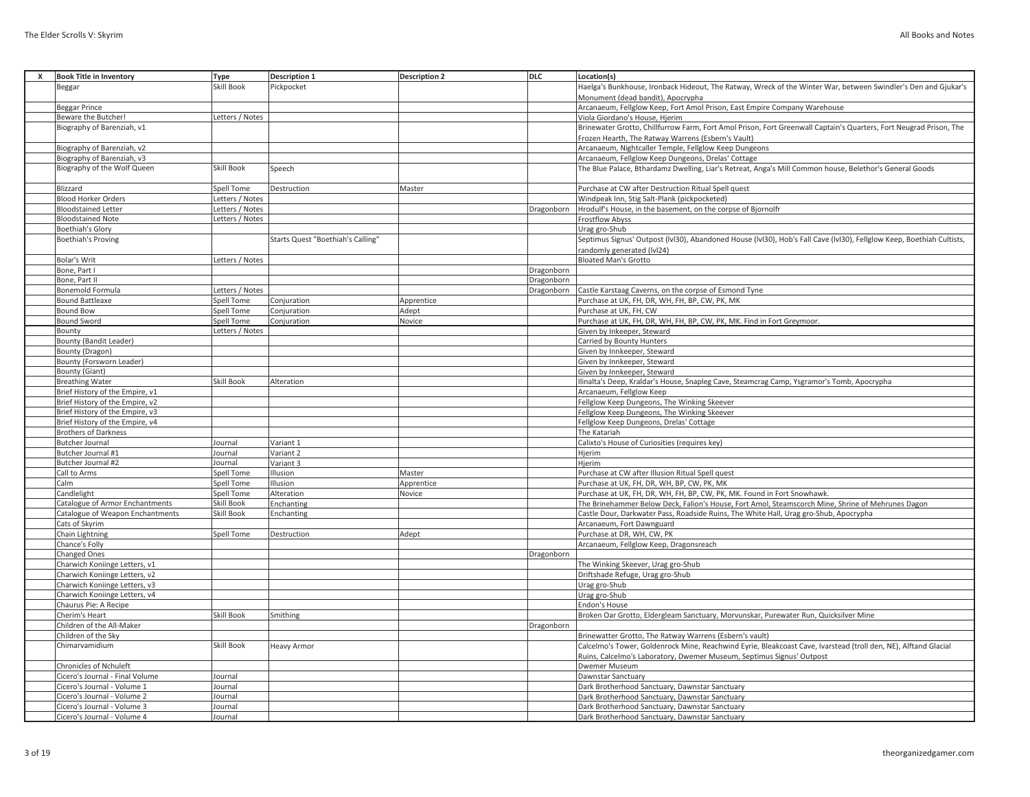| <b>Book Title in Inventory</b>                                     | Type              | <b>Description 1</b>              | <b>Description 2</b> | <b>DLC</b> | Location(s)                                                                                                           |
|--------------------------------------------------------------------|-------------------|-----------------------------------|----------------------|------------|-----------------------------------------------------------------------------------------------------------------------|
| Beggar                                                             | Skill Book        | Pickpocket                        |                      |            | Haelga's Bunkhouse, Ironback Hideout, The Ratway, Wreck of the Winter War, between Swindler's Den and Gjukar's        |
|                                                                    |                   |                                   |                      |            | Monument (dead bandit), Apocrypha                                                                                     |
| <b>Beggar Prince</b>                                               |                   |                                   |                      |            | Arcanaeum, Fellglow Keep, Fort Amol Prison, East Empire Company Warehouse                                             |
| Beware the Butcher!                                                | Letters / Notes   |                                   |                      |            | Viola Giordano's House, Hjerim                                                                                        |
| Biography of Barenziah, v1                                         |                   |                                   |                      |            | Brinewater Grotto, Chillfurrow Farm, Fort Amol Prison, Fort Greenwall Captain's Quarters, Fort Neugrad Prison, The    |
|                                                                    |                   |                                   |                      |            | Frozen Hearth, The Ratway Warrens (Esbern's Vault)                                                                    |
| Biography of Barenziah, v2                                         |                   |                                   |                      |            | Arcanaeum, Nightcaller Temple, Fellglow Keep Dungeons                                                                 |
| Biography of Barenziah, v3                                         |                   |                                   |                      |            | Arcanaeum, Fellglow Keep Dungeons, Drelas' Cottage                                                                    |
| Biography of the Wolf Queen                                        | Skill Book        | Speech                            |                      |            | The Blue Palace, Bthardamz Dwelling, Liar's Retreat, Anga's Mill Common house, Belethor's General Goods               |
|                                                                    |                   |                                   |                      |            |                                                                                                                       |
| Blizzard                                                           | Spell Tome        | Destruction                       | Master               |            | Purchase at CW after Destruction Ritual Spell quest                                                                   |
| <b>Blood Horker Orders</b>                                         | Letters / Notes   |                                   |                      |            | Windpeak Inn, Stig Salt-Plank (pickpocketed)                                                                          |
| <b>Bloodstained Letter</b>                                         | Letters / Notes   |                                   |                      | Dragonborn | Hrodulf's House, in the basement, on the corpse of Bjornolfr                                                          |
| <b>Bloodstained Note</b>                                           | Letters / Notes   |                                   |                      |            | <b>Frostflow Abyss</b>                                                                                                |
| Boethiah's Glory                                                   |                   |                                   |                      |            | Urag gro-Shub                                                                                                         |
| Boethiah's Proving                                                 |                   | Starts Quest "Boethiah's Calling" |                      |            | Septimus Signus' Outpost (IvI30), Abandoned House (IvI30), Hob's Fall Cave (IvI30), Fellglow Keep, Boethiah Cultists, |
|                                                                    |                   |                                   |                      |            | randomly generated (IvI24)                                                                                            |
| Bolar's Writ                                                       | Letters / Notes   |                                   |                      |            | <b>Bloated Man's Grotto</b>                                                                                           |
| Bone, Part I                                                       |                   |                                   |                      | Dragonborn |                                                                                                                       |
| Bone, Part II                                                      |                   |                                   |                      | Dragonborn |                                                                                                                       |
| Bonemold Formula                                                   | Letters / Notes   |                                   |                      | Dragonborn | Castle Karstaag Caverns, on the corpse of Esmond Tyne                                                                 |
| <b>Bound Battleaxe</b>                                             | Spell Tome        | Conjuration                       | Apprentice           |            | Purchase at UK, FH, DR, WH, FH, BP, CW, PK, MK                                                                        |
| <b>Bound Bow</b>                                                   | Spell Tome        | Conjuration                       | Adept                |            | Purchase at UK, FH, CW                                                                                                |
| <b>Bound Sword</b>                                                 | <b>Spell Tome</b> | Conjuration                       | Novice               |            | Purchase at UK, FH, DR, WH, FH, BP, CW, PK, MK. Find in Fort Greymoor.                                                |
| Bounty                                                             | Letters / Notes   |                                   |                      |            | Given by Inkeeper, Steward                                                                                            |
| <b>Bounty (Bandit Leader)</b>                                      |                   |                                   |                      |            | Carried by Bounty Hunters                                                                                             |
| Bounty (Dragon)                                                    |                   |                                   |                      |            | Given by Innkeeper, Steward                                                                                           |
| Bounty (Forsworn Leader)                                           |                   |                                   |                      |            | Given by Innkeeper, Steward                                                                                           |
| Bounty (Giant)                                                     | Skill Book        | Alteration                        |                      |            | Given by Innkeeper, Steward                                                                                           |
| <b>Breathing Water</b>                                             |                   |                                   |                      |            | Ilinalta's Deep, Kraldar's House, Snapleg Cave, Steamcrag Camp, Ysgramor's Tomb, Apocrypha                            |
| Brief History of the Empire, v1                                    |                   |                                   |                      |            | Arcanaeum, Fellglow Keep                                                                                              |
| Brief History of the Empire, v2<br>Brief History of the Empire, v3 |                   |                                   |                      |            | Fellglow Keep Dungeons, The Winking Skeever<br>Fellglow Keep Dungeons, The Winking Skeever                            |
| Brief History of the Empire, v4                                    |                   |                                   |                      |            | Fellglow Keep Dungeons, Drelas' Cottage                                                                               |
| <b>Brothers of Darkness</b>                                        |                   |                                   |                      |            | The Katariah                                                                                                          |
| <b>Butcher Journal</b>                                             | Journal           | Variant 1                         |                      |            | Calixto's House of Curiosities (requires key)                                                                         |
| Butcher Journal #1                                                 | Journal           | Variant 2                         |                      |            | Hjerim                                                                                                                |
| Butcher Journal #2                                                 | Journal           | Variant 3                         |                      |            | Hjerim                                                                                                                |
| Call to Arms                                                       | Spell Tome        | Illusion                          | Master               |            | Purchase at CW after Illusion Ritual Spell quest                                                                      |
| Calm                                                               | Spell Tome        | Illusion                          | Apprentice           |            | Purchase at UK, FH, DR, WH, BP, CW, PK, MK                                                                            |
| Candlelight                                                        | Spell Tome        | Alteration                        | Novice               |            | Purchase at UK, FH, DR, WH, FH, BP, CW, PK, MK. Found in Fort Snowhawk.                                               |
| Catalogue of Armor Enchantments                                    | Skill Book        | Enchanting                        |                      |            | The Brinehammer Below Deck, Falion's House, Fort Amol, Steamscorch Mine, Shrine of Mehrunes Dagon                     |
| Catalogue of Weapon Enchantments                                   | Skill Book        | Enchanting                        |                      |            | Castle Dour, Darkwater Pass, Roadside Ruins, The White Hall, Urag gro-Shub, Apocrypha                                 |
| Cats of Skyrim                                                     |                   |                                   |                      |            | Arcanaeum, Fort Dawnguard                                                                                             |
| Chain Lightning                                                    | Spell Tome        | Destruction                       | Adept                |            | Purchase at DR, WH, CW, PK                                                                                            |
| Chance's Folly                                                     |                   |                                   |                      |            | Arcanaeum, Fellglow Keep, Dragonsreach                                                                                |
| Changed Ones                                                       |                   |                                   |                      | Dragonborn |                                                                                                                       |
| Charwich Koniinge Letters, v1                                      |                   |                                   |                      |            | The Winking Skeever, Urag gro-Shub                                                                                    |
| Charwich Koniinge Letters, v2                                      |                   |                                   |                      |            | Driftshade Refuge, Urag gro-Shub                                                                                      |
| Charwich Koniinge Letters, v3                                      |                   |                                   |                      |            | Urag gro-Shub                                                                                                         |
| Charwich Koniinge Letters, v4                                      |                   |                                   |                      |            | Urag gro-Shub                                                                                                         |
| Chaurus Pie: A Recipe                                              |                   |                                   |                      |            | <b>Endon's House</b>                                                                                                  |
| Cherim's Heart                                                     | Skill Book        | Smithing                          |                      |            | Broken Oar Grotto, Eldergleam Sanctuary, Morvunskar, Purewater Run, Quicksilver Mine                                  |
| Children of the All-Maker                                          |                   |                                   |                      | Dragonborn |                                                                                                                       |
| Children of the Sky                                                |                   |                                   |                      |            | Brinewatter Grotto, The Ratway Warrens (Esbern's vault)                                                               |
| Chimarvamidium                                                     | Skill Book        | Heavy Armor                       |                      |            | Calcelmo's Tower, Goldenrock Mine, Reachwind Eyrie, Bleakcoast Cave, Ivarstead (troll den, NE), Alftand Glacial       |
|                                                                    |                   |                                   |                      |            | Ruins, Calcelmo's Laboratory, Dwemer Museum, Septimus Signus' Outpost                                                 |
| Chronicles of Nchuleft                                             |                   |                                   |                      |            | Dwemer Museum                                                                                                         |
| Cicero's Journal - Final Volume                                    | Journal           |                                   |                      |            | Dawnstar Sanctuary                                                                                                    |
| Cicero's Journal - Volume 1                                        | Journal           |                                   |                      |            | Dark Brotherhood Sanctuary, Dawnstar Sanctuary                                                                        |
| Cicero's Journal - Volume 2                                        | Journal           |                                   |                      |            | Dark Brotherhood Sanctuary, Dawnstar Sanctuary                                                                        |
| Cicero's Journal - Volume 3                                        | Journal           |                                   |                      |            | Dark Brotherhood Sanctuary, Dawnstar Sanctuary                                                                        |
| Cicero's Journal - Volume 4                                        | Journal           |                                   |                      |            | Dark Brotherhood Sanctuary, Dawnstar Sanctuary                                                                        |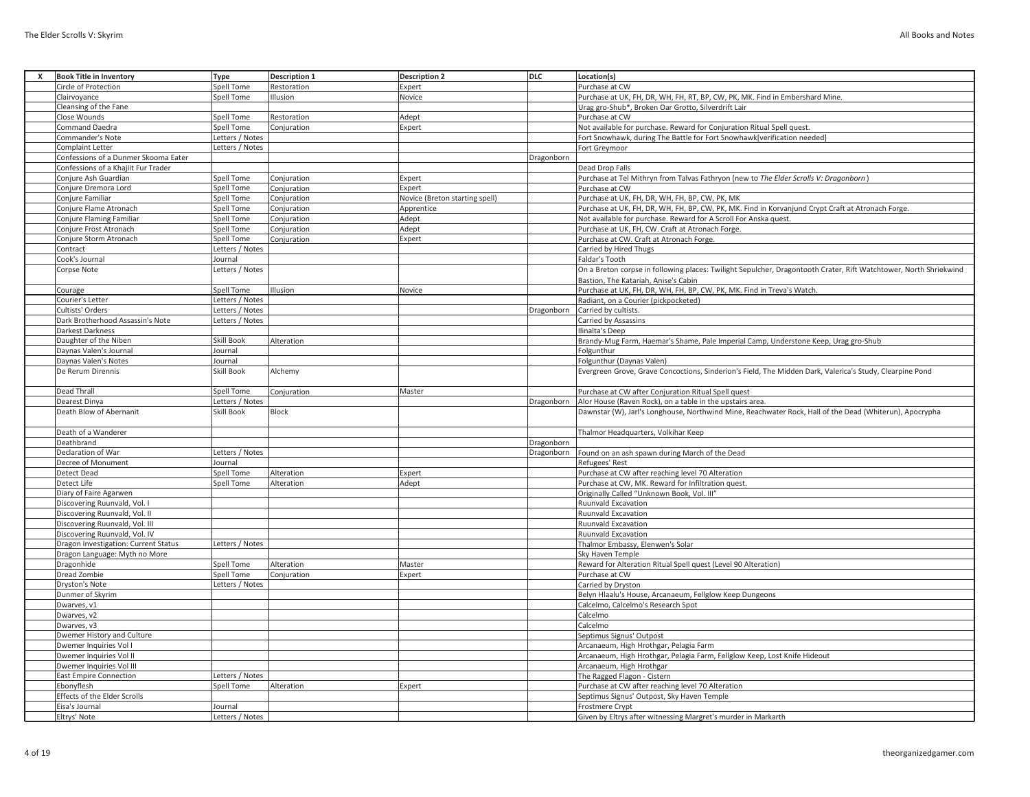| <b>Book Title in Inventory</b>       | Type              | <b>Description 1</b> | <b>Description 2</b>           | <b>DLC</b> | Location(s)                                                                                                       |
|--------------------------------------|-------------------|----------------------|--------------------------------|------------|-------------------------------------------------------------------------------------------------------------------|
| Circle of Protection                 | Spell Tome        | Restoration          | Expert                         |            | Purchase at CW                                                                                                    |
| Clairvoyance                         | <b>Spell Tome</b> | Illusion             | Novice                         |            | Purchase at UK, FH, DR, WH, FH, RT, BP, CW, PK, MK. Find in Embershard Mine.                                      |
| Cleansing of the Fane                |                   |                      |                                |            | Urag gro-Shub*, Broken Oar Grotto, Silverdrift Lair                                                               |
| Close Wounds                         | <b>Spell Tome</b> | Restoration          | Adept                          |            | Purchase at CW                                                                                                    |
| <b>Command Daedra</b>                | Spell Tome        | Conjuration          | Expert                         |            | Not available for purchase. Reward for Conjuration Ritual Spell quest.                                            |
| Commander's Note                     | Letters / Notes   |                      |                                |            | Fort Snowhawk, during The Battle for Fort Snowhawk[verification needed]                                           |
| Complaint Letter                     | Letters / Notes   |                      |                                |            |                                                                                                                   |
|                                      |                   |                      |                                |            | Fort Greymoor                                                                                                     |
| Confessions of a Dunmer Skooma Eater |                   |                      |                                | Dragonborn |                                                                                                                   |
| Confessions of a Khajiit Fur Trader  |                   |                      |                                |            | Dead Drop Falls                                                                                                   |
| Conjure Ash Guardian                 | <b>Spell Tome</b> | Conjuration          | Expert                         |            | Purchase at Tel Mithryn from Talvas Fathryon (new to The Elder Scrolls V: Dragonborn)                             |
| Conjure Dremora Lord                 | Spell Tome        | Conjuration          | Expert                         |            | Purchase at CW                                                                                                    |
| Conjure Familiar                     | <b>Spell Tome</b> | Conjuration          | Novice (Breton starting spell) |            | Purchase at UK, FH, DR, WH, FH, BP, CW, PK, MK                                                                    |
| Conjure Flame Atronach               | Spell Tome        | Conjuration          | Apprentice                     |            | Purchase at UK, FH, DR, WH, FH, BP, CW, PK, MK. Find in Korvanjund Crypt Craft at Atronach Forge.                 |
| <b>Conjure Flaming Familiar</b>      | <b>Spell Tome</b> | Conjuration          | Adept                          |            | Not available for purchase. Reward for A Scroll For Anska quest.                                                  |
| Conjure Frost Atronach               | <b>Spell Tome</b> | Conjuration          | Adept                          |            | Purchase at UK, FH, CW. Craft at Atronach Forge.                                                                  |
| Conjure Storm Atronach               | Spell Tome        | Conjuration          | Expert                         |            | Purchase at CW. Craft at Atronach Forge.                                                                          |
| Contract                             | Letters / Notes   |                      |                                |            | Carried by Hired Thugs                                                                                            |
| Cook's Journal                       | Journal           |                      |                                |            | Faldar's Tooth                                                                                                    |
| Corpse Note                          | Letters / Notes   |                      |                                |            | On a Breton corpse in following places: Twilight Sepulcher, Dragontooth Crater, Rift Watchtower, North Shriekwind |
|                                      |                   |                      |                                |            | Bastion, The Katariah, Anise's Cabin                                                                              |
| Courage                              | <b>Spell Tome</b> | Illusion             | Novice                         |            | Purchase at UK, FH, DR, WH, FH, BP, CW, PK, MK. Find in Treva's Watch.                                            |
| Courier's Letter                     | Letters / Notes   |                      |                                |            | Radiant, on a Courier (pickpocketed)                                                                              |
| Cultists' Orders                     | Letters / Notes   |                      |                                | Dragonborn | Carried by cultists.                                                                                              |
|                                      | Letters / Notes   |                      |                                |            |                                                                                                                   |
| Dark Brotherhood Assassin's Note     |                   |                      |                                |            | Carried by Assassins                                                                                              |
| Darkest Darkness                     |                   |                      |                                |            | Ilinalta's Deep                                                                                                   |
| Daughter of the Niben                | Skill Book        | Alteration           |                                |            | Brandy-Mug Farm, Haemar's Shame, Pale Imperial Camp, Understone Keep, Urag gro-Shub                               |
| Daynas Valen's Journal               | Journal           |                      |                                |            | Folgunthur                                                                                                        |
| Daynas Valen's Notes                 | Journal           |                      |                                |            | Folgunthur (Daynas Valen)                                                                                         |
| De Rerum Dirennis                    | Skill Book        | Alchemy              |                                |            | Evergreen Grove, Grave Concoctions, Sinderion's Field, The Midden Dark, Valerica's Study, Clearpine Pond          |
| Dead Thrall                          | Spell Tome        | Conjuration          | Master                         |            | Purchase at CW after Conjuration Ritual Spell quest                                                               |
| Dearest Dinya                        | Letters / Notes   |                      |                                | Dragonborn | Alor House (Raven Rock), on a table in the upstairs area.                                                         |
| Death Blow of Abernanit              | Skill Book        | Block                |                                |            | Dawnstar (W), Jarl's Longhouse, Northwind Mine, Reachwater Rock, Hall of the Dead (Whiterun), Apocrypha           |
| Death of a Wanderer                  |                   |                      |                                |            | Thalmor Headquarters, Volkihar Keep                                                                               |
| Deathbrand                           |                   |                      |                                | Dragonborn |                                                                                                                   |
| Declaration of War                   | Letters / Notes   |                      |                                | Dragonborn |                                                                                                                   |
|                                      |                   |                      |                                |            | Found on an ash spawn during March of the Dead                                                                    |
| Decree of Monument                   | Journal           |                      |                                |            | Refugees' Rest                                                                                                    |
| Detect Dead                          | <b>Spell Tome</b> | Alteration           | Expert                         |            | Purchase at CW after reaching level 70 Alteration                                                                 |
| Detect Life                          | <b>Spell Tome</b> | Alteration           | Adept                          |            | Purchase at CW, MK. Reward for Infiltration quest.                                                                |
| Diary of Faire Agarwen               |                   |                      |                                |            | Originally Called "Unknown Book, Vol. III"                                                                        |
| Discovering Ruunvald, Vol. I         |                   |                      |                                |            | Ruunvald Excavation                                                                                               |
| Discovering Ruunvald, Vol. II        |                   |                      |                                |            | Ruunvald Excavation                                                                                               |
| Discovering Ruunvald, Vol. III       |                   |                      |                                |            | Ruunvald Excavation                                                                                               |
| Discovering Ruunvald, Vol. IV        |                   |                      |                                |            | Ruunvald Excavation                                                                                               |
| Dragon Investigation: Current Status | Letters / Notes   |                      |                                |            | Thalmor Embassy, Elenwen's Solar                                                                                  |
| Dragon Language: Myth no More        |                   |                      |                                |            | <b>Sky Haven Temple</b>                                                                                           |
| Dragonhide                           | Spell Tome        | Alteration           | Master                         |            | Reward for Alteration Ritual Spell quest (Level 90 Alteration)                                                    |
| Dread Zombie                         | Spell Tome        | Conjuration          | Expert                         |            | Purchase at CW                                                                                                    |
| Dryston's Note                       | Letters / Notes   |                      |                                |            | Carried by Dryston                                                                                                |
| Dunmer of Skyrim                     |                   |                      |                                |            | Belyn Hlaalu's House, Arcanaeum, Fellglow Keep Dungeons                                                           |
| Dwarves, v1                          |                   |                      |                                |            | Calcelmo, Calcelmo's Research Spot                                                                                |
| Dwarves, v2                          |                   |                      |                                |            | Calcelmo                                                                                                          |
| Dwarves, v3                          |                   |                      |                                |            | Calcelmo                                                                                                          |
| Dwemer History and Culture           |                   |                      |                                |            | Septimus Signus' Outpost                                                                                          |
| Dwemer Inquiries Vol I               |                   |                      |                                |            | Arcanaeum, High Hrothgar, Pelagia Farm                                                                            |
| Dwemer Inquiries Vol II              |                   |                      |                                |            | Arcanaeum, High Hrothgar, Pelagia Farm, Fellglow Keep, Lost Knife Hideout                                         |
| Dwemer Inquiries Vol III             |                   |                      |                                |            | Arcanaeum, High Hrothgar                                                                                          |
| <b>East Empire Connection</b>        | Letters / Notes   |                      |                                |            | The Ragged Flagon - Cistern                                                                                       |
| Ebonyflesh                           | Spell Tome        | Alteration           | Expert                         |            | Purchase at CW after reaching level 70 Alteration                                                                 |
| Effects of the Elder Scrolls         |                   |                      |                                |            | Septimus Signus' Outpost, Sky Haven Temple                                                                        |
| Eisa's Journal                       | Journal           |                      |                                |            | Frostmere Crypt                                                                                                   |
| Eltrys' Note                         | Letters / Notes   |                      |                                |            | Given by Eltrys after witnessing Margret's murder in Markarth                                                     |
|                                      |                   |                      |                                |            |                                                                                                                   |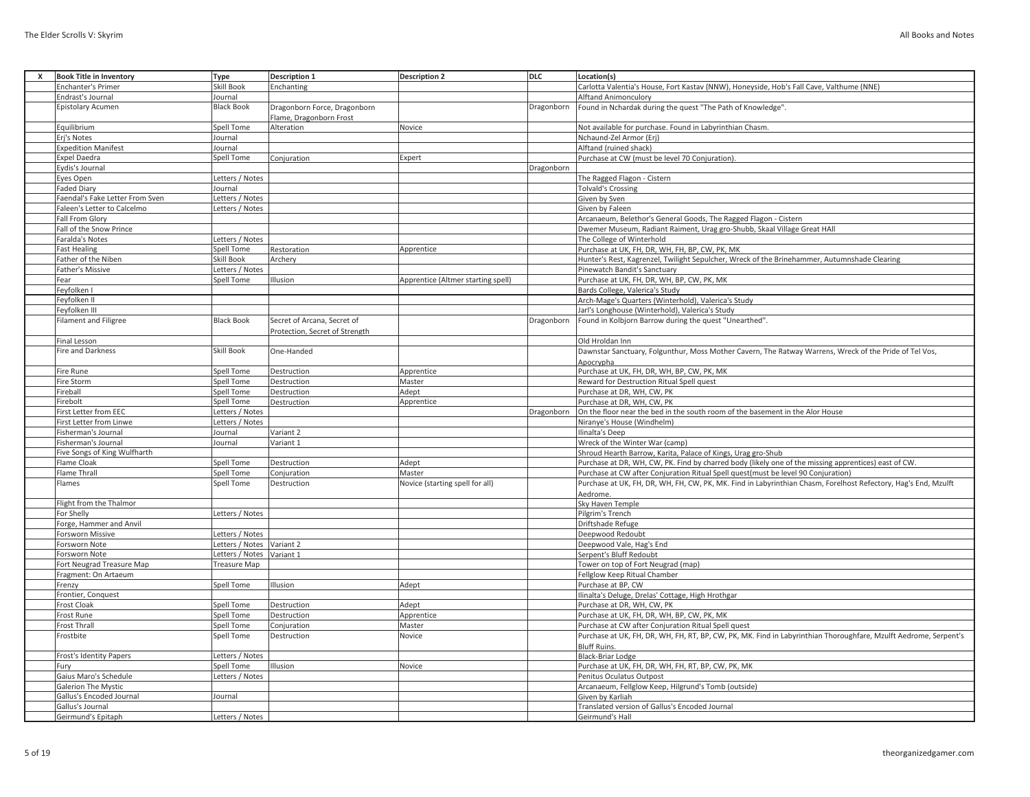| х | <b>Book Title in Inventory</b>  | Type                      | <b>Description 1</b>           | <b>Description 2</b>               | DLC        | Location(s)                                                                                                      |
|---|---------------------------------|---------------------------|--------------------------------|------------------------------------|------------|------------------------------------------------------------------------------------------------------------------|
|   | Enchanter's Primer              | Skill Book                | Enchanting                     |                                    |            | Carlotta Valentia's House, Fort Kastav (NNW), Honeyside, Hob's Fall Cave, Valthume (NNE)                         |
|   | Endrast's Journal               | Journal                   |                                |                                    |            | <b>Alftand Animonculory</b>                                                                                      |
|   | <b>Epistolary Acumen</b>        | <b>Black Book</b>         | Dragonborn Force, Dragonborn   |                                    | Dragonborn | Found in Nchardak during the quest "The Path of Knowledge".                                                      |
|   |                                 |                           | Flame, Dragonborn Frost        |                                    |            |                                                                                                                  |
|   | Equilibrium                     | Spell Tome                | Alteration                     | Novice                             |            | Not available for purchase. Found in Labyrinthian Chasm.                                                         |
|   | Erj's Notes                     | Journal                   |                                |                                    |            | Nchaund-Zel Armor (Erj)                                                                                          |
|   | <b>Expedition Manifest</b>      | Journal                   |                                |                                    |            | Alftand (ruined shack)                                                                                           |
|   | <b>Expel Daedra</b>             | Spell Tome                | Conjuration                    | Expert                             |            | Purchase at CW (must be level 70 Conjuration)                                                                    |
|   | Eydis's Journal                 |                           |                                |                                    | Dragonborn |                                                                                                                  |
|   | Eyes Open                       | Letters / Notes           |                                |                                    |            | The Ragged Flagon - Cistern                                                                                      |
|   | <b>Faded Diary</b>              | Journal                   |                                |                                    |            | <b>Tolvald's Crossing</b>                                                                                        |
|   | Faendal's Fake Letter From Sven | Letters / Notes           |                                |                                    |            | Given by Sven                                                                                                    |
|   | Faleen's Letter to Calcelmo     | Letters / Notes           |                                |                                    |            | Given by Faleen                                                                                                  |
|   | <b>Fall From Glory</b>          |                           |                                |                                    |            | Arcanaeum, Belethor's General Goods, The Ragged Flagon - Cistern                                                 |
|   | Fall of the Snow Prince         |                           |                                |                                    |            | Dwemer Museum, Radiant Raiment, Urag gro-Shubb, Skaal Village Great HAll                                         |
|   | <b>Faralda's Notes</b>          | Letters / Notes           |                                |                                    |            | The College of Winterhold                                                                                        |
|   | <b>Fast Healing</b>             | Spell Tome                | Restoration                    | Apprentice                         |            | Purchase at UK, FH, DR, WH, FH, BP, CW, PK, MK                                                                   |
|   | Father of the Niben             | Skill Book                | Archery                        |                                    |            | Hunter's Rest, Kagrenzel, Twilight Sepulcher, Wreck of the Brinehammer, Autumnshade Clearing                     |
|   | Father's Missive                | Letters / Notes           |                                |                                    |            | Pinewatch Bandit's Sanctuary                                                                                     |
|   | Fear                            | Spell Tome                | Illusion                       | Apprentice (Altmer starting spell) |            | Purchase at UK, FH, DR, WH, BP, CW, PK, MK                                                                       |
|   | Feyfolken I                     |                           |                                |                                    |            | Bards College, Valerica's Study                                                                                  |
|   | Feyfolken II                    |                           |                                |                                    |            |                                                                                                                  |
|   |                                 |                           |                                |                                    |            | Arch-Mage's Quarters (Winterhold), Valerica's Study                                                              |
|   | Feyfolken III                   |                           |                                |                                    |            | Jarl's Longhouse (Winterhold), Valerica's Study                                                                  |
|   | <b>Filament and Filigree</b>    | <b>Black Book</b>         | Secret of Arcana, Secret of    |                                    | Dragonborn | Found in Kolbjorn Barrow during the quest "Unearthed".                                                           |
|   |                                 |                           | Protection, Secret of Strength |                                    |            |                                                                                                                  |
|   | <b>Final Lesson</b>             |                           |                                |                                    |            | Old Hroldan Inn                                                                                                  |
|   | Fire and Darkness               | Skill Book                | One-Handed                     |                                    |            | Dawnstar Sanctuary, Folgunthur, Moss Mother Cavern, The Ratway Warrens, Wreck of the Pride of Tel Vos,           |
|   |                                 |                           |                                |                                    |            | Apocrypha                                                                                                        |
|   | <b>Fire Rune</b>                | Spell Tome                | Destruction                    | Apprentice                         |            | Purchase at UK, FH, DR, WH, BP, CW, PK, MK                                                                       |
|   | Fire Storm                      | Spell Tome                | Destruction                    | Master                             |            | Reward for Destruction Ritual Spell quest                                                                        |
|   | Fireball                        | Spell Tome                | Destruction                    | Adept                              |            | Purchase at DR, WH, CW, PK                                                                                       |
|   | Firebolt                        | Spell Tome                | Destruction                    | Apprentice                         |            | Purchase at DR, WH, CW, PK                                                                                       |
|   | First Letter from EEC           | Letters / Notes           |                                |                                    | Dragonborn | On the floor near the bed in the south room of the basement in the Alor House                                    |
|   | First Letter from Linwe         | Letters / Notes           |                                |                                    |            | Niranye's House (Windhelm)                                                                                       |
|   | Fisherman's Journal             | Journal                   | Variant 2                      |                                    |            | Ilinalta's Deep                                                                                                  |
|   | Fisherman's Journal             | Journal                   | Variant 1                      |                                    |            | Wreck of the Winter War (camp)                                                                                   |
|   | Five Songs of King Wulfharth    |                           |                                |                                    |            | Shroud Hearth Barrow, Karita, Palace of Kings, Urag gro-Shub                                                     |
|   | Flame Cloak                     | Spell Tome                | Destruction                    | Adept                              |            | Purchase at DR, WH, CW, PK. Find by charred body (likely one of the missing apprentices) east of CW.             |
|   | <b>Flame Thrall</b>             | Spell Tome                | Conjuration                    | Master                             |            | Purchase at CW after Conjuration Ritual Spell quest(must be level 90 Conjuration)                                |
|   | Flames                          | Spell Tome                | Destruction                    | Novice (starting spell for all)    |            | Purchase at UK, FH, DR, WH, FH, CW, PK, MK. Find in Labyrinthian Chasm, Forelhost Refectory, Hag's End, Mzulft   |
|   |                                 |                           |                                |                                    |            | Aedrome.                                                                                                         |
|   | Flight from the Thalmor         |                           |                                |                                    |            | Sky Haven Temple                                                                                                 |
|   | For Shelly                      | Letters / Notes           |                                |                                    |            | Pilgrim's Trench                                                                                                 |
|   | Forge, Hammer and Anvil         |                           |                                |                                    |            | Driftshade Refuge                                                                                                |
|   | Forsworn Missive                | Letters / Notes           |                                |                                    |            | Deepwood Redoubt                                                                                                 |
|   | Forsworn Note                   | Letters / Notes Variant 2 |                                |                                    |            | Deepwood Vale, Hag's End                                                                                         |
|   | Forsworn Note                   | Letters / Notes           | Variant 1                      |                                    |            | Serpent's Bluff Redoubt                                                                                          |
|   | Fort Neugrad Treasure Map       | <b>Treasure Map</b>       |                                |                                    |            | Tower on top of Fort Neugrad (map)                                                                               |
|   | Fragment: On Artaeum            |                           |                                |                                    |            | Fellglow Keep Ritual Chamber                                                                                     |
|   | Frenzy                          | Spell Tome                | <b>Illusion</b>                | Adept                              |            | Purchase at BP, CW                                                                                               |
|   | Frontier, Conquest              |                           |                                |                                    |            | Ilinalta's Deluge, Drelas' Cottage, High Hrothgar                                                                |
|   | <b>Frost Cloak</b>              | Spell Tome                | Destruction                    | Adept                              |            | Purchase at DR, WH, CW, PK                                                                                       |
|   | <b>Frost Rune</b>               | Spell Tome                | Destruction                    | Apprentice                         |            | Purchase at UK, FH, DR, WH, BP, CW, PK, MK                                                                       |
|   | <b>Frost Thrall</b>             | Spell Tome                | Conjuration                    | Master                             |            | Purchase at CW after Conjuration Ritual Spell quest                                                              |
|   | Frostbite                       | Spell Tome                | Destruction                    | Novice                             |            | Purchase at UK, FH, DR, WH, FH, RT, BP, CW, PK, MK. Find in Labyrinthian Thoroughfare, Mzulft Aedrome, Serpent's |
|   |                                 |                           |                                |                                    |            | <b>Bluff Ruins</b>                                                                                               |
|   | <b>Frost's Identity Papers</b>  | Letters / Notes           |                                |                                    |            | Black-Briar Lodge                                                                                                |
|   | Fury                            | Spell Tome                | Illusion                       |                                    |            | Purchase at UK, FH, DR, WH, FH, RT, BP, CW, PK, MK                                                               |
|   | Gaius Maro's Schedule           | Letters / Notes           |                                | Novice                             |            | Penitus Oculatus Outpost                                                                                         |
|   | <b>Galerion The Mystic</b>      |                           |                                |                                    |            |                                                                                                                  |
|   | Gallus's Encoded Journal        | Journal                   |                                |                                    |            | Arcanaeum, Fellglow Keep, Hilgrund's Tomb (outside)                                                              |
|   |                                 |                           |                                |                                    |            | Given by Karliah<br>Translated version of Gallus's Encoded Journal                                               |
|   | Gallus's Journal                |                           |                                |                                    |            |                                                                                                                  |
|   | Geirmund's Epitaph              | Letters / Notes           |                                |                                    |            | Geirmund's Hall                                                                                                  |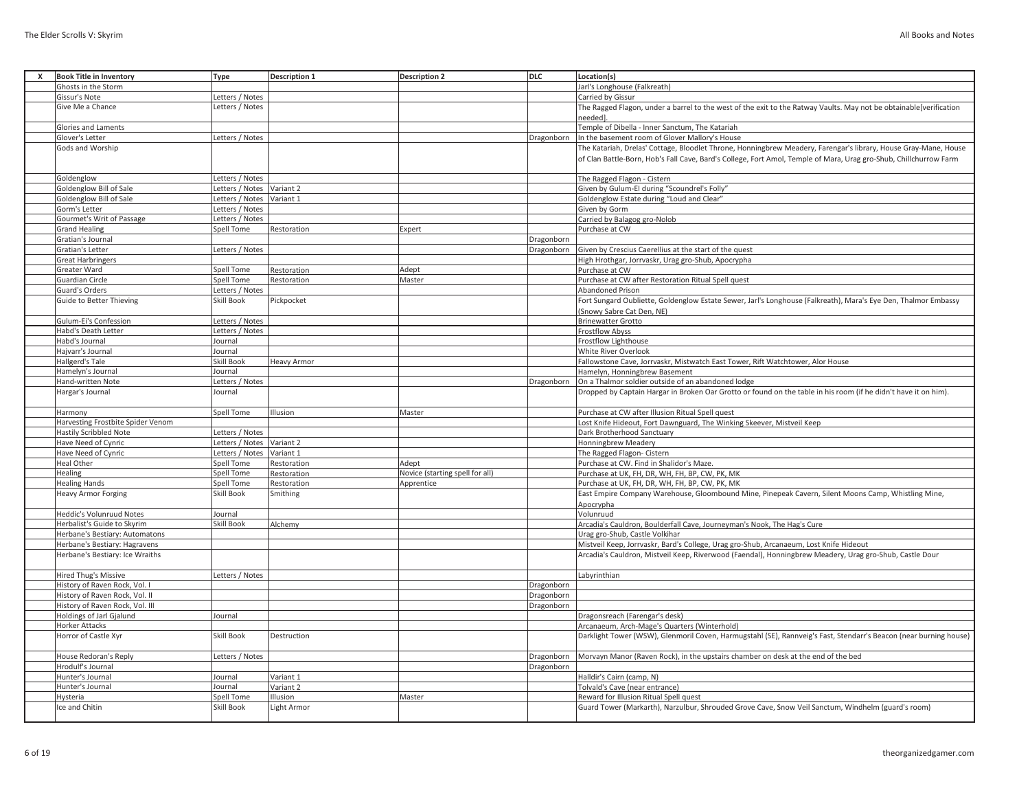| x | <b>Book Title in Inventory</b>    | <b>Type</b>               | <b>Description 1</b> | <b>Description 2</b>            | <b>DLC</b> | Location(s)                                                                                                        |
|---|-----------------------------------|---------------------------|----------------------|---------------------------------|------------|--------------------------------------------------------------------------------------------------------------------|
|   | Ghosts in the Storm               |                           |                      |                                 |            | Jarl's Longhouse (Falkreath)                                                                                       |
|   | Gissur's Note                     | Letters / Notes           |                      |                                 |            | Carried by Gissur                                                                                                  |
|   | Give Me a Chance                  | Letters / Notes           |                      |                                 |            | The Ragged Flagon, under a barrel to the west of the exit to the Ratway Vaults. May not be obtainable[verification |
|   |                                   |                           |                      |                                 |            | neededl                                                                                                            |
|   |                                   |                           |                      |                                 |            | Temple of Dibella - Inner Sanctum, The Katariah                                                                    |
|   | Glories and Laments               |                           |                      |                                 |            |                                                                                                                    |
|   | Glover's Letter                   | Letters / Notes           |                      |                                 | Dragonborn | In the basement room of Glover Mallory's House                                                                     |
|   | Gods and Worship                  |                           |                      |                                 |            | The Katariah, Drelas' Cottage, Bloodlet Throne, Honningbrew Meadery, Farengar's library, House Gray-Mane, House    |
|   |                                   |                           |                      |                                 |            | of Clan Battle-Born, Hob's Fall Cave, Bard's College, Fort Amol, Temple of Mara, Urag gro-Shub, Chillchurrow Farm  |
|   |                                   |                           |                      |                                 |            |                                                                                                                    |
|   | Goldenglow                        | Letters / Notes           |                      |                                 |            | The Ragged Flagon - Cistern                                                                                        |
|   | Goldenglow Bill of Sale           | Letters / Notes Variant 2 |                      |                                 |            | Given by Gulum-EI during "Scoundrel's Folly"                                                                       |
|   | Goldenglow Bill of Sale           | Letters / Notes Variant 1 |                      |                                 |            | Goldenglow Estate during "Loud and Clear"                                                                          |
|   | Gorm's Letter                     | Letters / Notes           |                      |                                 |            | Given by Gorm                                                                                                      |
|   |                                   |                           |                      |                                 |            |                                                                                                                    |
|   | Gourmet's Writ of Passage         | Letters / Notes           |                      |                                 |            | Carried by Balagog gro-Nolob                                                                                       |
|   | <b>Grand Healing</b>              | Spell Tome                | Restoration          | Expert                          |            | Purchase at CW                                                                                                     |
|   | Gratian's Journal                 |                           |                      |                                 | Dragonborn |                                                                                                                    |
|   | Gratian's Letter                  | Letters / Notes           |                      |                                 | Dragonborn | Given by Crescius Caerellius at the start of the quest                                                             |
|   | <b>Great Harbringers</b>          |                           |                      |                                 |            | High Hrothgar, Jorrvaskr, Urag gro-Shub, Apocrypha                                                                 |
|   | Greater Ward                      | Spell Tome                | Restoration          | Adept                           |            | Purchase at CW                                                                                                     |
|   | Guardian Circle                   | Spell Tome                | Restoration          | Master                          |            | Purchase at CW after Restoration Ritual Spell quest                                                                |
|   | Guard's Orders                    | Letters / Notes           |                      |                                 |            | <b>Abandoned Prison</b>                                                                                            |
|   | <b>Guide to Better Thieving</b>   | Skill Book                | Pickpocket           |                                 |            | Fort Sungard Oubliette, Goldenglow Estate Sewer, Jarl's Longhouse (Falkreath), Mara's Eye Den, Thalmor Embassy     |
|   |                                   |                           |                      |                                 |            |                                                                                                                    |
|   |                                   |                           |                      |                                 |            | (Snowy Sabre Cat Den, NE)                                                                                          |
|   | Gulum-Ei's Confession             | Letters / Notes           |                      |                                 |            | <b>Brinewatter Grotto</b>                                                                                          |
|   | Habd's Death Letter               | Letters / Notes           |                      |                                 |            | <b>Frostflow Abyss</b>                                                                                             |
|   | Habd's Journal                    | Journal                   |                      |                                 |            | Frostflow Lighthouse                                                                                               |
|   | Hajvarr's Journal                 | Journal                   |                      |                                 |            | <b>White River Overlook</b>                                                                                        |
|   | Hallgerd's Tale                   | Skill Book                | <b>Heavy Armor</b>   |                                 |            | Fallowstone Cave, Jorrvaskr, Mistwatch East Tower, Rift Watchtower, Alor House                                     |
|   | Hamelyn's Journal                 | Journal                   |                      |                                 |            | Hamelyn, Honningbrew Basement                                                                                      |
|   | Hand-written Note                 | Letters / Notes           |                      |                                 | Dragonborn | On a Thalmor soldier outside of an abandoned lodge                                                                 |
|   | Hargar's Journal                  | Journal                   |                      |                                 |            | Dropped by Captain Hargar in Broken Oar Grotto or found on the table in his room (if he didn't have it on him).    |
|   |                                   |                           |                      |                                 |            |                                                                                                                    |
|   |                                   |                           |                      |                                 |            |                                                                                                                    |
|   | Harmony                           | Spell Tome                | Illusion             | Master                          |            | Purchase at CW after Illusion Ritual Spell quest                                                                   |
|   | Harvesting Frostbite Spider Venom |                           |                      |                                 |            | Lost Knife Hideout, Fort Dawnguard, The Winking Skeever, Mistveil Keep                                             |
|   | <b>Hastily Scribbled Note</b>     | Letters / Notes           |                      |                                 |            | Dark Brotherhood Sanctuary                                                                                         |
|   | Have Need of Cynric               | Letters / Notes           | Variant 2            |                                 |            | <b>Honningbrew Meadery</b>                                                                                         |
|   | Have Need of Cynric               | Letters / Notes Variant 1 |                      |                                 |            | The Ragged Flagon- Cistern                                                                                         |
|   | Heal Other                        | Spell Tome                | Restoration          | Adept                           |            | Purchase at CW. Find in Shalidor's Maze.                                                                           |
|   | Healing                           | Spell Tome                | Restoration          | Novice (starting spell for all) |            | Purchase at UK, FH, DR, WH, FH, BP, CW, PK, MK                                                                     |
|   | <b>Healing Hands</b>              | Spell Tome                | Restoration          | Apprentice                      |            | Purchase at UK, FH, DR, WH, FH, BP, CW, PK, MK                                                                     |
|   | <b>Heavy Armor Forging</b>        | <b>Skill Book</b>         | Smithing             |                                 |            | East Empire Company Warehouse, Gloombound Mine, Pinepeak Cavern, Silent Moons Camp, Whistling Mine,                |
|   |                                   |                           |                      |                                 |            |                                                                                                                    |
|   |                                   |                           |                      |                                 |            | Apocrypha                                                                                                          |
|   | Heddic's Volunruud Notes          | Journal                   |                      |                                 |            | Volunruud                                                                                                          |
|   | Herbalist's Guide to Skyrim       | <b>Skill Book</b>         | Alchemy              |                                 |            | Arcadia's Cauldron, Boulderfall Cave, Journeyman's Nook, The Hag's Cure                                            |
|   | Herbane's Bestiary: Automatons    |                           |                      |                                 |            | Urag gro-Shub, Castle Volkihar                                                                                     |
|   | Herbane's Bestiary: Hagravens     |                           |                      |                                 |            | Mistveil Keep, Jorrvaskr, Bard's College, Urag gro-Shub, Arcanaeum, Lost Knife Hideout                             |
|   | Herbane's Bestiary: Ice Wraiths   |                           |                      |                                 |            | Arcadia's Cauldron, Mistveil Keep, Riverwood (Faendal), Honningbrew Meadery, Urag gro-Shub, Castle Dour            |
|   |                                   |                           |                      |                                 |            |                                                                                                                    |
|   | Hired Thug's Missive              | Letters / Notes           |                      |                                 |            | Labyrinthian                                                                                                       |
|   | History of Raven Rock, Vol. I     |                           |                      |                                 | Dragonborn |                                                                                                                    |
|   | History of Raven Rock, Vol. II    |                           |                      |                                 | Dragonborn |                                                                                                                    |
|   | History of Raven Rock, Vol. III   |                           |                      |                                 | Dragonborn |                                                                                                                    |
|   |                                   |                           |                      |                                 |            |                                                                                                                    |
|   | Holdings of Jarl Gjalund          | Journal                   |                      |                                 |            | Dragonsreach (Farengar's desk)                                                                                     |
|   | Horker Attacks                    |                           |                      |                                 |            | Arcanaeum, Arch-Mage's Quarters (Winterhold)                                                                       |
|   | Horror of Castle Xyr              | <b>Skill Book</b>         | Destruction          |                                 |            | Darklight Tower (WSW), Glenmoril Coven, Harmugstahl (SE), Rannveig's Fast, Stendarr's Beacon (near burning house)  |
|   |                                   |                           |                      |                                 |            |                                                                                                                    |
|   | House Redoran's Reply             | Letters / Notes           |                      |                                 | Dragonborn | Morvayn Manor (Raven Rock), in the upstairs chamber on desk at the end of the bed                                  |
|   | Hrodulf's Journal                 |                           |                      |                                 | Dragonborn |                                                                                                                    |
|   | Hunter's Journal                  | Journal                   | Variant 1            |                                 |            | Halldir's Cairn (camp, N)                                                                                          |
|   | Hunter's Journal                  | Journal                   | Variant 2            |                                 |            | Tolvald's Cave (near entrance)                                                                                     |
|   | Hysteria                          | Spell Tome                | Ilusion              | Master                          |            | Reward for Illusion Ritual Spell quest                                                                             |
|   |                                   |                           |                      |                                 |            |                                                                                                                    |
|   | Ice and Chitin                    | <b>Skill Book</b>         | Light Armor          |                                 |            | Guard Tower (Markarth), Narzulbur, Shrouded Grove Cave, Snow Veil Sanctum, Windhelm (guard's room)                 |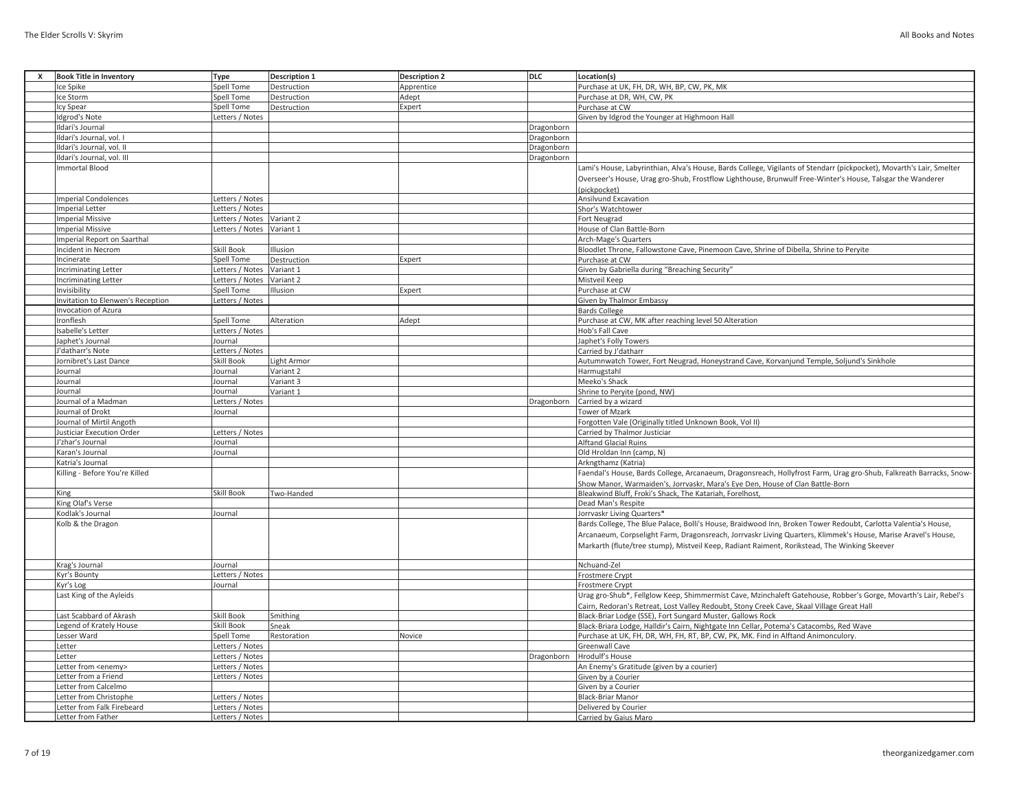| X | <b>Book Title in Inventory</b>    | <b>Type</b>               | <b>Description 1</b> | <b>Description 2</b> | <b>DLC</b> | Location(s)                                                                                                          |
|---|-----------------------------------|---------------------------|----------------------|----------------------|------------|----------------------------------------------------------------------------------------------------------------------|
|   | Ice Spike                         | <b>Spell Tome</b>         | Destruction          | Apprentice           |            | Purchase at UK, FH, DR, WH, BP, CW, PK, MK                                                                           |
|   |                                   |                           |                      |                      |            |                                                                                                                      |
|   | Ice Storm                         | Spell Tome                | Destruction          | Adept                |            | Purchase at DR, WH, CW, PK                                                                                           |
|   | Icy Spear                         | Spell Tome                | Destruction          | Expert               |            | Purchase at CW                                                                                                       |
|   | Idgrod's Note                     | Letters / Notes           |                      |                      |            | Given by Idgrod the Younger at Highmoon Hall                                                                         |
|   | Ildari's Journal                  |                           |                      |                      | Dragonborn |                                                                                                                      |
|   | Ildari's Journal, vol. I          |                           |                      |                      | Dragonborn |                                                                                                                      |
|   | Ildari's Journal, vol. II         |                           |                      |                      | Dragonborn |                                                                                                                      |
|   | Ildari's Journal, vol. III        |                           |                      |                      | Dragonborn |                                                                                                                      |
|   | <b>Immortal Blood</b>             |                           |                      |                      |            | Lami's House, Labyrinthian, Alva's House, Bards College, Vigilants of Stendarr (pickpocket), Movarth's Lair, Smelter |
|   |                                   |                           |                      |                      |            | Overseer's House, Urag gro-Shub, Frostflow Lighthouse, Brunwulf Free-Winter's House, Talsgar the Wanderer            |
|   |                                   |                           |                      |                      |            | (pickpocket)                                                                                                         |
|   | <b>Imperial Condolences</b>       | Letters / Notes           |                      |                      |            | <b>Ansilvund Excavation</b>                                                                                          |
|   | <b>Imperial Letter</b>            | Letters / Notes           |                      |                      |            | Shor's Watchtower                                                                                                    |
|   | <b>Imperial Missive</b>           | Letters / Notes           | Variant 2            |                      |            | Fort Neugrad                                                                                                         |
|   | <b>Imperial Missive</b>           | Letters / Notes Variant 1 |                      |                      |            | House of Clan Battle-Born                                                                                            |
|   |                                   |                           |                      |                      |            |                                                                                                                      |
|   | Imperial Report on Saarthal       |                           |                      |                      |            | Arch-Mage's Quarters                                                                                                 |
|   | Incident in Necrom                | Skill Book                | Illusion             |                      |            | Bloodlet Throne, Fallowstone Cave, Pinemoon Cave, Shrine of Dibella, Shrine to Peryite                               |
|   | Incinerate                        | Spell Tome                | Destruction          | Expert               |            | Purchase at CW                                                                                                       |
|   | <b>Incriminating Letter</b>       | Letters / Notes Variant 1 |                      |                      |            | Given by Gabriella during "Breaching Security"                                                                       |
|   | Incriminating Letter              | Letters / Notes           | Variant 2            |                      |            | Mistveil Keep                                                                                                        |
|   | Invisibility                      | Spell Tome                | Illusion             | Expert               |            | Purchase at CW                                                                                                       |
|   | Invitation to Elenwen's Reception | Letters / Notes           |                      |                      |            | Given by Thalmor Embassy                                                                                             |
|   | Invocation of Azura               |                           |                      |                      |            | <b>Bards College</b>                                                                                                 |
|   | Ironflesh                         | Spell Tome                | Alteration           | Adept                |            | Purchase at CW, MK after reaching level 50 Alteration                                                                |
|   | Isabelle's Letter                 | Letters / Notes           |                      |                      |            | Hob's Fall Cave                                                                                                      |
|   | Japhet's Journal                  | Journal                   |                      |                      |            | Japhet's Folly Towers                                                                                                |
|   | J'datharr's Note                  | Letters / Notes           |                      |                      |            | Carried by J'datharr                                                                                                 |
|   | Jornibret's Last Dance            | Skill Book                | Light Armor          |                      |            | Autumnwatch Tower, Fort Neugrad, Honeystrand Cave, Korvanjund Temple, Soljund's Sinkhole                             |
|   |                                   |                           |                      |                      |            |                                                                                                                      |
|   | Journal                           | Journal                   | Variant 2            |                      |            | Harmugstahl                                                                                                          |
|   | Journal                           | Journal                   | Variant 3            |                      |            | Meeko's Shack                                                                                                        |
|   | Journal                           | Journal                   | Variant 1            |                      |            | Shrine to Peryite (pond, NW)                                                                                         |
|   | Journal of a Madman               | Letters / Notes           |                      |                      | Dragonborn | Carried by a wizard                                                                                                  |
|   | Journal of Drokt                  | Journal                   |                      |                      |            | Tower of Mzark                                                                                                       |
|   | Journal of Mirtil Angoth          |                           |                      |                      |            | Forgotten Vale (Originally titled Unknown Book, Vol II)                                                              |
|   | <b>Justiciar Execution Order</b>  | Letters / Notes           |                      |                      |            | Carried by Thalmor Justiciar                                                                                         |
|   | J'zhar's Journal                  | Journal                   |                      |                      |            | <b>Alftand Glacial Ruins</b>                                                                                         |
|   | Karan's Journal                   | Journal                   |                      |                      |            | Old Hroldan Inn (camp, N)                                                                                            |
|   | Katria's Journal                  |                           |                      |                      |            | Arkngthamz (Katria)                                                                                                  |
|   | Killing - Before You're Killed    |                           |                      |                      |            | Faendal's House, Bards College, Arcanaeum, Dragonsreach, Hollyfrost Farm, Urag gro-Shub, Falkreath Barracks, Snow-   |
|   |                                   |                           |                      |                      |            | Show Manor, Warmaiden's, Jorrvaskr, Mara's Eye Den, House of Clan Battle-Born                                        |
|   | King                              | Skill Book                | Two-Handed           |                      |            | Bleakwind Bluff, Froki's Shack, The Katariah, Forelhost,                                                             |
|   | King Olaf's Verse                 |                           |                      |                      |            | Dead Man's Respite                                                                                                   |
|   | Kodlak's Journal                  | Journal                   |                      |                      |            | Jorrvaskr Living Quarters*                                                                                           |
|   | Kolb & the Dragon                 |                           |                      |                      |            | Bards College, The Blue Palace, Bolli's House, Braidwood Inn, Broken Tower Redoubt, Carlotta Valentia's House,       |
|   |                                   |                           |                      |                      |            |                                                                                                                      |
|   |                                   |                           |                      |                      |            | Arcanaeum, Corpselight Farm, Dragonsreach, Jorrvaskr Living Quarters, Klimmek's House, Marise Aravel's House,        |
|   |                                   |                           |                      |                      |            | Markarth (flute/tree stump), Mistveil Keep, Radiant Raiment, Rorikstead, The Winking Skeever                         |
|   |                                   |                           |                      |                      |            |                                                                                                                      |
|   | Krag's Journal                    | Journal                   |                      |                      |            | Nchuand-Zel                                                                                                          |
|   | Kyr's Bounty                      | Letters / Notes           |                      |                      |            | Frostmere Crypt                                                                                                      |
|   | Kyr's Log                         | Journal                   |                      |                      |            | Frostmere Crypt                                                                                                      |
|   | Last King of the Ayleids          |                           |                      |                      |            | Urag gro-Shub*, Fellglow Keep, Shimmermist Cave, Mzinchaleft Gatehouse, Robber's Gorge, Movarth's Lair, Rebel's      |
|   |                                   |                           |                      |                      |            | Cairn, Redoran's Retreat, Lost Valley Redoubt, Stony Creek Cave, Skaal Village Great Hall                            |
|   | Last Scabbard of Akrash           | Skill Book                | Smithing             |                      |            | Black-Briar Lodge (SSE), Fort Sungard Muster, Gallows Rock                                                           |
|   | Legend of Krately House           | Skill Book                | Sneak                |                      |            | Black-Briara Lodge, Halldir's Cairn, Nightgate Inn Cellar, Potema's Catacombs, Red Wave                              |
|   | Lesser Ward                       | Spell Tome                | Restoration          | Novice               |            | Purchase at UK, FH, DR, WH, FH, RT, BP, CW, PK, MK. Find in Alftand Animonculory.                                    |
|   | Letter                            | Letters / Notes           |                      |                      |            | Greenwall Cave                                                                                                       |
|   | Letter                            | Letters / Notes           |                      |                      | Dragonborn | Hrodulf's House                                                                                                      |
|   | Letter from <enemy></enemy>       | Letters / Notes           |                      |                      |            | An Enemy's Gratitude (given by a courier)                                                                            |
|   | Letter from a Friend              | Letters / Notes           |                      |                      |            | Given by a Courier                                                                                                   |
|   | Letter from Calcelmo              |                           |                      |                      |            | Given by a Courier                                                                                                   |
|   |                                   |                           |                      |                      |            |                                                                                                                      |
|   | Letter from Christophe            | Letters / Notes           |                      |                      |            | <b>Black-Briar Manor</b>                                                                                             |
|   | Letter from Falk Firebeard        | Letters / Notes           |                      |                      |            | Delivered by Courier                                                                                                 |
|   | Letter from Father                | Letters / Notes           |                      |                      |            | Carried by Gaius Maro                                                                                                |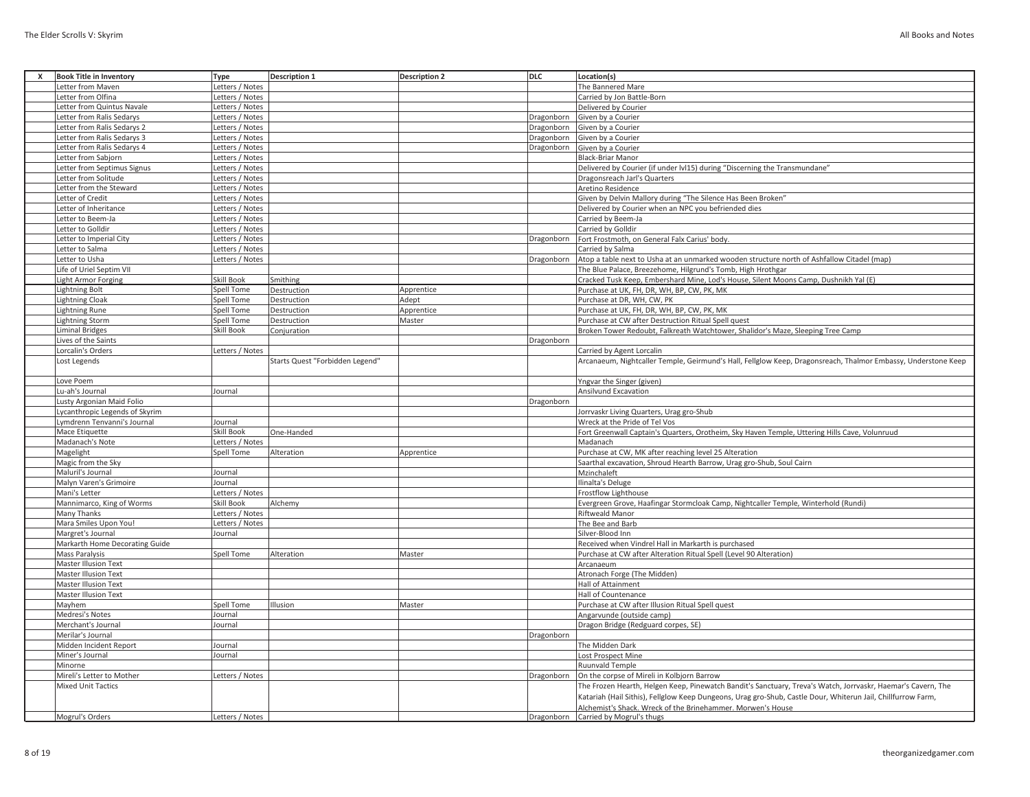| X | <b>Book Title in Inventory</b> | <b>Type</b>       | <b>Description 1</b>            | <b>Description 2</b> | DLC        | Location(s)                                                                                                   |
|---|--------------------------------|-------------------|---------------------------------|----------------------|------------|---------------------------------------------------------------------------------------------------------------|
|   | Letter from Maven              | Letters / Notes   |                                 |                      |            | The Bannered Mare                                                                                             |
|   | Letter from Olfina             | Letters / Notes   |                                 |                      |            | Carried by Jon Battle-Born                                                                                    |
|   | Letter from Quintus Navale     | Letters / Notes   |                                 |                      |            | Delivered by Courier                                                                                          |
|   | Letter from Ralis Sedarys      | Letters / Notes   |                                 |                      | Dragonborn | Given by a Courier                                                                                            |
|   | Letter from Ralis Sedarys 2    | Letters / Notes   |                                 |                      | Dragonborn | Given by a Courier                                                                                            |
|   | Letter from Ralis Sedarys 3    | Letters / Notes   |                                 |                      | Dragonborn | Given by a Courier                                                                                            |
|   | Letter from Ralis Sedarys 4    | Letters / Notes   |                                 |                      | Dragonborn | Given by a Courier                                                                                            |
|   | Letter from Sabjorn            | Letters / Notes   |                                 |                      |            | <b>Black-Briar Manor</b>                                                                                      |
|   | Letter from Septimus Signus    | Letters / Notes   |                                 |                      |            | Delivered by Courier (if under IvI15) during "Discerning the Transmundane"                                    |
|   | Letter from Solitude           | Letters / Notes   |                                 |                      |            | Dragonsreach Jarl's Quarters                                                                                  |
|   | Letter from the Steward        | Letters / Notes   |                                 |                      |            | Aretino Residence                                                                                             |
|   | Letter of Credit               | Letters / Notes   |                                 |                      |            | Given by Delvin Mallory during "The Silence Has Been Broken"                                                  |
|   | Letter of Inheritance          | Letters / Notes   |                                 |                      |            | Delivered by Courier when an NPC you befriended dies                                                          |
|   | etter to Beem-Ja               | Letters / Notes   |                                 |                      |            | Carried by Beem-Ja                                                                                            |
|   | Letter to Golldir              | Letters / Notes   |                                 |                      |            | Carried by Golldir                                                                                            |
|   | Letter to Imperial City        | Letters / Notes   |                                 |                      | Dragonborn | Fort Frostmoth, on General Falx Carius' body                                                                  |
|   | Letter to Salma                | Letters / Notes   |                                 |                      |            | Carried by Salma                                                                                              |
|   | Letter to Usha                 | Letters / Notes   |                                 |                      | Dragonborn | Atop a table next to Usha at an unmarked wooden structure north of Ashfallow Citadel (map)                    |
|   | Life of Uriel Septim VII       |                   |                                 |                      |            | The Blue Palace, Breezehome, Hilgrund's Tomb, High Hrothgar                                                   |
|   | ight Armor Forging             | Skill Book        | Smithing                        |                      |            | Cracked Tusk Keep, Embershard Mine, Lod's House, Silent Moons Camp, Dushnikh Yal (E)                          |
|   | <b>Lightning Bolt</b>          | Spell Tome        |                                 | Apprentice           |            | Purchase at UK, FH, DR, WH, BP, CW, PK, MK                                                                    |
|   | <b>Lightning Cloak</b>         | Spell Tome        | Destruction                     | Adept                |            | Purchase at DR, WH, CW, PK                                                                                    |
|   |                                |                   | Destruction                     |                      |            |                                                                                                               |
|   | <b>Lightning Rune</b>          | Spell Tome        | Destruction                     | Apprentice           |            | Purchase at UK, FH, DR, WH, BP, CW, PK, MK                                                                    |
|   | <b>Lightning Storm</b>         | <b>Spell Tome</b> | Destruction                     | Master               |            | Purchase at CW after Destruction Ritual Spell quest                                                           |
|   | <b>Liminal Bridges</b>         | Skill Book        | Conjuration                     |                      |            | Broken Tower Redoubt, Falkreath Watchtower, Shalidor's Maze, Sleeping Tree Camp                               |
|   | Lives of the Saints            |                   |                                 |                      | Dragonborn |                                                                                                               |
|   | Lorcalin's Orders              | Letters / Notes   |                                 |                      |            | Carried by Agent Lorcalin                                                                                     |
|   | Lost Legends                   |                   | Starts Quest "Forbidden Legend' |                      |            | Arcanaeum, Nightcaller Temple, Geirmund's Hall, Fellglow Keep, Dragonsreach, Thalmor Embassy, Understone Keep |
|   |                                |                   |                                 |                      |            |                                                                                                               |
|   | Love Poem                      |                   |                                 |                      |            | Yngvar the Singer (given)                                                                                     |
|   | Lu-ah's Journal                | Journal           |                                 |                      |            | Ansilvund Excavation                                                                                          |
|   | Lusty Argonian Maid Folio      |                   |                                 |                      | Dragonborn |                                                                                                               |
|   | Lycanthropic Legends of Skyrim |                   |                                 |                      |            | Jorrvaskr Living Quarters, Urag gro-Shub                                                                      |
|   | Lymdrenn Tenvanni's Journal    | Journal           |                                 |                      |            | Wreck at the Pride of Tel Vos                                                                                 |
|   | Mace Etiquette                 | Skill Book        | One-Handed                      |                      |            | Fort Greenwall Captain's Quarters, Orotheim, Sky Haven Temple, Uttering Hills Cave, Volunruud                 |
|   | Madanach's Note                | Letters / Notes   |                                 |                      |            | Madanach                                                                                                      |
|   | Magelight                      | Spell Tome        | Alteration                      | Apprentice           |            | Purchase at CW, MK after reaching level 25 Alteration                                                         |
|   | Magic from the Sky             |                   |                                 |                      |            | Saarthal excavation, Shroud Hearth Barrow, Urag gro-Shub, Soul Cairn                                          |
|   | Maluril's Journal              | Journal           |                                 |                      |            | Mzinchaleft                                                                                                   |
|   | Malyn Varen's Grimoire         | Journal           |                                 |                      |            | Ilinalta's Deluge                                                                                             |
|   | Mani's Letter                  | Letters / Notes   |                                 |                      |            | Frostflow Lighthouse                                                                                          |
|   | Mannimarco, King of Worms      | Skill Book        | Alchemy                         |                      |            | Evergreen Grove, Haafingar Stormcloak Camp, Nightcaller Temple, Winterhold (Rundi)                            |
|   | Many Thanks                    | Letters / Notes   |                                 |                      |            | <b>Riftweald Manor</b>                                                                                        |
|   | Mara Smiles Upon You!          | Letters / Notes   |                                 |                      |            | The Bee and Barb                                                                                              |
|   | Margret's Journal              | Journal           |                                 |                      |            | Silver-Blood Inn                                                                                              |
|   | Markarth Home Decorating Guide |                   |                                 |                      |            | Received when Vindrel Hall in Markarth is purchased                                                           |
|   | <b>Mass Paralysis</b>          | Spell Tome        | Alteration                      | Master               |            | Purchase at CW after Alteration Ritual Spell (Level 90 Alteration)                                            |
|   | <b>Master Illusion Text</b>    |                   |                                 |                      |            | Arcanaeum                                                                                                     |
|   | <b>Master Illusion Text</b>    |                   |                                 |                      |            | Atronach Forge (The Midden)                                                                                   |
|   | <b>Master Illusion Text</b>    |                   |                                 |                      |            | Hall of Attainment                                                                                            |
|   | <b>Master Illusion Text</b>    |                   |                                 |                      |            | Hall of Countenance                                                                                           |
|   | Mayhem                         | Spell Tome        | Illusion                        | Master               |            | Purchase at CW after Illusion Ritual Spell quest                                                              |
|   | Medresi's Notes                | Journal           |                                 |                      |            | Angarvunde (outside camp)                                                                                     |
|   | Merchant's Journal             | Journal           |                                 |                      |            | Dragon Bridge (Redguard corpes, SE)                                                                           |
|   | Merilar's Journal              |                   |                                 |                      | Dragonborn |                                                                                                               |
|   | Midden Incident Report         | Journal           |                                 |                      |            | The Midden Dark                                                                                               |
|   | Miner's Journal                | Journal           |                                 |                      |            | Lost Prospect Mine                                                                                            |
|   | Minorne                        |                   |                                 |                      |            | Ruunvald Temple                                                                                               |
|   | Mireli's Letter to Mother      | Letters / Notes   |                                 |                      | Dragonborn | On the corpse of Mireli in Kolbjorn Barrow                                                                    |
|   | <b>Mixed Unit Tactics</b>      |                   |                                 |                      |            | The Frozen Hearth, Helgen Keep, Pinewatch Bandit's Sanctuary, Treva's Watch, Jorrvaskr, Haemar's Cavern, The  |
|   |                                |                   |                                 |                      |            | Katariah (Hail Sithis), Fellglow Keep Dungeons, Urag gro-Shub, Castle Dour, Whiterun Jail, Chillfurrow Farm,  |
|   |                                |                   |                                 |                      |            | Alchemist's Shack. Wreck of the Brinehammer. Morwen's House                                                   |
|   | Mogrul's Orders                | Letters / Notes   |                                 |                      |            | Dragonborn Carried by Mogrul's thugs                                                                          |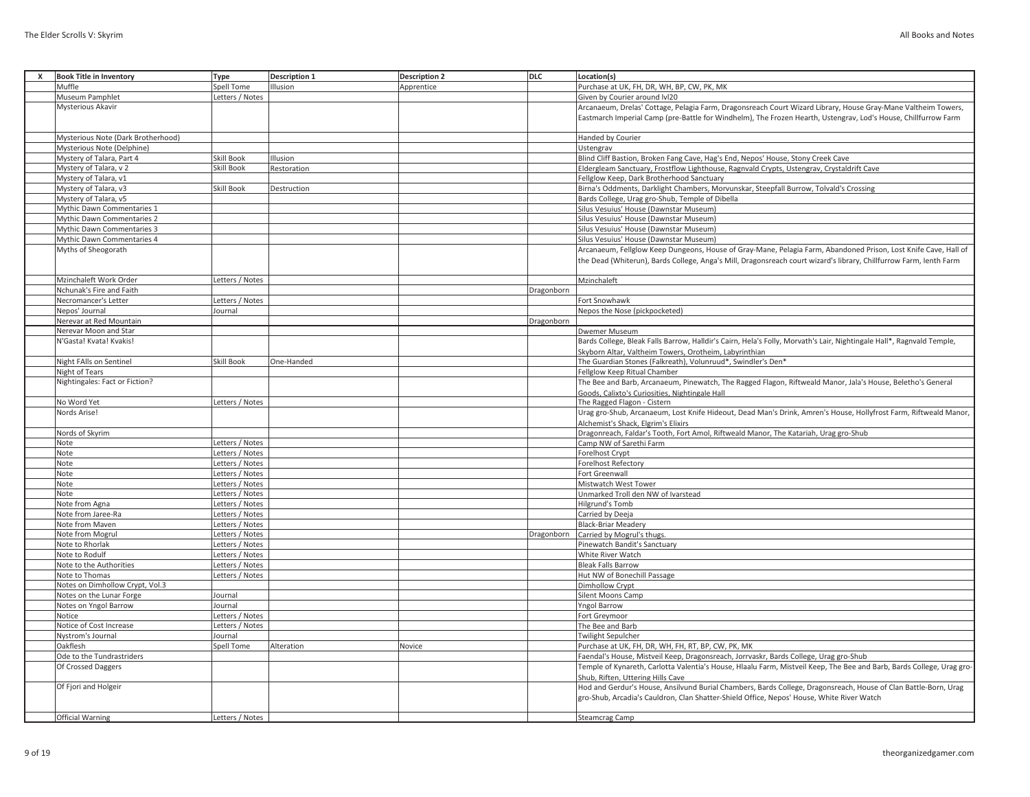| x | <b>Book Title in Inventory</b>       | <b>Type</b>                        | <b>Description 1</b> | <b>Description 2</b> | <b>DLC</b> | Location(s)                                                                                                           |
|---|--------------------------------------|------------------------------------|----------------------|----------------------|------------|-----------------------------------------------------------------------------------------------------------------------|
|   | Muffle                               | Spell Tome                         | Illusion             | Apprentice           |            | Purchase at UK. FH. DR. WH. BP. CW. PK. MK                                                                            |
|   | Museum Pamphlet                      | Letters / Notes                    |                      |                      |            |                                                                                                                       |
|   |                                      |                                    |                      |                      |            | Given by Courier around Ivl20                                                                                         |
|   | <b>Mysterious Akavir</b>             |                                    |                      |                      |            | Arcanaeum, Drelas' Cottage, Pelagia Farm, Dragonsreach Court Wizard Library, House Gray-Mane Valtheim Towers,         |
|   |                                      |                                    |                      |                      |            | Eastmarch Imperial Camp (pre-Battle for Windhelm), The Frozen Hearth, Ustengrav, Lod's House, Chillfurrow Farm        |
|   | Mysterious Note (Dark Brotherhood)   |                                    |                      |                      |            | Handed by Courier                                                                                                     |
|   | Mysterious Note (Delphine)           |                                    |                      |                      |            | Ustengrav                                                                                                             |
|   | Mystery of Talara, Part 4            | <b>Skill Book</b>                  | Illusion             |                      |            | Blind Cliff Bastion, Broken Fang Cave, Hag's End, Nepos' House, Stony Creek Cave                                      |
|   | Mystery of Talara, v 2               | <b>Skill Book</b>                  | Restoration          |                      |            | Eldergleam Sanctuary, Frostflow Lighthouse, Ragnvald Crypts, Ustengrav, Crystaldrift Cave                             |
|   | Mystery of Talara, v1                |                                    |                      |                      |            | Fellglow Keep, Dark Brotherhood Sanctuary                                                                             |
|   | Mystery of Talara, v3                | <b>Skill Book</b>                  | Destruction          |                      |            | Birna's Oddments, Darklight Chambers, Morvunskar, Steepfall Burrow, Tolvald's Crossing                                |
|   | Mystery of Talara, v5                |                                    |                      |                      |            | Bards College, Urag gro-Shub, Temple of Dibella                                                                       |
|   | Mythic Dawn Commentaries 1           |                                    |                      |                      |            | Silus Vesuius' House (Dawnstar Museum)                                                                                |
|   | Mythic Dawn Commentaries 2           |                                    |                      |                      |            | Silus Vesuius' House (Dawnstar Museum)                                                                                |
|   | Mythic Dawn Commentaries 3           |                                    |                      |                      |            | Silus Vesuius' House (Dawnstar Museum)                                                                                |
|   | Mythic Dawn Commentaries 4           |                                    |                      |                      |            | Silus Vesuius' House (Dawnstar Museum)                                                                                |
|   | Myths of Sheogorath                  |                                    |                      |                      |            | Arcanaeum, Fellglow Keep Dungeons, House of Gray-Mane, Pelagia Farm, Abandoned Prison, Lost Knife Cave, Hall of       |
|   |                                      |                                    |                      |                      |            | the Dead (Whiterun), Bards College, Anga's Mill, Dragonsreach court wizard's library, Chillfurrow Farm, Ienth Farm    |
|   |                                      |                                    |                      |                      |            |                                                                                                                       |
|   | Mzinchaleft Work Order               | Letters / Notes                    |                      |                      |            | Mzinchaleft                                                                                                           |
|   | Nchunak's Fire and Faith             |                                    |                      |                      | Dragonborn |                                                                                                                       |
|   | Necromancer's Letter                 | Letters / Notes                    |                      |                      |            | Fort Snowhawk                                                                                                         |
|   | Nepos' Journal                       | Journal                            |                      |                      |            | Nepos the Nose (pickpocketed)                                                                                         |
|   | Nerevar at Red Mountain              |                                    |                      |                      | Dragonborn |                                                                                                                       |
|   | Nerevar Moon and Star                |                                    |                      |                      |            | Dwemer Museum                                                                                                         |
|   | N'Gasta! Kvata! Kvakis!              |                                    |                      |                      |            | Bards College, Bleak Falls Barrow, Halldir's Cairn, Hela's Folly, Morvath's Lair, Nightingale Hall*, Ragnvald Temple, |
|   |                                      |                                    |                      |                      |            |                                                                                                                       |
|   | Night FAlls on Sentinel              | <b>Skill Book</b>                  |                      |                      |            | Skyborn Altar, Valtheim Towers, Orotheim, Labyrinthian                                                                |
|   | Night of Tears                       |                                    | One-Handed           |                      |            | The Guardian Stones (Falkreath), Volunruud*, Swindler's Den*<br>Fellglow Keep Ritual Chamber                          |
|   | Nightingales: Fact or Fiction?       |                                    |                      |                      |            |                                                                                                                       |
|   |                                      |                                    |                      |                      |            | The Bee and Barb, Arcanaeum, Pinewatch, The Ragged Flagon, Riftweald Manor, Jala's House, Beletho's General           |
|   | No Word Yet                          | Letters / Notes                    |                      |                      |            | Goods, Calixto's Curiosities, Nightingale Hall                                                                        |
|   |                                      |                                    |                      |                      |            | The Ragged Flagon - Cistern                                                                                           |
|   | Nords Arise!                         |                                    |                      |                      |            | Urag gro-Shub, Arcanaeum, Lost Knife Hideout, Dead Man's Drink, Amren's House, Hollyfrost Farm, Riftweald Manor,      |
|   |                                      |                                    |                      |                      |            | Alchemist's Shack, Elgrim's Elixirs                                                                                   |
|   | Nords of Skyrim                      |                                    |                      |                      |            | Dragonreach, Faldar's Tooth, Fort Amol, Riftweald Manor, The Katariah, Urag gro-Shub                                  |
|   | Note                                 | Letters / Notes                    |                      |                      |            | Camp NW of Sarethi Farm                                                                                               |
|   | Note<br>Note                         | Letters / Notes<br>Letters / Notes |                      |                      |            | <b>Forelhost Crypt</b>                                                                                                |
|   | Note                                 | Letters / Notes                    |                      |                      |            | <b>Forelhost Refectory</b>                                                                                            |
|   | Note                                 | Letters / Notes                    |                      |                      |            | Fort Greenwall                                                                                                        |
|   | Note                                 | Letters / Notes                    |                      |                      |            | Mistwatch West Tower<br>Unmarked Troll den NW of Ivarstead                                                            |
|   |                                      | Letters / Notes                    |                      |                      |            | Hilgrund's Tomb                                                                                                       |
|   | Note from Agna<br>Note from Jaree-Ra | Letters / Notes                    |                      |                      |            | Carried by Deeja                                                                                                      |
|   | Note from Maven                      | Letters / Notes                    |                      |                      |            | <b>Black-Briar Meadery</b>                                                                                            |
|   | Note from Mogrul                     | Letters / Notes                    |                      |                      | Dragonborn | Carried by Mogrul's thugs.                                                                                            |
|   | Note to Rhorlak                      | Letters / Notes                    |                      |                      |            | Pinewatch Bandit's Sanctuary                                                                                          |
|   | Note to Rodulf                       | Letters / Notes                    |                      |                      |            | White River Watch                                                                                                     |
|   | Note to the Authorities              | Letters / Notes                    |                      |                      |            | <b>Bleak Falls Barrow</b>                                                                                             |
|   | Note to Thomas                       | Letters / Notes                    |                      |                      |            | Hut NW of Bonechill Passage                                                                                           |
|   | Notes on Dimhollow Crypt, Vol.3      |                                    |                      |                      |            | Dimhollow Crypt                                                                                                       |
|   | Notes on the Lunar Forge             | Journal                            |                      |                      |            | Silent Moons Camp                                                                                                     |
|   | Notes on Yngol Barrow                | Journal                            |                      |                      |            | <b>Yngol Barrow</b>                                                                                                   |
|   | Notice                               | Letters / Notes                    |                      |                      |            |                                                                                                                       |
|   | Notice of Cost Increase              | Letters / Notes                    |                      |                      |            | Fort Greymoor                                                                                                         |
|   | Nystrom's Journal                    |                                    |                      |                      |            | The Bee and Barb<br><b>Twilight Sepulcher</b>                                                                         |
|   |                                      | Journal                            |                      |                      |            |                                                                                                                       |
|   | Oakflesh                             | <b>Spell Tome</b>                  | Alteration           | Novice               |            | Purchase at UK, FH, DR, WH, FH, RT, BP, CW, PK, MK                                                                    |
|   | Ode to the Tundrastriders            |                                    |                      |                      |            | Faendal's House, Mistveil Keep, Dragonsreach, Jorrvaskr, Bards College, Urag gro-Shub                                 |
|   | Of Crossed Daggers                   |                                    |                      |                      |            | Temple of Kynareth, Carlotta Valentia's House, Hlaalu Farm, Mistveil Keep, The Bee and Barb, Bards College, Urag gro- |
|   |                                      |                                    |                      |                      |            | Shub, Riften, Uttering Hills Cave                                                                                     |
|   | Of Fjori and Holgeir                 |                                    |                      |                      |            | Hod and Gerdur's House, Ansilvund Burial Chambers, Bards College, Dragonsreach, House of Clan Battle-Born, Urag       |
|   |                                      |                                    |                      |                      |            | gro-Shub, Arcadia's Cauldron, Clan Shatter-Shield Office, Nepos' House, White River Watch                             |
|   |                                      |                                    |                      |                      |            |                                                                                                                       |
|   | <b>Official Warning</b>              | Letters / Notes                    |                      |                      |            | <b>Steamcrag Camp</b>                                                                                                 |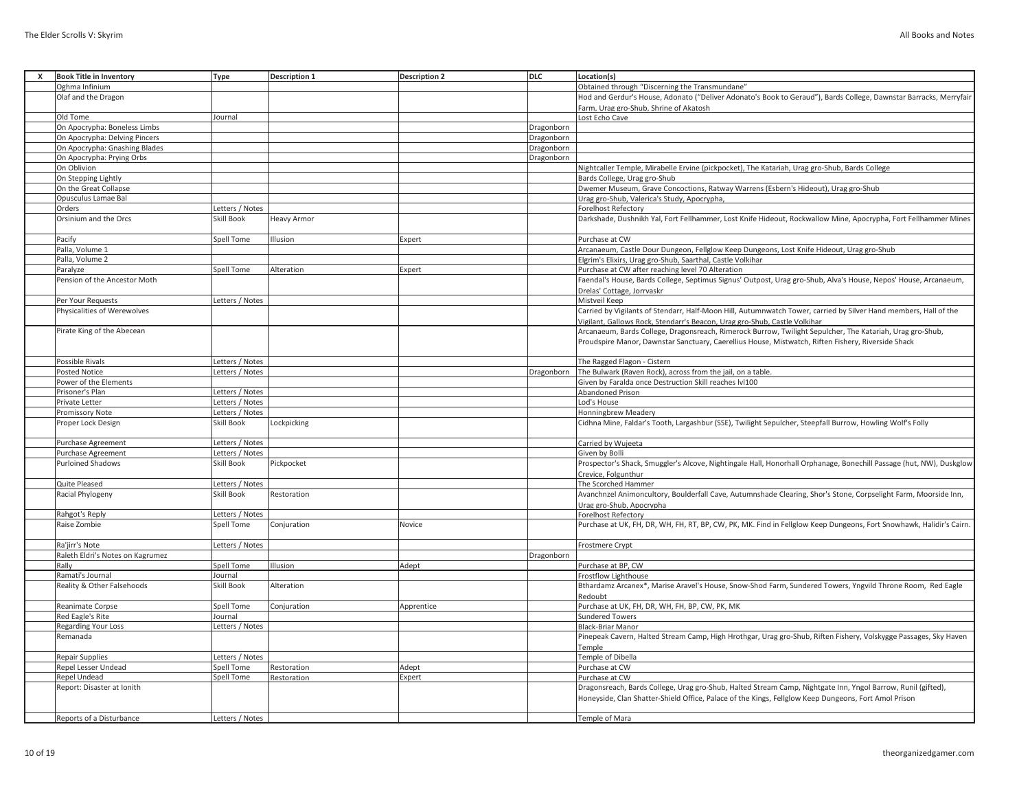| <b>Book Title in Inventory</b><br>x | <b>Type</b>       | <b>Description 1</b> | <b>Description 2</b> | DLC        | Location(s)                                                                                                         |
|-------------------------------------|-------------------|----------------------|----------------------|------------|---------------------------------------------------------------------------------------------------------------------|
| Oghma Infinium                      |                   |                      |                      |            | Obtained through "Discerning the Transmundane"                                                                      |
| Olaf and the Dragon                 |                   |                      |                      |            | Hod and Gerdur's House, Adonato ("Deliver Adonato's Book to Geraud"), Bards College, Dawnstar Barracks, Merryfair   |
|                                     |                   |                      |                      |            | Farm, Urag gro-Shub, Shrine of Akatosh                                                                              |
| Old Tome                            | Journal           |                      |                      |            | Lost Echo Cave                                                                                                      |
| On Apocrypha: Boneless Limbs        |                   |                      |                      | Dragonborn |                                                                                                                     |
| On Apocrypha: Delving Pincers       |                   |                      |                      | Dragonborn |                                                                                                                     |
| On Apocrypha: Gnashing Blades       |                   |                      |                      | Dragonborn |                                                                                                                     |
| On Apocrypha: Prying Orbs           |                   |                      |                      | Dragonborn |                                                                                                                     |
| On Oblivion                         |                   |                      |                      |            | Nightcaller Temple, Mirabelle Ervine (pickpocket), The Katariah, Urag gro-Shub, Bards College                       |
| On Stepping Lightly                 |                   |                      |                      |            | Bards College, Urag gro-Shub                                                                                        |
| On the Great Collapse               |                   |                      |                      |            | Dwemer Museum, Grave Concoctions, Ratway Warrens (Esbern's Hideout), Urag gro-Shub                                  |
| Opusculus Lamae Bal                 |                   |                      |                      |            | Urag gro-Shub, Valerica's Study, Apocrypha,                                                                         |
| Orders                              | Letters / Notes   |                      |                      |            | <b>Forelhost Refectory</b>                                                                                          |
| Orsinium and the Orcs               | Skill Book        | Heavy Armor          |                      |            | Darkshade, Dushnikh Yal, Fort Fellhammer, Lost Knife Hideout, Rockwallow Mine, Apocrypha, Fort Fellhammer Mines     |
|                                     |                   |                      |                      |            |                                                                                                                     |
| Pacify                              | Spell Tome        | Ilusion              | Expert               |            | Purchase at CW                                                                                                      |
| Palla, Volume 1                     |                   |                      |                      |            | Arcanaeum, Castle Dour Dungeon, Fellglow Keep Dungeons, Lost Knife Hideout, Urag gro-Shub                           |
| Palla, Volume 2                     |                   |                      |                      |            | Elgrim's Elixirs, Urag gro-Shub, Saarthal, Castle Volkihar                                                          |
| Paralyze                            | Spell Tome        | Alteration           | Expert               |            | Purchase at CW after reaching level 70 Alteration                                                                   |
| Pension of the Ancestor Moth        |                   |                      |                      |            | Faendal's House, Bards College, Septimus Signus' Outpost, Urag gro-Shub, Alva's House, Nepos' House, Arcanaeum,     |
|                                     |                   |                      |                      |            | Drelas' Cottage, Jorrvaskr                                                                                          |
| Per Your Requests                   | Letters / Notes   |                      |                      |            | Mistveil Keep                                                                                                       |
| Physicalities of Werewolves         |                   |                      |                      |            | Carried by Vigilants of Stendarr, Half-Moon Hill, Autumnwatch Tower, carried by Silver Hand members, Hall of the    |
|                                     |                   |                      |                      |            |                                                                                                                     |
|                                     |                   |                      |                      |            | Vigilant, Gallows Rock, Stendarr's Beacon, Urag gro-Shub, Castle Volkihar                                           |
| Pirate King of the Abecean          |                   |                      |                      |            | Arcanaeum, Bards College, Dragonsreach, Rimerock Burrow, Twilight Sepulcher, The Katariah, Urag gro-Shub,           |
|                                     |                   |                      |                      |            | Proudspire Manor, Dawnstar Sanctuary, Caerellius House, Mistwatch, Riften Fishery, Riverside Shack                  |
|                                     |                   |                      |                      |            |                                                                                                                     |
| Possible Rivals                     | Letters / Notes   |                      |                      |            | The Ragged Flagon - Cistern                                                                                         |
| <b>Posted Notice</b>                | Letters / Notes   |                      |                      | Dragonborn | The Bulwark (Raven Rock), across from the jail, on a table.                                                         |
| Power of the Elements               |                   |                      |                      |            | Given by Faralda once Destruction Skill reaches IvI100                                                              |
| Prisoner's Plan                     | Letters / Notes   |                      |                      |            | Abandoned Prison                                                                                                    |
| Private Letter                      | Letters / Notes   |                      |                      |            | Lod's House                                                                                                         |
| Promissory Note                     | Letters / Notes   |                      |                      |            | Honningbrew Meadery                                                                                                 |
| Proper Lock Design                  | Skill Book        | Lockpicking          |                      |            | Cidhna Mine, Faldar's Tooth, Largashbur (SSE), Twilight Sepulcher, Steepfall Burrow, Howling Wolf's Folly           |
|                                     |                   |                      |                      |            |                                                                                                                     |
| Purchase Agreement                  | Letters / Notes   |                      |                      |            | Carried by Wujeeta                                                                                                  |
| Purchase Agreement                  | Letters / Notes   |                      |                      |            | Given by Bolli                                                                                                      |
| <b>Purloined Shadows</b>            | Skill Book        | Pickpocket           |                      |            | Prospector's Shack, Smuggler's Alcove, Nightingale Hall, Honorhall Orphanage, Bonechill Passage (hut, NW), Duskglow |
|                                     |                   |                      |                      |            | Crevice, Folgunthur                                                                                                 |
| Quite Pleased                       | Letters / Notes   |                      |                      |            | The Scorched Hammer                                                                                                 |
| Racial Phylogeny                    | Skill Book        | Restoration          |                      |            | Avanchnzel Animoncultory, Boulderfall Cave, Autumnshade Clearing, Shor's Stone, Corpselight Farm, Moorside Inn,     |
|                                     |                   |                      |                      |            | <u>Jrag gro-Shub, Apocrypha</u>                                                                                     |
| Rahgot's Reply                      | Letters / Notes   |                      |                      |            | Forelhost Refectory                                                                                                 |
| Raise Zombie                        | Spell Tome        | Conjuration          | Novice               |            | Purchase at UK, FH, DR, WH, FH, RT, BP, CW, PK, MK. Find in Fellglow Keep Dungeons, Fort Snowhawk, Halidir's Cairn. |
|                                     |                   |                      |                      |            |                                                                                                                     |
| Ra'jirr's Note                      | Letters / Notes   |                      |                      |            | Frostmere Crypt                                                                                                     |
| Raleth Eldri's Notes on Kagrumez    |                   |                      |                      | Dragonborn |                                                                                                                     |
| Rally                               | Spell Tome        | Ilusion              | Adept                |            | Purchase at BP, CW                                                                                                  |
| Ramati's Journal                    | Journal           |                      |                      |            | Frostflow Lighthouse                                                                                                |
| Reality & Other Falsehoods          | <b>Skill Book</b> | Alteration           |                      |            | Bthardamz Arcanex*, Marise Aravel's House, Snow-Shod Farm, Sundered Towers, Yngvild Throne Room, Red Eagle          |
|                                     |                   |                      |                      |            | Redoubt                                                                                                             |
| Reanimate Corpse                    | Spell Tome        | Conjuration          | Apprentice           |            | Purchase at UK, FH, DR, WH, FH, BP, CW, PK, MK                                                                      |
| Red Eagle's Rite                    | Journal           |                      |                      |            | <b>Sundered Towers</b>                                                                                              |
| <b>Regarding Your Loss</b>          | Letters / Notes   |                      |                      |            | <b>Black-Briar Manor</b>                                                                                            |
| Remanada                            |                   |                      |                      |            | Pinepeak Cavern, Halted Stream Camp, High Hrothgar, Urag gro-Shub, Riften Fishery, Volskygge Passages, Sky Haven    |
|                                     |                   |                      |                      |            | Temple                                                                                                              |
| Repair Supplies                     | Letters / Notes   |                      |                      |            | Temple of Dibella                                                                                                   |
| Repel Lesser Undead                 | Spell Tome        | Restoration          | Adept                |            | Purchase at CW                                                                                                      |
| Repel Undead                        | Spell Tome        | Restoration          | Expert               |            | Purchase at CW                                                                                                      |
| Report: Disaster at Ionith          |                   |                      |                      |            | Dragonsreach, Bards College, Urag gro-Shub, Halted Stream Camp, Nightgate Inn, Yngol Barrow, Runil (gifted),        |
|                                     |                   |                      |                      |            | Honeyside, Clan Shatter-Shield Office, Palace of the Kings, Fellglow Keep Dungeons, Fort Amol Prison                |
|                                     |                   |                      |                      |            |                                                                                                                     |
| Reports of a Disturbance            | Letters / Notes   |                      |                      |            | Temple of Mara                                                                                                      |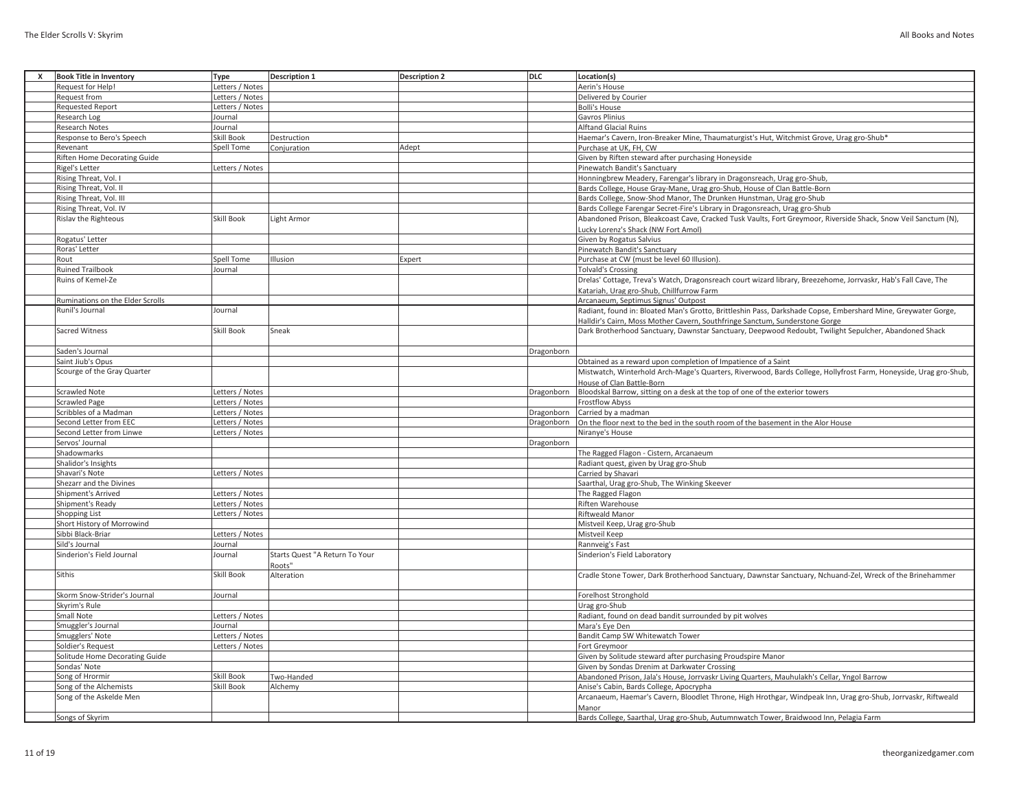| x | <b>Book Title in Inventory</b>      | <b>Type</b>       | Description 1                  | <b>Description 2</b> | DLC        | Location(s)                                                                                                      |
|---|-------------------------------------|-------------------|--------------------------------|----------------------|------------|------------------------------------------------------------------------------------------------------------------|
|   | Request for Help!                   | Letters / Notes   |                                |                      |            | Aerin's House                                                                                                    |
|   | Request from                        | Letters / Notes   |                                |                      |            | Delivered by Courier                                                                                             |
|   | <b>Requested Report</b>             | Letters / Notes   |                                |                      |            | <b>Bolli's House</b>                                                                                             |
|   | Research Log                        | Journal           |                                |                      |            | Gavros Plinius                                                                                                   |
|   | Research Notes                      | Journal           |                                |                      |            | <b>Alftand Glacial Ruins</b>                                                                                     |
|   | Response to Bero's Speech           | <b>Skill Book</b> | Destruction                    |                      |            | Haemar's Cavern, Iron-Breaker Mine, Thaumaturgist's Hut, Witchmist Grove, Urag gro-Shub*                         |
|   | Revenant                            | Spell Tome        | Conjuration                    | Adept                |            | Purchase at UK, FH, CW                                                                                           |
|   | <b>Riften Home Decorating Guide</b> |                   |                                |                      |            | Given by Riften steward after purchasing Honeyside                                                               |
|   | Rigel's Letter                      | Letters / Notes   |                                |                      |            | Pinewatch Bandit's Sanctuary                                                                                     |
|   | Rising Threat, Vol. I               |                   |                                |                      |            | Honningbrew Meadery, Farengar's library in Dragonsreach, Urag gro-Shub,                                          |
|   | Rising Threat, Vol. II              |                   |                                |                      |            | Bards College, House Gray-Mane, Urag gro-Shub, House of Clan Battle-Born                                         |
|   | Rising Threat, Vol. III             |                   |                                |                      |            | Bards College, Snow-Shod Manor, The Drunken Hunstman, Urag gro-Shub                                              |
|   | Rising Threat, Vol. IV              |                   |                                |                      |            | Bards College Farengar Secret-Fire's Library in Dragonsreach, Urag gro-Shub                                      |
|   | Rislav the Righteous                | Skill Book        | ight Armor.                    |                      |            | Abandoned Prison, Bleakcoast Cave, Cracked Tusk Vaults, Fort Greymoor, Riverside Shack, Snow Veil Sanctum (N),   |
|   |                                     |                   |                                |                      |            | Lucky Lorenz's Shack (NW Fort Amol)                                                                              |
|   | Rogatus' Letter                     |                   |                                |                      |            | Given by Rogatus Salvius                                                                                         |
|   | Roras' Letter                       |                   |                                |                      |            | Pinewatch Bandit's Sanctuary                                                                                     |
|   | Rout                                | <b>Spell Tome</b> | Illusion                       | Expert               |            | Purchase at CW (must be level 60 Illusion)                                                                       |
|   | <b>Ruined Trailbook</b>             | Journal           |                                |                      |            | <b>Tolvald's Crossing</b>                                                                                        |
|   | Ruins of Kemel-Ze                   |                   |                                |                      |            | Drelas' Cottage, Treva's Watch, Dragonsreach court wizard library, Breezehome, Jorrvaskr, Hab's Fall Cave, The   |
|   |                                     |                   |                                |                      |            | Katariah, Urag gro-Shub, Chillfurrow Farm                                                                        |
|   | Ruminations on the Elder Scrolls    |                   |                                |                      |            | Arcanaeum, Septimus Signus' Outpost                                                                              |
|   | Runil's Journal                     | Journal           |                                |                      |            | Radiant, found in: Bloated Man's Grotto, Brittleshin Pass, Darkshade Copse, Embershard Mine, Greywater Gorge,    |
|   |                                     |                   |                                |                      |            | Halldir's Cairn, Moss Mother Cavern, Southfringe Sanctum, Sunderstone Gorge                                      |
|   | Sacred Witness                      | <b>Skill Book</b> | Sneak                          |                      |            | Dark Brotherhood Sanctuary, Dawnstar Sanctuary, Deepwood Redoubt, Twilight Sepulcher, Abandoned Shack            |
|   |                                     |                   |                                |                      |            |                                                                                                                  |
|   | Saden's Journal                     |                   |                                |                      | Dragonborn |                                                                                                                  |
|   | Saint Jiub's Opus                   |                   |                                |                      |            | Obtained as a reward upon completion of Impatience of a Saint                                                    |
|   | Scourge of the Gray Quarter         |                   |                                |                      |            | Mistwatch, Winterhold Arch-Mage's Quarters, Riverwood, Bards College, Hollyfrost Farm, Honeyside, Urag gro-Shub, |
|   |                                     |                   |                                |                      |            | House of Clan Battle-Born                                                                                        |
|   | <b>Scrawled Note</b>                | Letters / Notes   |                                |                      | Dragonborn | Bloodskal Barrow, sitting on a desk at the top of one of the exterior towers                                     |
|   | <b>Scrawled Page</b>                | Letters / Notes   |                                |                      |            | Frostflow Abyss                                                                                                  |
|   | Scribbles of a Madman               | Letters / Notes   |                                |                      | Dragonborn | Carried by a madman                                                                                              |
|   | Second Letter from EEC              | Letters / Notes   |                                |                      | Dragonborn | On the floor next to the bed in the south room of the basement in the Alor House                                 |
|   | Second Letter from Linwe            | Letters / Notes   |                                |                      |            | Niranye's House                                                                                                  |
|   | Servos' Journal                     |                   |                                |                      | Dragonborn |                                                                                                                  |
|   | Shadowmarks                         |                   |                                |                      |            | The Ragged Flagon - Cistern, Arcanaeum                                                                           |
|   | Shalidor's Insights                 |                   |                                |                      |            | Radiant quest, given by Urag gro-Shub                                                                            |
|   | Shavari's Note                      | Letters / Notes   |                                |                      |            | Carried by Shavari                                                                                               |
|   | Shezarr and the Divines             |                   |                                |                      |            | Saarthal, Urag gro-Shub, The Winking Skeever                                                                     |
|   | Shipment's Arrived                  | Letters / Notes   |                                |                      |            | The Ragged Flagon                                                                                                |
|   | Shipment's Ready                    | Letters / Notes   |                                |                      |            | Riften Warehouse                                                                                                 |
|   | Shopping List                       | Letters / Notes   |                                |                      |            | Riftweald Manor                                                                                                  |
|   | Short History of Morrowind          |                   |                                |                      |            | Mistveil Keep, Urag gro-Shub                                                                                     |
|   | Sibbi Black-Briar                   | Letters / Notes   |                                |                      |            | Mistveil Keep                                                                                                    |
|   | Sild's Journal                      | Journal           |                                |                      |            | Rannveig's Fast                                                                                                  |
|   | Sinderion's Field Journal           | Journal           | Starts Quest "A Return To Your |                      |            | Sinderion's Field Laboratory                                                                                     |
|   |                                     |                   | Roots"                         |                      |            |                                                                                                                  |
|   | Sithis                              | Skill Book        | Alteration                     |                      |            | Cradle Stone Tower, Dark Brotherhood Sanctuary, Dawnstar Sanctuary, Nchuand-Zel, Wreck of the Brinehammer        |
|   |                                     |                   |                                |                      |            |                                                                                                                  |
|   | Skorm Snow-Strider's Journal        | Journal           |                                |                      |            | Forelhost Stronghold                                                                                             |
|   | Skyrim's Rule                       |                   |                                |                      |            | Urag gro-Shub                                                                                                    |
|   | Small Note                          | Letters / Notes   |                                |                      |            | Radiant, found on dead bandit surrounded by pit wolves                                                           |
|   | Smuggler's Journal                  | Journal           |                                |                      |            | Mara's Eye Den                                                                                                   |
|   | Smugglers' Note                     | Letters / Notes   |                                |                      |            | <b>Bandit Camp SW Whitewatch Tower</b>                                                                           |
|   | Soldier's Request                   | Letters / Notes   |                                |                      |            | Fort Greymoor                                                                                                    |
|   | Solitude Home Decorating Guide      |                   |                                |                      |            | Given by Solitude steward after purchasing Proudspire Manor                                                      |
|   | Sondas' Note                        |                   |                                |                      |            | Given by Sondas Drenim at Darkwater Crossing                                                                     |
|   | Song of Hrormir                     | <b>Skill Book</b> | Two-Handed                     |                      |            | Abandoned Prison, Jala's House, Jorrvaskr Living Quarters, Mauhulakh's Cellar, Yngol Barrow                      |
|   | Song of the Alchemists              | Skill Book        | Alchemy                        |                      |            | Anise's Cabin, Bards College, Apocrypha                                                                          |
|   | Song of the Askelde Men             |                   |                                |                      |            | Arcanaeum, Haemar's Cavern, Bloodlet Throne, High Hrothgar, Windpeak Inn, Urag gro-Shub, Jorrvaskr, Riftweald    |
|   |                                     |                   |                                |                      |            | Manor                                                                                                            |
|   | Songs of Skyrim                     |                   |                                |                      |            | Bards College, Saarthal, Urag gro-Shub, Autumnwatch Tower, Braidwood Inn, Pelagia Farm                           |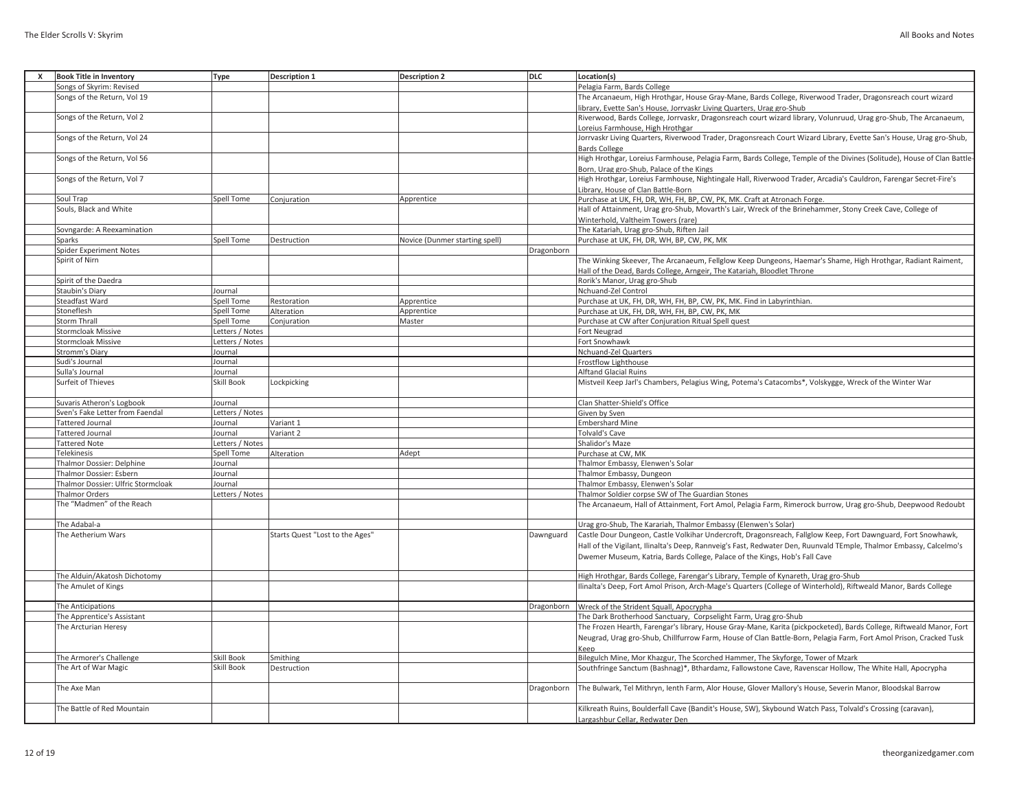| X | <b>Book Title in Inventory</b>     | <b>Type</b>           | <b>Description 1</b>            | <b>Description 2</b>           | DLC        | Location(s)                                                                                                           |
|---|------------------------------------|-----------------------|---------------------------------|--------------------------------|------------|-----------------------------------------------------------------------------------------------------------------------|
|   | Songs of Skyrim: Revised           |                       |                                 |                                |            | Pelagia Farm, Bards College                                                                                           |
|   | Songs of the Return, Vol 19        |                       |                                 |                                |            | The Arcanaeum, High Hrothgar, House Gray-Mane, Bards College, Riverwood Trader, Dragonsreach court wizard             |
|   |                                    |                       |                                 |                                |            | library, Evette San's House, Jorrvaskr Living Quarters, Urag gro-Shub                                                 |
|   | Songs of the Return, Vol 2         |                       |                                 |                                |            | Riverwood, Bards College, Jorrvaskr, Dragonsreach court wizard library, Volunruud, Urag gro-Shub, The Arcanaeum,      |
|   |                                    |                       |                                 |                                |            | Loreius Farmhouse, High Hrothgar                                                                                      |
|   | Songs of the Return, Vol 24        |                       |                                 |                                |            | Jorrvaskr Living Quarters, Riverwood Trader, Dragonsreach Court Wizard Library, Evette San's House, Urag gro-Shub,    |
|   |                                    |                       |                                 |                                |            | <b>Bards College</b>                                                                                                  |
|   | Songs of the Return, Vol 56        |                       |                                 |                                |            | High Hrothgar, Loreius Farmhouse, Pelagia Farm, Bards College, Temple of the Divines (Solitude), House of Clan Battle |
|   |                                    |                       |                                 |                                |            | Born, Urag gro-Shub, Palace of the Kings                                                                              |
|   | Songs of the Return, Vol 7         |                       |                                 |                                |            | High Hrothgar, Loreius Farmhouse, Nightingale Hall, Riverwood Trader, Arcadia's Cauldron, Farengar Secret-Fire's      |
|   |                                    |                       |                                 |                                |            | Library, House of Clan Battle-Born                                                                                    |
|   | Soul Trap                          | Spell Tome            | Conjuration                     | Apprentice                     |            | Purchase at UK, FH, DR, WH, FH, BP, CW, PK, MK. Craft at Atronach Forge.                                              |
|   | Souls, Black and White             |                       |                                 |                                |            | Hall of Attainment, Urag gro-Shub, Movarth's Lair, Wreck of the Brinehammer, Stony Creek Cave, College of             |
|   |                                    |                       |                                 |                                |            | Winterhold, Valtheim Towers (rare)                                                                                    |
|   | Sovngarde: A Reexamination         |                       |                                 |                                |            | The Katariah, Urag gro-Shub, Riften Jail                                                                              |
|   | Sparks                             | Spell Tome            | Destruction                     | Novice (Dunmer starting spell) |            | Purchase at UK, FH, DR, WH, BP, CW, PK, MK                                                                            |
|   | <b>Spider Experiment Notes</b>     |                       |                                 |                                | Dragonborn |                                                                                                                       |
|   | Spirit of Nirn                     |                       |                                 |                                |            | The Winking Skeever, The Arcanaeum, Fellglow Keep Dungeons, Haemar's Shame, High Hrothgar, Radiant Raiment,           |
|   |                                    |                       |                                 |                                |            |                                                                                                                       |
|   | Spirit of the Daedra               |                       |                                 |                                |            | Hall of the Dead, Bards College, Arngeir, The Katariah, Bloodlet Throne<br>Rorik's Manor, Urag gro-Shub               |
|   |                                    |                       |                                 |                                |            |                                                                                                                       |
|   | Staubin's Diary<br>Steadfast Ward  | Journal<br>Spell Tome | Restoration                     |                                |            | Nchuand-Zel Control<br>Purchase at UK, FH, DR, WH, FH, BP, CW, PK, MK. Find in Labyrinthian.                          |
|   |                                    |                       |                                 | Apprentice                     |            |                                                                                                                       |
|   | Stoneflesh                         | Spell Tome            | Alteration                      | Apprentice                     |            | Purchase at UK, FH, DR, WH, FH, BP, CW, PK, MK                                                                        |
|   | <b>Storm Thrall</b>                | Spell Tome            | Conjuration                     | Master                         |            | Purchase at CW after Conjuration Ritual Spell quest                                                                   |
|   | <b>Stormcloak Missive</b>          | Letters / Notes       |                                 |                                |            | Fort Neugrad                                                                                                          |
|   | <b>Stormcloak Missive</b>          | Letters / Notes       |                                 |                                |            | Fort Snowhawk                                                                                                         |
|   | Stromm's Diary                     | Journal               |                                 |                                |            | Nchuand-Zel Quarters                                                                                                  |
|   | Sudi's Journal                     | Journal               |                                 |                                |            | Frostflow Lighthouse                                                                                                  |
|   | Sulla's Journal                    | Journal               |                                 |                                |            | <b>Alftand Glacial Ruins</b>                                                                                          |
|   | Surfeit of Thieves                 | <b>Skill Book</b>     | Lockpicking                     |                                |            | Mistveil Keep Jarl's Chambers, Pelagius Wing, Potema's Catacombs*, Volskygge, Wreck of the Winter War                 |
|   | Suvaris Atheron's Logbook          | Journal               |                                 |                                |            | Clan Shatter-Shield's Office                                                                                          |
|   | Sven's Fake Letter from Faendal    | Letters / Notes       |                                 |                                |            | Given by Sven                                                                                                         |
|   | <b>Tattered Journal</b>            | Journal               | Variant 1                       |                                |            | <b>Embershard Mine</b>                                                                                                |
|   | <b>Tattered Journal</b>            | Journal               | Variant 2                       |                                |            | Tolvald's Cave                                                                                                        |
|   | <b>Tattered Note</b>               | Letters / Notes       |                                 |                                |            | Shalidor's Maze                                                                                                       |
|   | <b>Telekinesis</b>                 | Spell Tome            | Alteration                      | Adept                          |            | Purchase at CW. MK                                                                                                    |
|   | Thalmor Dossier: Delphine          | Journal               |                                 |                                |            | Thalmor Embassy, Elenwen's Solar                                                                                      |
|   | Thalmor Dossier: Esbern            | Journal               |                                 |                                |            | Thalmor Embassy, Dungeon                                                                                              |
|   | Thalmor Dossier: Ulfric Stormcloak | Journal               |                                 |                                |            | Thalmor Embassy, Elenwen's Solar                                                                                      |
|   | <b>Thalmor Orders</b>              | Letters / Notes       |                                 |                                |            | Thalmor Soldier corpse SW of The Guardian Stones                                                                      |
|   | The "Madmen" of the Reach          |                       |                                 |                                |            | The Arcanaeum, Hall of Attainment, Fort Amol, Pelagia Farm, Rimerock burrow, Urag gro-Shub, Deepwood Redoubt          |
|   |                                    |                       |                                 |                                |            |                                                                                                                       |
|   | The Adabal-a                       |                       |                                 |                                |            | Urag gro-Shub, The Karariah, Thalmor Embassy (Elenwen's Solar)                                                        |
|   | The Aetherium Wars                 |                       | Starts Quest "Lost to the Ages" |                                | Dawnguard  | Castle Dour Dungeon, Castle Volkihar Undercroft, Dragonsreach, Fallglow Keep, Fort Dawnguard, Fort Snowhawk,          |
|   |                                    |                       |                                 |                                |            | Hall of the Vigilant, Ilinalta's Deep, Rannveig's Fast, Redwater Den, Ruunvald TEmple, Thalmor Embassy, Calcelmo's    |
|   |                                    |                       |                                 |                                |            | Dwemer Museum, Katria, Bards College, Palace of the Kings, Hob's Fall Cave                                            |
|   |                                    |                       |                                 |                                |            |                                                                                                                       |
|   | The Alduin/Akatosh Dichotomy       |                       |                                 |                                |            | High Hrothgar, Bards College, Farengar's Library, Temple of Kynareth, Urag gro-Shub                                   |
|   | The Amulet of Kings                |                       |                                 |                                |            | Ilinalta's Deep, Fort Amol Prison, Arch-Mage's Quarters (College of Winterhold), Riftweald Manor, Bards College       |
|   |                                    |                       |                                 |                                |            |                                                                                                                       |
|   | The Anticipations                  |                       |                                 |                                | Dragonborn | Wreck of the Strident Squall, Apocrypha                                                                               |
|   | The Apprentice's Assistant         |                       |                                 |                                |            | The Dark Brotherhood Sanctuary, Corpselight Farm, Urag gro-Shub                                                       |
|   | The Arcturian Heresy               |                       |                                 |                                |            | The Frozen Hearth, Farengar's library, House Gray-Mane, Karita (pickpocketed), Bards College, Riftweald Manor, Fort   |
|   |                                    |                       |                                 |                                |            | Neugrad, Urag gro-Shub, Chillfurrow Farm, House of Clan Battle-Born, Pelagia Farm, Fort Amol Prison, Cracked Tusk     |
|   | The Armorer's Challenge            | Skill Book            | Smithing                        |                                |            | Keep<br>Bilegulch Mine, Mor Khazgur, The Scorched Hammer, The Skyforge, Tower of Mzark                                |
|   | The Art of War Magic               | Skill Book            | Destruction                     |                                |            | Southfringe Sanctum (Bashnag)*, Bthardamz, Fallowstone Cave, Ravenscar Hollow, The White Hall, Apocrypha              |
|   |                                    |                       |                                 |                                |            |                                                                                                                       |
|   | The Axe Man                        |                       |                                 |                                | Dragonborn | The Bulwark, Tel Mithryn, lenth Farm, Alor House, Glover Mallory's House, Severin Manor, Bloodskal Barrow             |
|   | The Battle of Red Mountain         |                       |                                 |                                |            | Kilkreath Ruins, Boulderfall Cave (Bandit's House, SW), Skybound Watch Pass, Tolvald's Crossing (caravan),            |
|   |                                    |                       |                                 |                                |            | Largashbur Cellar, Redwater Den-                                                                                      |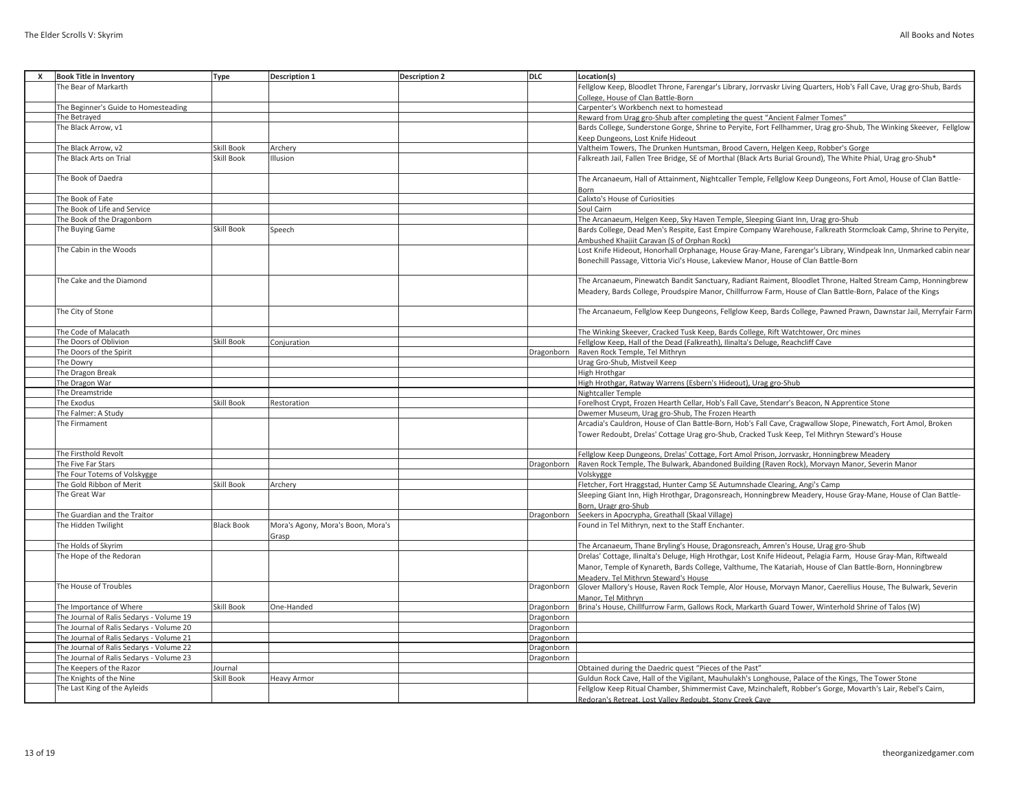| <b>Book Title in Inventory</b>           | Type              | <b>Description 1</b>                       | <b>Description 2</b> | <b>DLC</b> | Location(s)                                                                                                                                                                                                    |
|------------------------------------------|-------------------|--------------------------------------------|----------------------|------------|----------------------------------------------------------------------------------------------------------------------------------------------------------------------------------------------------------------|
| The Bear of Markarth                     |                   |                                            |                      |            | Fellglow Keep, Bloodlet Throne, Farengar's Library, Jorrvaskr Living Quarters, Hob's Fall Cave, Urag gro-Shub, Bards                                                                                           |
|                                          |                   |                                            |                      |            | College, House of Clan Battle-Born                                                                                                                                                                             |
| The Beginner's Guide to Homesteading     |                   |                                            |                      |            | Carpenter's Workbench next to homestead                                                                                                                                                                        |
| The Betrayed                             |                   |                                            |                      |            | Reward from Urag gro-Shub after completing the quest "Ancient Falmer Tomes"                                                                                                                                    |
| The Black Arrow, v1                      |                   |                                            |                      |            | Bards College, Sunderstone Gorge, Shrine to Peryite, Fort Fellhammer, Urag gro-Shub, The Winking Skeever, Fellglow                                                                                             |
|                                          |                   |                                            |                      |            | Keep Dungeons, Lost Knife Hideout                                                                                                                                                                              |
| The Black Arrow, v2                      | Skill Book        | Archerv                                    |                      |            | Valtheim Towers, The Drunken Huntsman, Brood Cavern, Helgen Keep, Robber's Gorge                                                                                                                               |
| The Black Arts on Trial                  | Skill Book        | <b>Illusion</b>                            |                      |            | Falkreath Jail, Fallen Tree Bridge, SE of Morthal (Black Arts Burial Ground), The White Phial, Urag gro-Shub*                                                                                                  |
| The Book of Daedra                       |                   |                                            |                      |            | The Arcanaeum, Hall of Attainment, Nightcaller Temple, Fellglow Keep Dungeons, Fort Amol, House of Clan Battle-<br>Born                                                                                        |
| The Book of Fate                         |                   |                                            |                      |            | Calixto's House of Curiosities                                                                                                                                                                                 |
| The Book of Life and Service             |                   |                                            |                      |            | Soul Cairn                                                                                                                                                                                                     |
| The Book of the Dragonborn               |                   |                                            |                      |            | The Arcanaeum, Helgen Keep, Sky Haven Temple, Sleeping Giant Inn, Urag gro-Shub                                                                                                                                |
| The Buying Game                          | <b>Skill Book</b> | Speech                                     |                      |            | Bards College, Dead Men's Respite, East Empire Company Warehouse, Falkreath Stormcloak Camp, Shrine to Peryite,                                                                                                |
|                                          |                   |                                            |                      |            | Ambushed Khajiit Caravan (S of Orphan Rock)                                                                                                                                                                    |
| The Cabin in the Woods                   |                   |                                            |                      |            | Lost Knife Hideout, Honorhall Orphanage, House Gray-Mane, Farengar's Library, Windpeak Inn, Unmarked cabin near                                                                                                |
|                                          |                   |                                            |                      |            | Bonechill Passage, Vittoria Vici's House, Lakeview Manor, House of Clan Battle-Born                                                                                                                            |
| The Cake and the Diamond                 |                   |                                            |                      |            | The Arcanaeum, Pinewatch Bandit Sanctuary, Radiant Raiment, Bloodlet Throne, Halted Stream Camp, Honningbrew                                                                                                   |
|                                          |                   |                                            |                      |            | Meadery, Bards College, Proudspire Manor, Chillfurrow Farm, House of Clan Battle-Born, Palace of the Kings                                                                                                     |
|                                          |                   |                                            |                      |            |                                                                                                                                                                                                                |
| The City of Stone                        |                   |                                            |                      |            | The Arcanaeum, Fellglow Keep Dungeons, Fellglow Keep, Bards College, Pawned Prawn, Dawnstar Jail, Merryfair Farm                                                                                               |
| The Code of Malacath                     |                   |                                            |                      |            | The Winking Skeever, Cracked Tusk Keep, Bards College, Rift Watchtower, Orc mines                                                                                                                              |
| The Doors of Oblivion                    | Skill Book        | Conjuration                                |                      |            | Fellglow Keep, Hall of the Dead (Falkreath), Ilinalta's Deluge, Reachcliff Cave                                                                                                                                |
| The Doors of the Spirit                  |                   |                                            |                      | Dragonborn | Raven Rock Temple, Tel Mithryn                                                                                                                                                                                 |
| The Dowry                                |                   |                                            |                      |            | Urag Gro-Shub, Mistveil Keep                                                                                                                                                                                   |
| The Dragon Break                         |                   |                                            |                      |            | High Hrothgar                                                                                                                                                                                                  |
| The Dragon War                           |                   |                                            |                      |            | High Hrothgar, Ratway Warrens (Esbern's Hideout), Urag gro-Shub                                                                                                                                                |
| The Dreamstride                          |                   |                                            |                      |            | Nightcaller Temple                                                                                                                                                                                             |
| The Exodus                               | Skill Book        | Restoration                                |                      |            | Forelhost Crypt, Frozen Hearth Cellar, Hob's Fall Cave, Stendarr's Beacon, N Apprentice Stone                                                                                                                  |
| The Falmer: A Study                      |                   |                                            |                      |            | Dwemer Museum, Urag gro-Shub, The Frozen Hearth                                                                                                                                                                |
| The Firmament                            |                   |                                            |                      |            | Arcadia's Cauldron, House of Clan Battle-Born, Hob's Fall Cave, Cragwallow Slope, Pinewatch, Fort Amol, Broken<br>Tower Redoubt, Drelas' Cottage Urag gro-Shub, Cracked Tusk Keep, Tel Mithryn Steward's House |
| The Firsthold Revolt                     |                   |                                            |                      |            | Fellglow Keep Dungeons, Drelas' Cottage, Fort Amol Prison, Jorrvaskr, Honningbrew Meadery                                                                                                                      |
| The Five Far Stars                       |                   |                                            |                      | Dragonborn | Raven Rock Temple, The Bulwark, Abandoned Building (Raven Rock), Morvayn Manor, Severin Manor                                                                                                                  |
| The Four Totems of Volskygge             |                   |                                            |                      |            | Volskvgge                                                                                                                                                                                                      |
| The Gold Ribbon of Merit                 | Skill Book        | Archery                                    |                      |            | Fletcher, Fort Hraggstad, Hunter Camp SE Autumnshade Clearing, Angi's Camp                                                                                                                                     |
| The Great War                            |                   |                                            |                      |            | Sleeping Giant Inn, High Hrothgar, Dragonsreach, Honningbrew Meadery, House Gray-Mane, House of Clan Battle-                                                                                                   |
|                                          |                   |                                            |                      |            | Born, Uragr gro-Shub                                                                                                                                                                                           |
| The Guardian and the Traitor             |                   |                                            |                      | Dragonborn | Seekers in Apocrypha, Greathall (Skaal Village)                                                                                                                                                                |
| The Hidden Twilight                      | <b>Black Book</b> | Mora's Agony, Mora's Boon, Mora's<br>Grasp |                      |            | Found in Tel Mithryn, next to the Staff Enchanter.                                                                                                                                                             |
| The Holds of Skyrim                      |                   |                                            |                      |            | The Arcanaeum, Thane Bryling's House, Dragonsreach, Amren's House, Urag gro-Shub                                                                                                                               |
| The Hope of the Redoran                  |                   |                                            |                      |            | Drelas' Cottage, Ilinalta's Deluge, High Hrothgar, Lost Knife Hideout, Pelagia Farm, House Gray-Man, Riftweald                                                                                                 |
|                                          |                   |                                            |                      |            | Manor, Temple of Kynareth, Bards College, Valthume, The Katariah, House of Clan Battle-Born, Honningbrew                                                                                                       |
| The House of Troubles                    |                   |                                            |                      | Dragonborn | Meadery. Tel Mithryn Steward's House<br>Glover Mallory's House, Raven Rock Temple, Alor House, Morvayn Manor, Caerellius House, The Bulwark, Severin                                                           |
|                                          |                   |                                            |                      |            | Manor. Tel Mithryn                                                                                                                                                                                             |
| The Importance of Where                  | Skill Book        | One-Handed                                 |                      | Dragonborn | Brina's House, Chillfurrow Farm, Gallows Rock, Markarth Guard Tower, Winterhold Shrine of Talos (W)                                                                                                            |
| The Journal of Ralis Sedarys - Volume 19 |                   |                                            |                      | Dragonborn |                                                                                                                                                                                                                |
| The Journal of Ralis Sedarys - Volume 20 |                   |                                            |                      | Dragonborn |                                                                                                                                                                                                                |
| The Journal of Ralis Sedarys - Volume 21 |                   |                                            |                      | Dragonborn |                                                                                                                                                                                                                |
|                                          |                   |                                            |                      |            |                                                                                                                                                                                                                |

The Journal of Ralis Sedarys - Volume 22 Dragonborn<br>
The Journal of Ralis Sedarys - Volume 23 Dragonborn<br>
Dragonborn

The Keepers of the Razor Journal Journal Journal Journal Chamber of the Past" Culturing the Daedric quest "Pieces of the Past" Culturing the Daedric quest "Pieces of the Past" Culturing the Obtained during the Daedric ques

The Knights of the Nine Skill Book Heavy Armor School Heavy Armor Stone School Heavy Armor Stone School Heavy Armor Stone School Heavy Armor Stone School Heavy Armor Stone School Heavy Armor Stone School Heavy Armor Stone

Fellglow Keep Ritual Chamber, Shimmermist Cave, Mzinchaleft, Robber's Gorge, Movarth's Lair, Rebel's Cairn,

Redoran's Retreat, Lost Valley Redoubt, Stony Creek Cave

The Journal of Ralis Sedarys - Volume 23<br>The Keepers of the Razor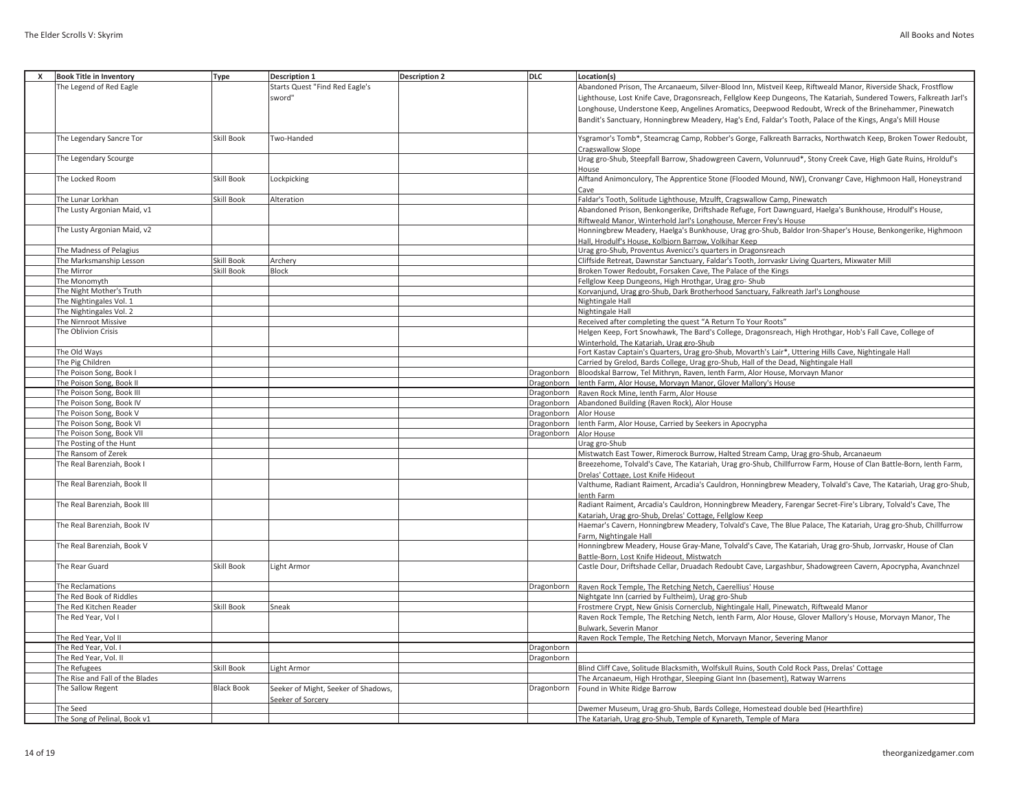| x | <b>Book Title in Inventory</b>  | <b>Type</b>       | <b>Description 1</b>                | <b>Description 2</b> | <b>DLC</b> | Location(s)                                                                                                                                                                |
|---|---------------------------------|-------------------|-------------------------------------|----------------------|------------|----------------------------------------------------------------------------------------------------------------------------------------------------------------------------|
|   | The Legend of Red Eagle         |                   | Starts Quest "Find Red Eagle's      |                      |            | Abandoned Prison, The Arcanaeum, Silver-Blood Inn, Mistveil Keep, Riftweald Manor, Riverside Shack, Frostflow                                                              |
|   |                                 |                   | sword"                              |                      |            | Lighthouse, Lost Knife Cave, Dragonsreach, Fellglow Keep Dungeons, The Katariah, Sundered Towers, Falkreath Jarl's                                                         |
|   |                                 |                   |                                     |                      |            | Longhouse, Understone Keep, Angelines Aromatics, Deepwood Redoubt, Wreck of the Brinehammer, Pinewatch                                                                     |
|   |                                 |                   |                                     |                      |            | Bandit's Sanctuary, Honningbrew Meadery, Hag's End, Faldar's Tooth, Palace of the Kings, Anga's Mill House                                                                 |
|   |                                 |                   |                                     |                      |            |                                                                                                                                                                            |
|   | The Legendary Sancre Tor        | <b>Skill Book</b> | Two-Handed                          |                      |            | Ysgramor's Tomb*, Steamcrag Camp, Robber's Gorge, Falkreath Barracks, Northwatch Keep, Broken Tower Redoubt,                                                               |
|   |                                 |                   |                                     |                      |            | Cragswallow Slope                                                                                                                                                          |
|   | The Legendary Scourge           |                   |                                     |                      |            | Urag gro-Shub, Steepfall Barrow, Shadowgreen Cavern, Volunruud*, Stony Creek Cave, High Gate Ruins, Hrolduf's                                                              |
|   |                                 |                   |                                     |                      |            | House                                                                                                                                                                      |
|   | The Locked Room                 | Skill Book        | Lockpicking                         |                      |            | Alftand Animonculory, The Apprentice Stone (Flooded Mound, NW), Cronvangr Cave, Highmoon Hall, Honeystrand                                                                 |
|   |                                 |                   |                                     |                      |            | Cave                                                                                                                                                                       |
|   | The Lunar Lorkhan               | <b>Skill Book</b> | Alteration                          |                      |            | Faldar's Tooth, Solitude Lighthouse, Mzulft, Cragswallow Camp, Pinewatch                                                                                                   |
|   | The Lusty Argonian Maid, v1     |                   |                                     |                      |            | Abandoned Prison, Benkongerike, Driftshade Refuge, Fort Dawnguard, Haelga's Bunkhouse, Hrodulf's House,                                                                    |
|   |                                 |                   |                                     |                      |            | Riftweald Manor, Winterhold Jarl's Longhouse, Mercer Frey's House                                                                                                          |
|   | The Lusty Argonian Maid, v2     |                   |                                     |                      |            | Honningbrew Meadery, Haelga's Bunkhouse, Urag gro-Shub, Baldor Iron-Shaper's House, Benkongerike, Highmoon                                                                 |
|   |                                 |                   |                                     |                      |            | Hall, Hrodulf's House, Kolbjorn Barrow, Volkihar Keep                                                                                                                      |
|   | The Madness of Pelagius         |                   |                                     |                      |            | Urag gro-Shub, Proventus Avenicci's quarters in Dragonsreach                                                                                                               |
|   | The Marksmanship Lesson         | <b>Skill Book</b> | Archery                             |                      |            | Cliffside Retreat, Dawnstar Sanctuary, Faldar's Tooth, Jorrvaskr Living Quarters, Mixwater Mill                                                                            |
|   | The Mirror                      | <b>Skill Book</b> | Block                               |                      |            | Broken Tower Redoubt, Forsaken Cave, The Palace of the Kings                                                                                                               |
|   |                                 |                   |                                     |                      |            |                                                                                                                                                                            |
|   | The Monomyth                    |                   |                                     |                      |            | Fellglow Keep Dungeons, High Hrothgar, Urag gro-Shub                                                                                                                       |
|   | The Night Mother's Truth        |                   |                                     |                      |            | Korvanjund, Urag gro-Shub, Dark Brotherhood Sanctuary, Falkreath Jarl's Longhouse                                                                                          |
|   | The Nightingales Vol. 1         |                   |                                     |                      |            | Nightingale Hall                                                                                                                                                           |
|   | The Nightingales Vol. 2         |                   |                                     |                      |            | Nightingale Hall                                                                                                                                                           |
|   | The Nirnroot Missive            |                   |                                     |                      |            | Received after completing the quest "A Return To Your Roots"                                                                                                               |
|   | The Oblivion Crisis             |                   |                                     |                      |            | Helgen Keep, Fort Snowhawk, The Bard's College, Dragonsreach, High Hrothgar, Hob's Fall Cave, College of                                                                   |
|   |                                 |                   |                                     |                      |            | Winterhold, The Katariah, Urag gro-Shub                                                                                                                                    |
|   | The Old Ways                    |                   |                                     |                      |            | Fort Kastav Captain's Quarters, Urag gro-Shub, Movarth's Lair*, Uttering Hills Cave, Nightingale Hall                                                                      |
|   | The Pig Children                |                   |                                     |                      |            | Carried by Grelod, Bards College, Urag gro-Shub, Hall of the Dead, Nightingale Hall                                                                                        |
|   | The Poison Song, Book I         |                   |                                     |                      | Dragonborn | Bloodskal Barrow, Tel Mithryn, Raven, Ienth Farm, Alor House, Morvayn Manor                                                                                                |
|   | The Poison Song, Book II        |                   |                                     |                      | Dragonborn | lenth Farm, Alor House, Morvayn Manor, Glover Mallory's House                                                                                                              |
|   | The Poison Song, Book III       |                   |                                     |                      | Dragonborn | Raven Rock Mine, lenth Farm, Alor House                                                                                                                                    |
|   | The Poison Song, Book IV        |                   |                                     |                      | Dragonborn | Abandoned Building (Raven Rock), Alor House                                                                                                                                |
|   | The Poison Song, Book V         |                   |                                     |                      | Dragonborn | Alor House                                                                                                                                                                 |
|   | The Poison Song, Book VI        |                   |                                     |                      | Dragonborn | lenth Farm, Alor House, Carried by Seekers in Apocrypha                                                                                                                    |
|   | The Poison Song, Book VII       |                   |                                     |                      | Dragonborn | Alor House                                                                                                                                                                 |
|   | The Posting of the Hunt         |                   |                                     |                      |            | Urag gro-Shub                                                                                                                                                              |
|   | The Ransom of Zerek             |                   |                                     |                      |            | Mistwatch East Tower, Rimerock Burrow, Halted Stream Camp, Urag gro-Shub, Arcanaeum                                                                                        |
|   | The Real Barenziah, Book I      |                   |                                     |                      |            | Breezehome, Tolvald's Cave, The Katariah, Urag gro-Shub, Chillfurrow Farm, House of Clan Battle-Born, lenth Farm,                                                          |
|   |                                 |                   |                                     |                      |            | Drelas' Cottage, Lost Knife Hideout                                                                                                                                        |
|   | The Real Barenziah, Book II     |                   |                                     |                      |            | Valthume, Radiant Raiment, Arcadia's Cauldron, Honningbrew Meadery, Tolvald's Cave, The Katariah, Urag gro-Shub                                                            |
|   |                                 |                   |                                     |                      |            | lenth Farm                                                                                                                                                                 |
|   | The Real Barenziah, Book III    |                   |                                     |                      |            | Radiant Raiment, Arcadia's Cauldron, Honningbrew Meadery, Farengar Secret-Fire's Library, Tolvald's Cave, The                                                              |
|   |                                 |                   |                                     |                      |            |                                                                                                                                                                            |
|   | The Real Barenziah, Book IV     |                   |                                     |                      |            | Katariah, Urag gro-Shub, Drelas' Cottage, Fellglow Keep<br>Haemar's Cavern, Honningbrew Meadery, Tolvald's Cave, The Blue Palace, The Katariah, Urag gro-Shub, Chillfurrow |
|   |                                 |                   |                                     |                      |            |                                                                                                                                                                            |
|   |                                 |                   |                                     |                      |            | Farm. Nightingale Hall                                                                                                                                                     |
|   | The Real Barenziah, Book V      |                   |                                     |                      |            | Honningbrew Meadery, House Gray-Mane, Tolvald's Cave, The Katariah, Urag gro-Shub, Jorrvaskr, House of Clan                                                                |
|   |                                 |                   |                                     |                      |            | Battle-Born, Lost Knife Hideout, Mistwatch                                                                                                                                 |
|   | The Rear Guard                  | <b>Skill Book</b> | Light Armor                         |                      |            | Castle Dour, Driftshade Cellar, Druadach Redoubt Cave, Largashbur, Shadowgreen Cavern, Apocrypha, Avanchnzel                                                               |
|   |                                 |                   |                                     |                      |            |                                                                                                                                                                            |
|   | The Reclamations                |                   |                                     |                      | Dragonborn | Raven Rock Temple, The Retching Netch, Caerellius' House                                                                                                                   |
|   | The Red Book of Riddles         |                   |                                     |                      |            | Nightgate Inn (carried by Fultheim), Urag gro-Shub                                                                                                                         |
|   | The Red Kitchen Reader          | <b>Skill Book</b> | Sneak                               |                      |            | Frostmere Crypt, New Gnisis Cornerclub, Nightingale Hall, Pinewatch, Riftweald Manor                                                                                       |
|   | The Red Year, Vol I             |                   |                                     |                      |            | Raven Rock Temple, The Retching Netch, lenth Farm, Alor House, Glover Mallory's House, Morvayn Manor, The                                                                  |
|   |                                 |                   |                                     |                      |            | Bulwark, Severin Manor                                                                                                                                                     |
|   | The Red Year, Vol II            |                   |                                     |                      |            | Raven Rock Temple, The Retching Netch, Morvayn Manor, Severing Manor                                                                                                       |
|   | The Red Year, Vol. I            |                   |                                     |                      | Dragonborn |                                                                                                                                                                            |
|   | The Red Year, Vol. II           |                   |                                     |                      | Dragonborn |                                                                                                                                                                            |
|   | The Refugees                    | Skill Book        | Light Armor                         |                      |            | Blind Cliff Cave, Solitude Blacksmith, Wolfskull Ruins, South Cold Rock Pass, Drelas' Cottage                                                                              |
|   | The Rise and Fall of the Blades |                   |                                     |                      |            | The Arcanaeum, High Hrothgar, Sleeping Giant Inn (basement), Ratway Warrens                                                                                                |
|   | The Sallow Regent               | <b>Black Book</b> | Seeker of Might, Seeker of Shadows, |                      | Dragonborn | Found in White Ridge Barrow                                                                                                                                                |
|   |                                 |                   | Seeker of Sorcery                   |                      |            |                                                                                                                                                                            |
|   | The Seed                        |                   |                                     |                      |            | Dwemer Museum, Urag gro-Shub, Bards College, Homestead double bed (Hearthfire)                                                                                             |
|   | The Song of Pelinal, Book v1    |                   |                                     |                      |            | The Katariah, Urag gro-Shub, Temple of Kynareth, Temple of Mara                                                                                                            |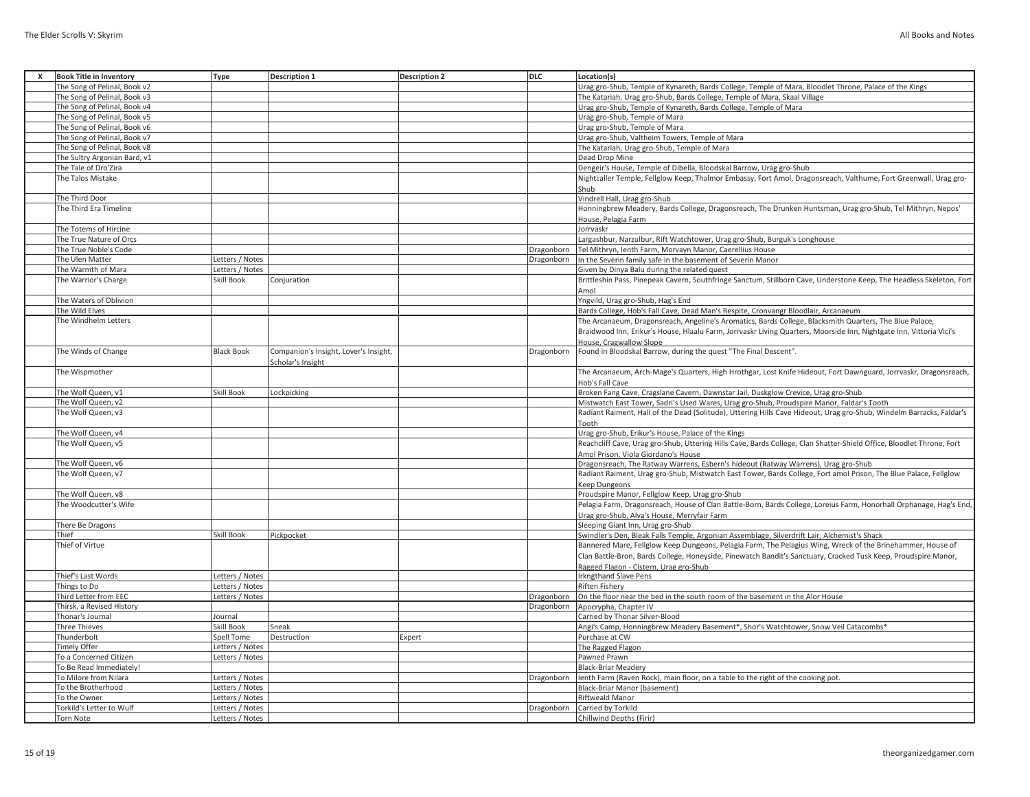| X | <b>Book Title in Inventory</b> | Type              | <b>Description 1</b>                  | <b>Description 2</b> | <b>DLC</b> | <b>Location(s)</b>                                                                                                    |
|---|--------------------------------|-------------------|---------------------------------------|----------------------|------------|-----------------------------------------------------------------------------------------------------------------------|
|   | The Song of Pelinal, Book v2   |                   |                                       |                      |            | Urag gro-Shub, Temple of Kynareth, Bards College, Temple of Mara, Bloodlet Throne, Palace of the Kings                |
|   | The Song of Pelinal, Book v3   |                   |                                       |                      |            | The Katariah, Urag gro-Shub, Bards College, Temple of Mara, Skaal Village                                             |
|   | The Song of Pelinal, Book v4   |                   |                                       |                      |            | Urag gro-Shub, Temple of Kynareth, Bards College, Temple of Mara                                                      |
|   | The Song of Pelinal, Book v5   |                   |                                       |                      |            | Urag gro-Shub, Temple of Mara                                                                                         |
|   | The Song of Pelinal, Book v6   |                   |                                       |                      |            | Urag gro-Shub, Temple of Mara                                                                                         |
|   | The Song of Pelinal, Book v7   |                   |                                       |                      |            | Urag gro-Shub, Valtheim Towers, Temple of Mara                                                                        |
|   | The Song of Pelinal, Book v8   |                   |                                       |                      |            | The Katariah, Urag gro-Shub, Temple of Mara                                                                           |
|   | The Sultry Argonian Bard, v1   |                   |                                       |                      |            | Dead Drop Mine                                                                                                        |
|   | The Tale of Dro'Zira           |                   |                                       |                      |            | Dengeir's House, Temple of Dibella, Bloodskal Barrow, Urag gro-Shub                                                   |
|   | The Talos Mistake              |                   |                                       |                      |            |                                                                                                                       |
|   |                                |                   |                                       |                      |            | Nightcaller Temple, Fellglow Keep, Thalmor Embassy, Fort Amol, Dragonsreach, Valthume, Fort Greenwall, Urag gro-      |
|   |                                |                   |                                       |                      |            | Shub                                                                                                                  |
|   | The Third Door                 |                   |                                       |                      |            | Vindrell Hall, Urag gro-Shub                                                                                          |
|   | The Third Era Timeline         |                   |                                       |                      |            | Honningbrew Meadery, Bards College, Dragonsreach, The Drunken Huntsman, Urag gro-Shub, Tel Mithryn, Nepos'            |
|   |                                |                   |                                       |                      |            | House, Pelagia Farm                                                                                                   |
|   | The Totems of Hircine          |                   |                                       |                      |            | Jorrvaskr                                                                                                             |
|   | The True Nature of Orcs        |                   |                                       |                      |            | Largashbur, Narzulbur, Rift Watchtower, Urag gro-Shub, Burguk's Longhouse                                             |
|   | The True Noble's Code          |                   |                                       |                      | Dragonborn | Tel Mithryn, Ienth Farm, Morvayn Manor, Caerellius House                                                              |
|   | The Ulen Matter                | Letters / Notes   |                                       |                      | Dragonborn | In the Severin family safe in the basement of Severin Manor                                                           |
|   | The Warmth of Mara             | Letters / Notes   |                                       |                      |            | Given by Dinya Balu during the related quest                                                                          |
|   | The Warrior's Charge           | <b>Skill Book</b> | Conjuration                           |                      |            | Brittleshin Pass, Pinepeak Cavern, Southfringe Sanctum, Stillborn Cave, Understone Keep, The Headless Skeleton, Fort  |
|   |                                |                   |                                       |                      |            | Amol                                                                                                                  |
|   | The Waters of Oblivion         |                   |                                       |                      |            | Yngvild, Urag gro-Shub, Hag's End                                                                                     |
|   | The Wild Elves                 |                   |                                       |                      |            | Bards College, Hob's Fall Cave, Dead Man's Respite, Cronvangr Bloodlair, Arcanaeum                                    |
|   | The Windhelm Letters           |                   |                                       |                      |            | The Arcanaeum, Dragonsreach, Angeline's Aromatics, Bards College, Blacksmith Quarters, The Blue Palace,               |
|   |                                |                   |                                       |                      |            | Braidwood Inn, Erikur's House, Hlaalu Farm, Jorrvaskr Living Quarters, Moorside Inn, Nightgate Inn, Vittoria Vici's   |
|   |                                |                   |                                       |                      |            | House, Cragwallow Slope                                                                                               |
|   | The Winds of Change            | <b>Black Book</b> | Companion's Insight, Lover's Insight, |                      | Dragonborn | Found in Bloodskal Barrow, during the quest "The Final Descent".                                                      |
|   |                                |                   | Scholar's Insight                     |                      |            |                                                                                                                       |
|   | The Wispmother                 |                   |                                       |                      |            | The Arcanaeum, Arch-Mage's Quarters, High Hrothgar, Lost Knife Hideout, Fort Dawnguard, Jorrvaskr, Dragonsreach,      |
|   |                                |                   |                                       |                      |            | Hob's Fall Cave                                                                                                       |
|   | The Wolf Queen, v1             | Skill Book        | Lockpicking                           |                      |            | Broken Fang Cave, Cragslane Cavern, Dawnstar Jail, Duskglow Crevice, Urag gro-Shub                                    |
|   | The Wolf Queen, v2             |                   |                                       |                      |            | Mistwatch East Tower, Sadri's Used Wares, Urag gro-Shub, Proudspire Manor, Faldar's Tooth                             |
|   | The Wolf Queen, v3             |                   |                                       |                      |            | Radiant Raiment, Hall of the Dead (Solitude), Uttering Hills Cave Hideout, Urag gro-Shub, Windelm Barracks, Faldar's  |
|   |                                |                   |                                       |                      |            |                                                                                                                       |
|   | The Wolf Queen, v4             |                   |                                       |                      |            | Tooth                                                                                                                 |
|   |                                |                   |                                       |                      |            | Urag gro-Shub, Erikur's House, Palace of the Kings                                                                    |
|   | The Wolf Queen, v5             |                   |                                       |                      |            | Reachcliff Cave, Urag gro-Shub, Uttering Hills Cave, Bards College, Clan Shatter-Shield Office, Bloodlet Throne, Fort |
|   |                                |                   |                                       |                      |            | Amol Prison, Viola Giordano's House                                                                                   |
|   | The Wolf Queen, v6             |                   |                                       |                      |            | Dragonsreach, The Ratway Warrens, Esbern's hideout (Ratway Warrens), Urag gro-Shub                                    |
|   | The Wolf Queen, v7             |                   |                                       |                      |            | Radiant Raiment, Urag gro-Shub, Mistwatch East Tower, Bards College, Fort amol Prison, The Blue Palace, Fellglow      |
|   |                                |                   |                                       |                      |            | Keep Dungeons                                                                                                         |
|   | The Wolf Queen, v8             |                   |                                       |                      |            | Proudspire Manor, Fellglow Keep, Urag gro-Shub                                                                        |
|   | The Woodcutter's Wife          |                   |                                       |                      |            | Pelagia Farm, Dragonsreach, House of Clan Battle-Born, Bards College, Loreius Farm, Honorhall Orphanage, Hag's End,   |
|   |                                |                   |                                       |                      |            | Urag gro-Shub, Alva's House, Merryfair Farm                                                                           |
|   | There Be Dragons               |                   |                                       |                      |            | Sleeping Giant Inn, Urag gro-Shub                                                                                     |
|   | Thief                          | Skill Book        | Pickpocket                            |                      |            | Swindler's Den, Bleak Falls Temple, Argonian Assemblage, Silverdrift Lair, Alchemist's Shack                          |
|   | Thief of Virtue                |                   |                                       |                      |            | Bannered Mare, Fellglow Keep Dungeons, Pelagia Farm, The Pelagius Wing, Wreck of the Brinehammer, House of            |
|   |                                |                   |                                       |                      |            | Clan Battle-Bron, Bards College, Honeyside, Pinewatch Bandit's Sanctuary, Cracked Tusk Keep, Proudspire Manor,        |
|   |                                |                   |                                       |                      |            | Ragged Flagon - Cistern. Urag gro-Shub                                                                                |
|   | Thief's Last Words             | Letters / Notes   |                                       |                      |            | Irkngthand Slave Pens                                                                                                 |
|   | Things to Do                   | Letters / Notes   |                                       |                      |            | Riften Fishery                                                                                                        |
|   | Third Letter from EEC          | Letters / Notes   |                                       |                      | Dragonborn | On the floor near the bed in the south room of the basement in the Alor House                                         |
|   | Thirsk, a Revised History      |                   |                                       |                      | Dragonborn | Apocrypha, Chapter IV                                                                                                 |
|   | Thonar's Journal               | Journal           |                                       |                      |            | Carried by Thonar Silver-Blood                                                                                        |
|   | Three Thieves                  | Skill Book        | Sneak                                 |                      |            | Angi's Camp, Honningbrew Meadery Basement*, Shor's Watchtower, Snow Veil Catacombs*                                   |
|   | Thunderbolt                    | <b>Spell Tome</b> | Destruction                           | Expert               |            | Purchase at CW                                                                                                        |
|   | Timely Offer                   | Letters / Notes   |                                       |                      |            | The Ragged Flagon                                                                                                     |
|   | To a Concerned Citizen         | Letters / Notes   |                                       |                      |            | Pawned Prawn                                                                                                          |
|   | To Be Read Immediately!        |                   |                                       |                      |            | <b>Black-Briar Meadery</b>                                                                                            |
|   | To Milore from Nilara          | Letters / Notes   |                                       |                      | Dragonborn | lenth Farm (Raven Rock), main floor, on a table to the right of the cooking pot.                                      |
|   | To the Brotherhood             | Letters / Notes   |                                       |                      |            | Black-Briar Manor (basement)                                                                                          |
|   | To the Owner                   |                   |                                       |                      |            | Riftweald Manor                                                                                                       |
|   |                                | Letters / Notes   |                                       |                      |            |                                                                                                                       |
|   | Torkild's Letter to Wulf       | Letters / Notes   |                                       |                      | Dragonborn | Carried by Torkild                                                                                                    |
|   | <b>Torn Note</b>               | Letters / Notes   |                                       |                      |            | <b>Chillwind Depths (Firir)</b>                                                                                       |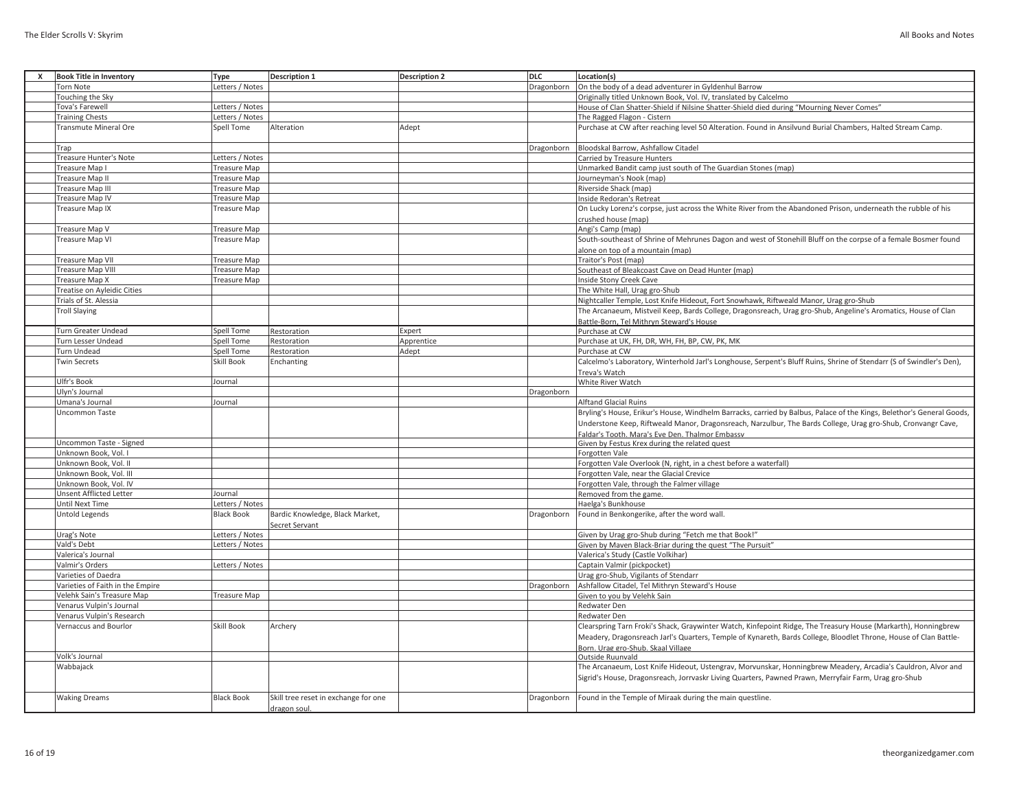|  | All Books and Notes |  |  |
|--|---------------------|--|--|
|--|---------------------|--|--|

| <b>Torn Note</b><br>Letters / Notes<br>Dragonborn<br>On the body of a dead adventurer in Gyldenhul Barrow<br>Touching the Sky<br>Originally titled Unknown Book, Vol. IV, translated by Calcelmo<br>House of Clan Shatter-Shield if Nilsine Shatter-Shield died during "Mourning Never Comes"<br>Tova's Farewell<br>Letters / Notes<br><b>Training Chests</b><br>Letters / Notes<br>The Ragged Flagon - Cistern<br>Alteration<br>Adept<br>Purchase at CW after reaching level 50 Alteration. Found in Ansilvund Burial Chambers, Halted Stream Camp.<br><b>Transmute Mineral Ore</b><br>Spell Tome<br>Bloodskal Barrow, Ashfallow Citadel<br>Trap<br>Dragonborn<br>Treasure Hunter's Note<br>Letters / Notes<br>Carried by Treasure Hunters<br>Treasure Map I<br>Treasure Map<br>Unmarked Bandit camp just south of The Guardian Stones (map)<br><b>Treasure Map II</b><br>Treasure Map<br>Journeyman's Nook (map)<br>Treasure Map III<br>Riverside Shack (map)<br><b>Treasure Map</b><br><b>Treasure Map IV</b><br><b>Treasure Map</b><br>Inside Redoran's Retreat<br><b>Treasure Map IX</b><br><b>Treasure Map</b><br>On Lucky Lorenz's corpse, just across the White River from the Abandoned Prison, underneath the rubble of his<br>crushed house (map)<br>Treasure Map V<br><b>Treasure Map</b><br>Angi's Camp (map)<br>Treasure Map VI<br><b>Treasure Map</b><br>South-southeast of Shrine of Mehrunes Dagon and west of Stonehill Bluff on the corpse of a female Bosmer found<br>alone on top of a mountain (map)<br><b>Treasure Map VII</b><br><b>Treasure Map</b><br>Traitor's Post (map)<br>Southeast of Bleakcoast Cave on Dead Hunter (map)<br><b>Treasure Map VIII</b><br><b>Treasure Map</b><br>Inside Stony Creek Cave<br>Treasure Map X<br><b>Treasure Map</b><br>Treatise on Ayleidic Cities<br>The White Hall, Urag gro-Shub<br>Trials of St. Alessia<br>Nightcaller Temple, Lost Knife Hideout, Fort Snowhawk, Riftweald Manor, Urag gro-Shub<br>The Arcanaeum, Mistveil Keep, Bards College, Dragonsreach, Urag gro-Shub, Angeline's Aromatics, House of Clan<br><b>Troll Slaying</b><br>Battle-Born, Tel Mithryn Steward's House<br><b>Turn Greater Undead</b><br>Spell Tome<br>Restoration<br>Expert<br>Purchase at CW<br>Purchase at UK, FH, DR, WH, FH, BP, CW, PK, MK<br><b>Turn Lesser Undead</b><br>Spell Tome<br>Restoration<br>Apprentice<br><b>Turn Undead</b><br><b>Spell Tome</b><br>Restoration<br>Adept<br>Purchase at CW<br><b>Twin Secrets</b><br>Skill Book<br>Calcelmo's Laboratory, Winterhold Jarl's Longhouse, Serpent's Bluff Ruins, Shrine of Stendarr (S of Swindler's Den),<br>Enchanting<br>Treva's Watch<br>Ulfr's Book<br>Journal<br>White River Watch<br>Ulyn's Journal<br>Dragonborn<br>Umana's Journal<br><b>Alftand Glacial Ruins</b><br>Journal<br>Bryling's House, Erikur's House, Windhelm Barracks, carried by Balbus, Palace of the Kings, Belethor's General Goods,<br><b>Uncommon Taste</b><br>Understone Keep, Riftweald Manor, Dragonsreach, Narzulbur, The Bards College, Urag gro-Shub, Cronvangr Cave,<br>Faldar's Tooth. Mara's Eve Den. Thalmor Embassy<br>Given by Festus Krex during the related quest<br>Uncommon Taste - Signed<br>Unknown Book, Vol. I<br>Forgotten Vale<br>Unknown Book, Vol. II<br>Forgotten Vale Overlook (N, right, in a chest before a waterfall)<br>Unknown Book, Vol. III<br>Forgotten Vale, near the Glacial Crevice<br>Unknown Book, Vol. IV<br>Forgotten Vale, through the Falmer village<br><b>Unsent Afflicted Letter</b><br>Journal<br>Removed from the game.<br>Until Next Time<br>Haelga's Bunkhouse<br>Letters / Notes<br>Untold Legends<br><b>Black Book</b><br>Bardic Knowledge, Black Market,<br>Dragonborn<br>Found in Benkongerike, after the word wall.<br>Secret Servant<br>Letters / Notes<br>Urag's Note<br>Given by Urag gro-Shub during "Fetch me that Book!"<br>Vald's Debt<br>Letters / Notes<br>Given by Maven Black-Briar during the quest "The Pursuit"<br>Valerica's Journal<br>Valerica's Study (Castle Volkihar)<br>Valmir's Orders<br>Letters / Notes<br>Captain Valmir (pickpocket)<br>Varieties of Daedra<br>Urag gro-Shub, Vigilants of Stendarr<br>Varieties of Faith in the Empire<br>Dragonborn<br>Ashfallow Citadel, Tel Mithryn Steward's House<br>Velehk Sain's Treasure Map<br>Treasure Map<br>Given to you by Velehk Sain<br>Venarus Vulpin's Journal<br><b>Redwater Den</b><br>Venarus Vulpin's Research<br>Redwater Den<br>Skill Book<br>Vernaccus and Bourlor<br>Archery<br>Clearspring Tarn Froki's Shack, Graywinter Watch, Kinfepoint Ridge, The Treasury House (Markarth), Honningbrew<br>Meadery, Dragonsreach Jarl's Quarters, Temple of Kynareth, Bards College, Bloodlet Throne, House of Clan Battle-<br>Born. Urag gro-Shub. Skaal Village<br>Outside Ruunvald<br>Volk's Journal<br>Wabbajack<br>The Arcanaeum, Lost Knife Hideout, Ustengrav, Morvunskar, Honningbrew Meadery, Arcadia's Cauldron, Alvor and<br>Sigrid's House, Dragonsreach, Jorrvaskr Living Quarters, Pawned Prawn, Merryfair Farm, Urag gro-Shub<br><b>Waking Dreams</b><br><b>Black Book</b><br>Skill tree reset in exchange for one<br>Dragonborn<br>Found in the Temple of Miraak during the main questline.<br>dragon soul. | x | <b>Book Title in Inventory</b> | Type | <b>Description 1</b> | <b>Description 2</b> | <b>DLC</b> | Location(s) |
|-----------------------------------------------------------------------------------------------------------------------------------------------------------------------------------------------------------------------------------------------------------------------------------------------------------------------------------------------------------------------------------------------------------------------------------------------------------------------------------------------------------------------------------------------------------------------------------------------------------------------------------------------------------------------------------------------------------------------------------------------------------------------------------------------------------------------------------------------------------------------------------------------------------------------------------------------------------------------------------------------------------------------------------------------------------------------------------------------------------------------------------------------------------------------------------------------------------------------------------------------------------------------------------------------------------------------------------------------------------------------------------------------------------------------------------------------------------------------------------------------------------------------------------------------------------------------------------------------------------------------------------------------------------------------------------------------------------------------------------------------------------------------------------------------------------------------------------------------------------------------------------------------------------------------------------------------------------------------------------------------------------------------------------------------------------------------------------------------------------------------------------------------------------------------------------------------------------------------------------------------------------------------------------------------------------------------------------------------------------------------------------------------------------------------------------------------------------------------------------------------------------------------------------------------------------------------------------------------------------------------------------------------------------------------------------------------------------------------------------------------------------------------------------------------------------------------------------------------------------------------------------------------------------------------------------------------------------------------------------------------------------------------------------------------------------------------------------------------------------------------------------------------------------------------------------------------------------------------------------------------------------------------------------------------------------------------------------------------------------------------------------------------------------------------------------------------------------------------------------------------------------------------------------------------------------------------------------------------------------------------------------------------------------------------------------------------------------------------------------------------------------------------------------------------------------------------------------------------------------------------------------------------------------------------------------------------------------------------------------------------------------------------------------------------------------------------------------------------------------------------------------------------------------------------------------------------------------------------------------------------------------------------------------------------------------------------------------------------------------------------------------------------------------------------------------------------------------------------------------------------------------------------------------------------------------------------------------------------------------------------------------------------------------------------------------------------------------------------------------------------------------------------------------------------------------------------------------------------------------------------------------------------------------------------------------------------------------------------------------------------------------------------------------------------------------------------------------------------------------------------------------------------------------------------------------------------------------------------------------------------------------|---|--------------------------------|------|----------------------|----------------------|------------|-------------|
|                                                                                                                                                                                                                                                                                                                                                                                                                                                                                                                                                                                                                                                                                                                                                                                                                                                                                                                                                                                                                                                                                                                                                                                                                                                                                                                                                                                                                                                                                                                                                                                                                                                                                                                                                                                                                                                                                                                                                                                                                                                                                                                                                                                                                                                                                                                                                                                                                                                                                                                                                                                                                                                                                                                                                                                                                                                                                                                                                                                                                                                                                                                                                                                                                                                                                                                                                                                                                                                                                                                                                                                                                                                                                                                                                                                                                                                                                                                                                                                                                                                                                                                                                                                                                                                                                                                                                                                                                                                                                                                                                                                                                                                                                                                                                                                                                                                                                                                                                                                                                                                                                                                                                                                                                                                           |   |                                |      |                      |                      |            |             |
|                                                                                                                                                                                                                                                                                                                                                                                                                                                                                                                                                                                                                                                                                                                                                                                                                                                                                                                                                                                                                                                                                                                                                                                                                                                                                                                                                                                                                                                                                                                                                                                                                                                                                                                                                                                                                                                                                                                                                                                                                                                                                                                                                                                                                                                                                                                                                                                                                                                                                                                                                                                                                                                                                                                                                                                                                                                                                                                                                                                                                                                                                                                                                                                                                                                                                                                                                                                                                                                                                                                                                                                                                                                                                                                                                                                                                                                                                                                                                                                                                                                                                                                                                                                                                                                                                                                                                                                                                                                                                                                                                                                                                                                                                                                                                                                                                                                                                                                                                                                                                                                                                                                                                                                                                                                           |   |                                |      |                      |                      |            |             |
|                                                                                                                                                                                                                                                                                                                                                                                                                                                                                                                                                                                                                                                                                                                                                                                                                                                                                                                                                                                                                                                                                                                                                                                                                                                                                                                                                                                                                                                                                                                                                                                                                                                                                                                                                                                                                                                                                                                                                                                                                                                                                                                                                                                                                                                                                                                                                                                                                                                                                                                                                                                                                                                                                                                                                                                                                                                                                                                                                                                                                                                                                                                                                                                                                                                                                                                                                                                                                                                                                                                                                                                                                                                                                                                                                                                                                                                                                                                                                                                                                                                                                                                                                                                                                                                                                                                                                                                                                                                                                                                                                                                                                                                                                                                                                                                                                                                                                                                                                                                                                                                                                                                                                                                                                                                           |   |                                |      |                      |                      |            |             |
|                                                                                                                                                                                                                                                                                                                                                                                                                                                                                                                                                                                                                                                                                                                                                                                                                                                                                                                                                                                                                                                                                                                                                                                                                                                                                                                                                                                                                                                                                                                                                                                                                                                                                                                                                                                                                                                                                                                                                                                                                                                                                                                                                                                                                                                                                                                                                                                                                                                                                                                                                                                                                                                                                                                                                                                                                                                                                                                                                                                                                                                                                                                                                                                                                                                                                                                                                                                                                                                                                                                                                                                                                                                                                                                                                                                                                                                                                                                                                                                                                                                                                                                                                                                                                                                                                                                                                                                                                                                                                                                                                                                                                                                                                                                                                                                                                                                                                                                                                                                                                                                                                                                                                                                                                                                           |   |                                |      |                      |                      |            |             |
|                                                                                                                                                                                                                                                                                                                                                                                                                                                                                                                                                                                                                                                                                                                                                                                                                                                                                                                                                                                                                                                                                                                                                                                                                                                                                                                                                                                                                                                                                                                                                                                                                                                                                                                                                                                                                                                                                                                                                                                                                                                                                                                                                                                                                                                                                                                                                                                                                                                                                                                                                                                                                                                                                                                                                                                                                                                                                                                                                                                                                                                                                                                                                                                                                                                                                                                                                                                                                                                                                                                                                                                                                                                                                                                                                                                                                                                                                                                                                                                                                                                                                                                                                                                                                                                                                                                                                                                                                                                                                                                                                                                                                                                                                                                                                                                                                                                                                                                                                                                                                                                                                                                                                                                                                                                           |   |                                |      |                      |                      |            |             |
|                                                                                                                                                                                                                                                                                                                                                                                                                                                                                                                                                                                                                                                                                                                                                                                                                                                                                                                                                                                                                                                                                                                                                                                                                                                                                                                                                                                                                                                                                                                                                                                                                                                                                                                                                                                                                                                                                                                                                                                                                                                                                                                                                                                                                                                                                                                                                                                                                                                                                                                                                                                                                                                                                                                                                                                                                                                                                                                                                                                                                                                                                                                                                                                                                                                                                                                                                                                                                                                                                                                                                                                                                                                                                                                                                                                                                                                                                                                                                                                                                                                                                                                                                                                                                                                                                                                                                                                                                                                                                                                                                                                                                                                                                                                                                                                                                                                                                                                                                                                                                                                                                                                                                                                                                                                           |   |                                |      |                      |                      |            |             |
|                                                                                                                                                                                                                                                                                                                                                                                                                                                                                                                                                                                                                                                                                                                                                                                                                                                                                                                                                                                                                                                                                                                                                                                                                                                                                                                                                                                                                                                                                                                                                                                                                                                                                                                                                                                                                                                                                                                                                                                                                                                                                                                                                                                                                                                                                                                                                                                                                                                                                                                                                                                                                                                                                                                                                                                                                                                                                                                                                                                                                                                                                                                                                                                                                                                                                                                                                                                                                                                                                                                                                                                                                                                                                                                                                                                                                                                                                                                                                                                                                                                                                                                                                                                                                                                                                                                                                                                                                                                                                                                                                                                                                                                                                                                                                                                                                                                                                                                                                                                                                                                                                                                                                                                                                                                           |   |                                |      |                      |                      |            |             |
|                                                                                                                                                                                                                                                                                                                                                                                                                                                                                                                                                                                                                                                                                                                                                                                                                                                                                                                                                                                                                                                                                                                                                                                                                                                                                                                                                                                                                                                                                                                                                                                                                                                                                                                                                                                                                                                                                                                                                                                                                                                                                                                                                                                                                                                                                                                                                                                                                                                                                                                                                                                                                                                                                                                                                                                                                                                                                                                                                                                                                                                                                                                                                                                                                                                                                                                                                                                                                                                                                                                                                                                                                                                                                                                                                                                                                                                                                                                                                                                                                                                                                                                                                                                                                                                                                                                                                                                                                                                                                                                                                                                                                                                                                                                                                                                                                                                                                                                                                                                                                                                                                                                                                                                                                                                           |   |                                |      |                      |                      |            |             |
|                                                                                                                                                                                                                                                                                                                                                                                                                                                                                                                                                                                                                                                                                                                                                                                                                                                                                                                                                                                                                                                                                                                                                                                                                                                                                                                                                                                                                                                                                                                                                                                                                                                                                                                                                                                                                                                                                                                                                                                                                                                                                                                                                                                                                                                                                                                                                                                                                                                                                                                                                                                                                                                                                                                                                                                                                                                                                                                                                                                                                                                                                                                                                                                                                                                                                                                                                                                                                                                                                                                                                                                                                                                                                                                                                                                                                                                                                                                                                                                                                                                                                                                                                                                                                                                                                                                                                                                                                                                                                                                                                                                                                                                                                                                                                                                                                                                                                                                                                                                                                                                                                                                                                                                                                                                           |   |                                |      |                      |                      |            |             |
|                                                                                                                                                                                                                                                                                                                                                                                                                                                                                                                                                                                                                                                                                                                                                                                                                                                                                                                                                                                                                                                                                                                                                                                                                                                                                                                                                                                                                                                                                                                                                                                                                                                                                                                                                                                                                                                                                                                                                                                                                                                                                                                                                                                                                                                                                                                                                                                                                                                                                                                                                                                                                                                                                                                                                                                                                                                                                                                                                                                                                                                                                                                                                                                                                                                                                                                                                                                                                                                                                                                                                                                                                                                                                                                                                                                                                                                                                                                                                                                                                                                                                                                                                                                                                                                                                                                                                                                                                                                                                                                                                                                                                                                                                                                                                                                                                                                                                                                                                                                                                                                                                                                                                                                                                                                           |   |                                |      |                      |                      |            |             |
|                                                                                                                                                                                                                                                                                                                                                                                                                                                                                                                                                                                                                                                                                                                                                                                                                                                                                                                                                                                                                                                                                                                                                                                                                                                                                                                                                                                                                                                                                                                                                                                                                                                                                                                                                                                                                                                                                                                                                                                                                                                                                                                                                                                                                                                                                                                                                                                                                                                                                                                                                                                                                                                                                                                                                                                                                                                                                                                                                                                                                                                                                                                                                                                                                                                                                                                                                                                                                                                                                                                                                                                                                                                                                                                                                                                                                                                                                                                                                                                                                                                                                                                                                                                                                                                                                                                                                                                                                                                                                                                                                                                                                                                                                                                                                                                                                                                                                                                                                                                                                                                                                                                                                                                                                                                           |   |                                |      |                      |                      |            |             |
|                                                                                                                                                                                                                                                                                                                                                                                                                                                                                                                                                                                                                                                                                                                                                                                                                                                                                                                                                                                                                                                                                                                                                                                                                                                                                                                                                                                                                                                                                                                                                                                                                                                                                                                                                                                                                                                                                                                                                                                                                                                                                                                                                                                                                                                                                                                                                                                                                                                                                                                                                                                                                                                                                                                                                                                                                                                                                                                                                                                                                                                                                                                                                                                                                                                                                                                                                                                                                                                                                                                                                                                                                                                                                                                                                                                                                                                                                                                                                                                                                                                                                                                                                                                                                                                                                                                                                                                                                                                                                                                                                                                                                                                                                                                                                                                                                                                                                                                                                                                                                                                                                                                                                                                                                                                           |   |                                |      |                      |                      |            |             |
|                                                                                                                                                                                                                                                                                                                                                                                                                                                                                                                                                                                                                                                                                                                                                                                                                                                                                                                                                                                                                                                                                                                                                                                                                                                                                                                                                                                                                                                                                                                                                                                                                                                                                                                                                                                                                                                                                                                                                                                                                                                                                                                                                                                                                                                                                                                                                                                                                                                                                                                                                                                                                                                                                                                                                                                                                                                                                                                                                                                                                                                                                                                                                                                                                                                                                                                                                                                                                                                                                                                                                                                                                                                                                                                                                                                                                                                                                                                                                                                                                                                                                                                                                                                                                                                                                                                                                                                                                                                                                                                                                                                                                                                                                                                                                                                                                                                                                                                                                                                                                                                                                                                                                                                                                                                           |   |                                |      |                      |                      |            |             |
|                                                                                                                                                                                                                                                                                                                                                                                                                                                                                                                                                                                                                                                                                                                                                                                                                                                                                                                                                                                                                                                                                                                                                                                                                                                                                                                                                                                                                                                                                                                                                                                                                                                                                                                                                                                                                                                                                                                                                                                                                                                                                                                                                                                                                                                                                                                                                                                                                                                                                                                                                                                                                                                                                                                                                                                                                                                                                                                                                                                                                                                                                                                                                                                                                                                                                                                                                                                                                                                                                                                                                                                                                                                                                                                                                                                                                                                                                                                                                                                                                                                                                                                                                                                                                                                                                                                                                                                                                                                                                                                                                                                                                                                                                                                                                                                                                                                                                                                                                                                                                                                                                                                                                                                                                                                           |   |                                |      |                      |                      |            |             |
|                                                                                                                                                                                                                                                                                                                                                                                                                                                                                                                                                                                                                                                                                                                                                                                                                                                                                                                                                                                                                                                                                                                                                                                                                                                                                                                                                                                                                                                                                                                                                                                                                                                                                                                                                                                                                                                                                                                                                                                                                                                                                                                                                                                                                                                                                                                                                                                                                                                                                                                                                                                                                                                                                                                                                                                                                                                                                                                                                                                                                                                                                                                                                                                                                                                                                                                                                                                                                                                                                                                                                                                                                                                                                                                                                                                                                                                                                                                                                                                                                                                                                                                                                                                                                                                                                                                                                                                                                                                                                                                                                                                                                                                                                                                                                                                                                                                                                                                                                                                                                                                                                                                                                                                                                                                           |   |                                |      |                      |                      |            |             |
|                                                                                                                                                                                                                                                                                                                                                                                                                                                                                                                                                                                                                                                                                                                                                                                                                                                                                                                                                                                                                                                                                                                                                                                                                                                                                                                                                                                                                                                                                                                                                                                                                                                                                                                                                                                                                                                                                                                                                                                                                                                                                                                                                                                                                                                                                                                                                                                                                                                                                                                                                                                                                                                                                                                                                                                                                                                                                                                                                                                                                                                                                                                                                                                                                                                                                                                                                                                                                                                                                                                                                                                                                                                                                                                                                                                                                                                                                                                                                                                                                                                                                                                                                                                                                                                                                                                                                                                                                                                                                                                                                                                                                                                                                                                                                                                                                                                                                                                                                                                                                                                                                                                                                                                                                                                           |   |                                |      |                      |                      |            |             |
|                                                                                                                                                                                                                                                                                                                                                                                                                                                                                                                                                                                                                                                                                                                                                                                                                                                                                                                                                                                                                                                                                                                                                                                                                                                                                                                                                                                                                                                                                                                                                                                                                                                                                                                                                                                                                                                                                                                                                                                                                                                                                                                                                                                                                                                                                                                                                                                                                                                                                                                                                                                                                                                                                                                                                                                                                                                                                                                                                                                                                                                                                                                                                                                                                                                                                                                                                                                                                                                                                                                                                                                                                                                                                                                                                                                                                                                                                                                                                                                                                                                                                                                                                                                                                                                                                                                                                                                                                                                                                                                                                                                                                                                                                                                                                                                                                                                                                                                                                                                                                                                                                                                                                                                                                                                           |   |                                |      |                      |                      |            |             |
|                                                                                                                                                                                                                                                                                                                                                                                                                                                                                                                                                                                                                                                                                                                                                                                                                                                                                                                                                                                                                                                                                                                                                                                                                                                                                                                                                                                                                                                                                                                                                                                                                                                                                                                                                                                                                                                                                                                                                                                                                                                                                                                                                                                                                                                                                                                                                                                                                                                                                                                                                                                                                                                                                                                                                                                                                                                                                                                                                                                                                                                                                                                                                                                                                                                                                                                                                                                                                                                                                                                                                                                                                                                                                                                                                                                                                                                                                                                                                                                                                                                                                                                                                                                                                                                                                                                                                                                                                                                                                                                                                                                                                                                                                                                                                                                                                                                                                                                                                                                                                                                                                                                                                                                                                                                           |   |                                |      |                      |                      |            |             |
|                                                                                                                                                                                                                                                                                                                                                                                                                                                                                                                                                                                                                                                                                                                                                                                                                                                                                                                                                                                                                                                                                                                                                                                                                                                                                                                                                                                                                                                                                                                                                                                                                                                                                                                                                                                                                                                                                                                                                                                                                                                                                                                                                                                                                                                                                                                                                                                                                                                                                                                                                                                                                                                                                                                                                                                                                                                                                                                                                                                                                                                                                                                                                                                                                                                                                                                                                                                                                                                                                                                                                                                                                                                                                                                                                                                                                                                                                                                                                                                                                                                                                                                                                                                                                                                                                                                                                                                                                                                                                                                                                                                                                                                                                                                                                                                                                                                                                                                                                                                                                                                                                                                                                                                                                                                           |   |                                |      |                      |                      |            |             |
|                                                                                                                                                                                                                                                                                                                                                                                                                                                                                                                                                                                                                                                                                                                                                                                                                                                                                                                                                                                                                                                                                                                                                                                                                                                                                                                                                                                                                                                                                                                                                                                                                                                                                                                                                                                                                                                                                                                                                                                                                                                                                                                                                                                                                                                                                                                                                                                                                                                                                                                                                                                                                                                                                                                                                                                                                                                                                                                                                                                                                                                                                                                                                                                                                                                                                                                                                                                                                                                                                                                                                                                                                                                                                                                                                                                                                                                                                                                                                                                                                                                                                                                                                                                                                                                                                                                                                                                                                                                                                                                                                                                                                                                                                                                                                                                                                                                                                                                                                                                                                                                                                                                                                                                                                                                           |   |                                |      |                      |                      |            |             |
|                                                                                                                                                                                                                                                                                                                                                                                                                                                                                                                                                                                                                                                                                                                                                                                                                                                                                                                                                                                                                                                                                                                                                                                                                                                                                                                                                                                                                                                                                                                                                                                                                                                                                                                                                                                                                                                                                                                                                                                                                                                                                                                                                                                                                                                                                                                                                                                                                                                                                                                                                                                                                                                                                                                                                                                                                                                                                                                                                                                                                                                                                                                                                                                                                                                                                                                                                                                                                                                                                                                                                                                                                                                                                                                                                                                                                                                                                                                                                                                                                                                                                                                                                                                                                                                                                                                                                                                                                                                                                                                                                                                                                                                                                                                                                                                                                                                                                                                                                                                                                                                                                                                                                                                                                                                           |   |                                |      |                      |                      |            |             |
|                                                                                                                                                                                                                                                                                                                                                                                                                                                                                                                                                                                                                                                                                                                                                                                                                                                                                                                                                                                                                                                                                                                                                                                                                                                                                                                                                                                                                                                                                                                                                                                                                                                                                                                                                                                                                                                                                                                                                                                                                                                                                                                                                                                                                                                                                                                                                                                                                                                                                                                                                                                                                                                                                                                                                                                                                                                                                                                                                                                                                                                                                                                                                                                                                                                                                                                                                                                                                                                                                                                                                                                                                                                                                                                                                                                                                                                                                                                                                                                                                                                                                                                                                                                                                                                                                                                                                                                                                                                                                                                                                                                                                                                                                                                                                                                                                                                                                                                                                                                                                                                                                                                                                                                                                                                           |   |                                |      |                      |                      |            |             |
|                                                                                                                                                                                                                                                                                                                                                                                                                                                                                                                                                                                                                                                                                                                                                                                                                                                                                                                                                                                                                                                                                                                                                                                                                                                                                                                                                                                                                                                                                                                                                                                                                                                                                                                                                                                                                                                                                                                                                                                                                                                                                                                                                                                                                                                                                                                                                                                                                                                                                                                                                                                                                                                                                                                                                                                                                                                                                                                                                                                                                                                                                                                                                                                                                                                                                                                                                                                                                                                                                                                                                                                                                                                                                                                                                                                                                                                                                                                                                                                                                                                                                                                                                                                                                                                                                                                                                                                                                                                                                                                                                                                                                                                                                                                                                                                                                                                                                                                                                                                                                                                                                                                                                                                                                                                           |   |                                |      |                      |                      |            |             |
|                                                                                                                                                                                                                                                                                                                                                                                                                                                                                                                                                                                                                                                                                                                                                                                                                                                                                                                                                                                                                                                                                                                                                                                                                                                                                                                                                                                                                                                                                                                                                                                                                                                                                                                                                                                                                                                                                                                                                                                                                                                                                                                                                                                                                                                                                                                                                                                                                                                                                                                                                                                                                                                                                                                                                                                                                                                                                                                                                                                                                                                                                                                                                                                                                                                                                                                                                                                                                                                                                                                                                                                                                                                                                                                                                                                                                                                                                                                                                                                                                                                                                                                                                                                                                                                                                                                                                                                                                                                                                                                                                                                                                                                                                                                                                                                                                                                                                                                                                                                                                                                                                                                                                                                                                                                           |   |                                |      |                      |                      |            |             |
|                                                                                                                                                                                                                                                                                                                                                                                                                                                                                                                                                                                                                                                                                                                                                                                                                                                                                                                                                                                                                                                                                                                                                                                                                                                                                                                                                                                                                                                                                                                                                                                                                                                                                                                                                                                                                                                                                                                                                                                                                                                                                                                                                                                                                                                                                                                                                                                                                                                                                                                                                                                                                                                                                                                                                                                                                                                                                                                                                                                                                                                                                                                                                                                                                                                                                                                                                                                                                                                                                                                                                                                                                                                                                                                                                                                                                                                                                                                                                                                                                                                                                                                                                                                                                                                                                                                                                                                                                                                                                                                                                                                                                                                                                                                                                                                                                                                                                                                                                                                                                                                                                                                                                                                                                                                           |   |                                |      |                      |                      |            |             |
|                                                                                                                                                                                                                                                                                                                                                                                                                                                                                                                                                                                                                                                                                                                                                                                                                                                                                                                                                                                                                                                                                                                                                                                                                                                                                                                                                                                                                                                                                                                                                                                                                                                                                                                                                                                                                                                                                                                                                                                                                                                                                                                                                                                                                                                                                                                                                                                                                                                                                                                                                                                                                                                                                                                                                                                                                                                                                                                                                                                                                                                                                                                                                                                                                                                                                                                                                                                                                                                                                                                                                                                                                                                                                                                                                                                                                                                                                                                                                                                                                                                                                                                                                                                                                                                                                                                                                                                                                                                                                                                                                                                                                                                                                                                                                                                                                                                                                                                                                                                                                                                                                                                                                                                                                                                           |   |                                |      |                      |                      |            |             |
|                                                                                                                                                                                                                                                                                                                                                                                                                                                                                                                                                                                                                                                                                                                                                                                                                                                                                                                                                                                                                                                                                                                                                                                                                                                                                                                                                                                                                                                                                                                                                                                                                                                                                                                                                                                                                                                                                                                                                                                                                                                                                                                                                                                                                                                                                                                                                                                                                                                                                                                                                                                                                                                                                                                                                                                                                                                                                                                                                                                                                                                                                                                                                                                                                                                                                                                                                                                                                                                                                                                                                                                                                                                                                                                                                                                                                                                                                                                                                                                                                                                                                                                                                                                                                                                                                                                                                                                                                                                                                                                                                                                                                                                                                                                                                                                                                                                                                                                                                                                                                                                                                                                                                                                                                                                           |   |                                |      |                      |                      |            |             |
|                                                                                                                                                                                                                                                                                                                                                                                                                                                                                                                                                                                                                                                                                                                                                                                                                                                                                                                                                                                                                                                                                                                                                                                                                                                                                                                                                                                                                                                                                                                                                                                                                                                                                                                                                                                                                                                                                                                                                                                                                                                                                                                                                                                                                                                                                                                                                                                                                                                                                                                                                                                                                                                                                                                                                                                                                                                                                                                                                                                                                                                                                                                                                                                                                                                                                                                                                                                                                                                                                                                                                                                                                                                                                                                                                                                                                                                                                                                                                                                                                                                                                                                                                                                                                                                                                                                                                                                                                                                                                                                                                                                                                                                                                                                                                                                                                                                                                                                                                                                                                                                                                                                                                                                                                                                           |   |                                |      |                      |                      |            |             |
|                                                                                                                                                                                                                                                                                                                                                                                                                                                                                                                                                                                                                                                                                                                                                                                                                                                                                                                                                                                                                                                                                                                                                                                                                                                                                                                                                                                                                                                                                                                                                                                                                                                                                                                                                                                                                                                                                                                                                                                                                                                                                                                                                                                                                                                                                                                                                                                                                                                                                                                                                                                                                                                                                                                                                                                                                                                                                                                                                                                                                                                                                                                                                                                                                                                                                                                                                                                                                                                                                                                                                                                                                                                                                                                                                                                                                                                                                                                                                                                                                                                                                                                                                                                                                                                                                                                                                                                                                                                                                                                                                                                                                                                                                                                                                                                                                                                                                                                                                                                                                                                                                                                                                                                                                                                           |   |                                |      |                      |                      |            |             |
|                                                                                                                                                                                                                                                                                                                                                                                                                                                                                                                                                                                                                                                                                                                                                                                                                                                                                                                                                                                                                                                                                                                                                                                                                                                                                                                                                                                                                                                                                                                                                                                                                                                                                                                                                                                                                                                                                                                                                                                                                                                                                                                                                                                                                                                                                                                                                                                                                                                                                                                                                                                                                                                                                                                                                                                                                                                                                                                                                                                                                                                                                                                                                                                                                                                                                                                                                                                                                                                                                                                                                                                                                                                                                                                                                                                                                                                                                                                                                                                                                                                                                                                                                                                                                                                                                                                                                                                                                                                                                                                                                                                                                                                                                                                                                                                                                                                                                                                                                                                                                                                                                                                                                                                                                                                           |   |                                |      |                      |                      |            |             |
|                                                                                                                                                                                                                                                                                                                                                                                                                                                                                                                                                                                                                                                                                                                                                                                                                                                                                                                                                                                                                                                                                                                                                                                                                                                                                                                                                                                                                                                                                                                                                                                                                                                                                                                                                                                                                                                                                                                                                                                                                                                                                                                                                                                                                                                                                                                                                                                                                                                                                                                                                                                                                                                                                                                                                                                                                                                                                                                                                                                                                                                                                                                                                                                                                                                                                                                                                                                                                                                                                                                                                                                                                                                                                                                                                                                                                                                                                                                                                                                                                                                                                                                                                                                                                                                                                                                                                                                                                                                                                                                                                                                                                                                                                                                                                                                                                                                                                                                                                                                                                                                                                                                                                                                                                                                           |   |                                |      |                      |                      |            |             |
|                                                                                                                                                                                                                                                                                                                                                                                                                                                                                                                                                                                                                                                                                                                                                                                                                                                                                                                                                                                                                                                                                                                                                                                                                                                                                                                                                                                                                                                                                                                                                                                                                                                                                                                                                                                                                                                                                                                                                                                                                                                                                                                                                                                                                                                                                                                                                                                                                                                                                                                                                                                                                                                                                                                                                                                                                                                                                                                                                                                                                                                                                                                                                                                                                                                                                                                                                                                                                                                                                                                                                                                                                                                                                                                                                                                                                                                                                                                                                                                                                                                                                                                                                                                                                                                                                                                                                                                                                                                                                                                                                                                                                                                                                                                                                                                                                                                                                                                                                                                                                                                                                                                                                                                                                                                           |   |                                |      |                      |                      |            |             |
|                                                                                                                                                                                                                                                                                                                                                                                                                                                                                                                                                                                                                                                                                                                                                                                                                                                                                                                                                                                                                                                                                                                                                                                                                                                                                                                                                                                                                                                                                                                                                                                                                                                                                                                                                                                                                                                                                                                                                                                                                                                                                                                                                                                                                                                                                                                                                                                                                                                                                                                                                                                                                                                                                                                                                                                                                                                                                                                                                                                                                                                                                                                                                                                                                                                                                                                                                                                                                                                                                                                                                                                                                                                                                                                                                                                                                                                                                                                                                                                                                                                                                                                                                                                                                                                                                                                                                                                                                                                                                                                                                                                                                                                                                                                                                                                                                                                                                                                                                                                                                                                                                                                                                                                                                                                           |   |                                |      |                      |                      |            |             |
|                                                                                                                                                                                                                                                                                                                                                                                                                                                                                                                                                                                                                                                                                                                                                                                                                                                                                                                                                                                                                                                                                                                                                                                                                                                                                                                                                                                                                                                                                                                                                                                                                                                                                                                                                                                                                                                                                                                                                                                                                                                                                                                                                                                                                                                                                                                                                                                                                                                                                                                                                                                                                                                                                                                                                                                                                                                                                                                                                                                                                                                                                                                                                                                                                                                                                                                                                                                                                                                                                                                                                                                                                                                                                                                                                                                                                                                                                                                                                                                                                                                                                                                                                                                                                                                                                                                                                                                                                                                                                                                                                                                                                                                                                                                                                                                                                                                                                                                                                                                                                                                                                                                                                                                                                                                           |   |                                |      |                      |                      |            |             |
|                                                                                                                                                                                                                                                                                                                                                                                                                                                                                                                                                                                                                                                                                                                                                                                                                                                                                                                                                                                                                                                                                                                                                                                                                                                                                                                                                                                                                                                                                                                                                                                                                                                                                                                                                                                                                                                                                                                                                                                                                                                                                                                                                                                                                                                                                                                                                                                                                                                                                                                                                                                                                                                                                                                                                                                                                                                                                                                                                                                                                                                                                                                                                                                                                                                                                                                                                                                                                                                                                                                                                                                                                                                                                                                                                                                                                                                                                                                                                                                                                                                                                                                                                                                                                                                                                                                                                                                                                                                                                                                                                                                                                                                                                                                                                                                                                                                                                                                                                                                                                                                                                                                                                                                                                                                           |   |                                |      |                      |                      |            |             |
|                                                                                                                                                                                                                                                                                                                                                                                                                                                                                                                                                                                                                                                                                                                                                                                                                                                                                                                                                                                                                                                                                                                                                                                                                                                                                                                                                                                                                                                                                                                                                                                                                                                                                                                                                                                                                                                                                                                                                                                                                                                                                                                                                                                                                                                                                                                                                                                                                                                                                                                                                                                                                                                                                                                                                                                                                                                                                                                                                                                                                                                                                                                                                                                                                                                                                                                                                                                                                                                                                                                                                                                                                                                                                                                                                                                                                                                                                                                                                                                                                                                                                                                                                                                                                                                                                                                                                                                                                                                                                                                                                                                                                                                                                                                                                                                                                                                                                                                                                                                                                                                                                                                                                                                                                                                           |   |                                |      |                      |                      |            |             |
|                                                                                                                                                                                                                                                                                                                                                                                                                                                                                                                                                                                                                                                                                                                                                                                                                                                                                                                                                                                                                                                                                                                                                                                                                                                                                                                                                                                                                                                                                                                                                                                                                                                                                                                                                                                                                                                                                                                                                                                                                                                                                                                                                                                                                                                                                                                                                                                                                                                                                                                                                                                                                                                                                                                                                                                                                                                                                                                                                                                                                                                                                                                                                                                                                                                                                                                                                                                                                                                                                                                                                                                                                                                                                                                                                                                                                                                                                                                                                                                                                                                                                                                                                                                                                                                                                                                                                                                                                                                                                                                                                                                                                                                                                                                                                                                                                                                                                                                                                                                                                                                                                                                                                                                                                                                           |   |                                |      |                      |                      |            |             |
|                                                                                                                                                                                                                                                                                                                                                                                                                                                                                                                                                                                                                                                                                                                                                                                                                                                                                                                                                                                                                                                                                                                                                                                                                                                                                                                                                                                                                                                                                                                                                                                                                                                                                                                                                                                                                                                                                                                                                                                                                                                                                                                                                                                                                                                                                                                                                                                                                                                                                                                                                                                                                                                                                                                                                                                                                                                                                                                                                                                                                                                                                                                                                                                                                                                                                                                                                                                                                                                                                                                                                                                                                                                                                                                                                                                                                                                                                                                                                                                                                                                                                                                                                                                                                                                                                                                                                                                                                                                                                                                                                                                                                                                                                                                                                                                                                                                                                                                                                                                                                                                                                                                                                                                                                                                           |   |                                |      |                      |                      |            |             |
|                                                                                                                                                                                                                                                                                                                                                                                                                                                                                                                                                                                                                                                                                                                                                                                                                                                                                                                                                                                                                                                                                                                                                                                                                                                                                                                                                                                                                                                                                                                                                                                                                                                                                                                                                                                                                                                                                                                                                                                                                                                                                                                                                                                                                                                                                                                                                                                                                                                                                                                                                                                                                                                                                                                                                                                                                                                                                                                                                                                                                                                                                                                                                                                                                                                                                                                                                                                                                                                                                                                                                                                                                                                                                                                                                                                                                                                                                                                                                                                                                                                                                                                                                                                                                                                                                                                                                                                                                                                                                                                                                                                                                                                                                                                                                                                                                                                                                                                                                                                                                                                                                                                                                                                                                                                           |   |                                |      |                      |                      |            |             |
|                                                                                                                                                                                                                                                                                                                                                                                                                                                                                                                                                                                                                                                                                                                                                                                                                                                                                                                                                                                                                                                                                                                                                                                                                                                                                                                                                                                                                                                                                                                                                                                                                                                                                                                                                                                                                                                                                                                                                                                                                                                                                                                                                                                                                                                                                                                                                                                                                                                                                                                                                                                                                                                                                                                                                                                                                                                                                                                                                                                                                                                                                                                                                                                                                                                                                                                                                                                                                                                                                                                                                                                                                                                                                                                                                                                                                                                                                                                                                                                                                                                                                                                                                                                                                                                                                                                                                                                                                                                                                                                                                                                                                                                                                                                                                                                                                                                                                                                                                                                                                                                                                                                                                                                                                                                           |   |                                |      |                      |                      |            |             |
|                                                                                                                                                                                                                                                                                                                                                                                                                                                                                                                                                                                                                                                                                                                                                                                                                                                                                                                                                                                                                                                                                                                                                                                                                                                                                                                                                                                                                                                                                                                                                                                                                                                                                                                                                                                                                                                                                                                                                                                                                                                                                                                                                                                                                                                                                                                                                                                                                                                                                                                                                                                                                                                                                                                                                                                                                                                                                                                                                                                                                                                                                                                                                                                                                                                                                                                                                                                                                                                                                                                                                                                                                                                                                                                                                                                                                                                                                                                                                                                                                                                                                                                                                                                                                                                                                                                                                                                                                                                                                                                                                                                                                                                                                                                                                                                                                                                                                                                                                                                                                                                                                                                                                                                                                                                           |   |                                |      |                      |                      |            |             |
|                                                                                                                                                                                                                                                                                                                                                                                                                                                                                                                                                                                                                                                                                                                                                                                                                                                                                                                                                                                                                                                                                                                                                                                                                                                                                                                                                                                                                                                                                                                                                                                                                                                                                                                                                                                                                                                                                                                                                                                                                                                                                                                                                                                                                                                                                                                                                                                                                                                                                                                                                                                                                                                                                                                                                                                                                                                                                                                                                                                                                                                                                                                                                                                                                                                                                                                                                                                                                                                                                                                                                                                                                                                                                                                                                                                                                                                                                                                                                                                                                                                                                                                                                                                                                                                                                                                                                                                                                                                                                                                                                                                                                                                                                                                                                                                                                                                                                                                                                                                                                                                                                                                                                                                                                                                           |   |                                |      |                      |                      |            |             |
|                                                                                                                                                                                                                                                                                                                                                                                                                                                                                                                                                                                                                                                                                                                                                                                                                                                                                                                                                                                                                                                                                                                                                                                                                                                                                                                                                                                                                                                                                                                                                                                                                                                                                                                                                                                                                                                                                                                                                                                                                                                                                                                                                                                                                                                                                                                                                                                                                                                                                                                                                                                                                                                                                                                                                                                                                                                                                                                                                                                                                                                                                                                                                                                                                                                                                                                                                                                                                                                                                                                                                                                                                                                                                                                                                                                                                                                                                                                                                                                                                                                                                                                                                                                                                                                                                                                                                                                                                                                                                                                                                                                                                                                                                                                                                                                                                                                                                                                                                                                                                                                                                                                                                                                                                                                           |   |                                |      |                      |                      |            |             |
|                                                                                                                                                                                                                                                                                                                                                                                                                                                                                                                                                                                                                                                                                                                                                                                                                                                                                                                                                                                                                                                                                                                                                                                                                                                                                                                                                                                                                                                                                                                                                                                                                                                                                                                                                                                                                                                                                                                                                                                                                                                                                                                                                                                                                                                                                                                                                                                                                                                                                                                                                                                                                                                                                                                                                                                                                                                                                                                                                                                                                                                                                                                                                                                                                                                                                                                                                                                                                                                                                                                                                                                                                                                                                                                                                                                                                                                                                                                                                                                                                                                                                                                                                                                                                                                                                                                                                                                                                                                                                                                                                                                                                                                                                                                                                                                                                                                                                                                                                                                                                                                                                                                                                                                                                                                           |   |                                |      |                      |                      |            |             |
|                                                                                                                                                                                                                                                                                                                                                                                                                                                                                                                                                                                                                                                                                                                                                                                                                                                                                                                                                                                                                                                                                                                                                                                                                                                                                                                                                                                                                                                                                                                                                                                                                                                                                                                                                                                                                                                                                                                                                                                                                                                                                                                                                                                                                                                                                                                                                                                                                                                                                                                                                                                                                                                                                                                                                                                                                                                                                                                                                                                                                                                                                                                                                                                                                                                                                                                                                                                                                                                                                                                                                                                                                                                                                                                                                                                                                                                                                                                                                                                                                                                                                                                                                                                                                                                                                                                                                                                                                                                                                                                                                                                                                                                                                                                                                                                                                                                                                                                                                                                                                                                                                                                                                                                                                                                           |   |                                |      |                      |                      |            |             |
|                                                                                                                                                                                                                                                                                                                                                                                                                                                                                                                                                                                                                                                                                                                                                                                                                                                                                                                                                                                                                                                                                                                                                                                                                                                                                                                                                                                                                                                                                                                                                                                                                                                                                                                                                                                                                                                                                                                                                                                                                                                                                                                                                                                                                                                                                                                                                                                                                                                                                                                                                                                                                                                                                                                                                                                                                                                                                                                                                                                                                                                                                                                                                                                                                                                                                                                                                                                                                                                                                                                                                                                                                                                                                                                                                                                                                                                                                                                                                                                                                                                                                                                                                                                                                                                                                                                                                                                                                                                                                                                                                                                                                                                                                                                                                                                                                                                                                                                                                                                                                                                                                                                                                                                                                                                           |   |                                |      |                      |                      |            |             |
|                                                                                                                                                                                                                                                                                                                                                                                                                                                                                                                                                                                                                                                                                                                                                                                                                                                                                                                                                                                                                                                                                                                                                                                                                                                                                                                                                                                                                                                                                                                                                                                                                                                                                                                                                                                                                                                                                                                                                                                                                                                                                                                                                                                                                                                                                                                                                                                                                                                                                                                                                                                                                                                                                                                                                                                                                                                                                                                                                                                                                                                                                                                                                                                                                                                                                                                                                                                                                                                                                                                                                                                                                                                                                                                                                                                                                                                                                                                                                                                                                                                                                                                                                                                                                                                                                                                                                                                                                                                                                                                                                                                                                                                                                                                                                                                                                                                                                                                                                                                                                                                                                                                                                                                                                                                           |   |                                |      |                      |                      |            |             |
|                                                                                                                                                                                                                                                                                                                                                                                                                                                                                                                                                                                                                                                                                                                                                                                                                                                                                                                                                                                                                                                                                                                                                                                                                                                                                                                                                                                                                                                                                                                                                                                                                                                                                                                                                                                                                                                                                                                                                                                                                                                                                                                                                                                                                                                                                                                                                                                                                                                                                                                                                                                                                                                                                                                                                                                                                                                                                                                                                                                                                                                                                                                                                                                                                                                                                                                                                                                                                                                                                                                                                                                                                                                                                                                                                                                                                                                                                                                                                                                                                                                                                                                                                                                                                                                                                                                                                                                                                                                                                                                                                                                                                                                                                                                                                                                                                                                                                                                                                                                                                                                                                                                                                                                                                                                           |   |                                |      |                      |                      |            |             |
|                                                                                                                                                                                                                                                                                                                                                                                                                                                                                                                                                                                                                                                                                                                                                                                                                                                                                                                                                                                                                                                                                                                                                                                                                                                                                                                                                                                                                                                                                                                                                                                                                                                                                                                                                                                                                                                                                                                                                                                                                                                                                                                                                                                                                                                                                                                                                                                                                                                                                                                                                                                                                                                                                                                                                                                                                                                                                                                                                                                                                                                                                                                                                                                                                                                                                                                                                                                                                                                                                                                                                                                                                                                                                                                                                                                                                                                                                                                                                                                                                                                                                                                                                                                                                                                                                                                                                                                                                                                                                                                                                                                                                                                                                                                                                                                                                                                                                                                                                                                                                                                                                                                                                                                                                                                           |   |                                |      |                      |                      |            |             |
|                                                                                                                                                                                                                                                                                                                                                                                                                                                                                                                                                                                                                                                                                                                                                                                                                                                                                                                                                                                                                                                                                                                                                                                                                                                                                                                                                                                                                                                                                                                                                                                                                                                                                                                                                                                                                                                                                                                                                                                                                                                                                                                                                                                                                                                                                                                                                                                                                                                                                                                                                                                                                                                                                                                                                                                                                                                                                                                                                                                                                                                                                                                                                                                                                                                                                                                                                                                                                                                                                                                                                                                                                                                                                                                                                                                                                                                                                                                                                                                                                                                                                                                                                                                                                                                                                                                                                                                                                                                                                                                                                                                                                                                                                                                                                                                                                                                                                                                                                                                                                                                                                                                                                                                                                                                           |   |                                |      |                      |                      |            |             |
|                                                                                                                                                                                                                                                                                                                                                                                                                                                                                                                                                                                                                                                                                                                                                                                                                                                                                                                                                                                                                                                                                                                                                                                                                                                                                                                                                                                                                                                                                                                                                                                                                                                                                                                                                                                                                                                                                                                                                                                                                                                                                                                                                                                                                                                                                                                                                                                                                                                                                                                                                                                                                                                                                                                                                                                                                                                                                                                                                                                                                                                                                                                                                                                                                                                                                                                                                                                                                                                                                                                                                                                                                                                                                                                                                                                                                                                                                                                                                                                                                                                                                                                                                                                                                                                                                                                                                                                                                                                                                                                                                                                                                                                                                                                                                                                                                                                                                                                                                                                                                                                                                                                                                                                                                                                           |   |                                |      |                      |                      |            |             |
|                                                                                                                                                                                                                                                                                                                                                                                                                                                                                                                                                                                                                                                                                                                                                                                                                                                                                                                                                                                                                                                                                                                                                                                                                                                                                                                                                                                                                                                                                                                                                                                                                                                                                                                                                                                                                                                                                                                                                                                                                                                                                                                                                                                                                                                                                                                                                                                                                                                                                                                                                                                                                                                                                                                                                                                                                                                                                                                                                                                                                                                                                                                                                                                                                                                                                                                                                                                                                                                                                                                                                                                                                                                                                                                                                                                                                                                                                                                                                                                                                                                                                                                                                                                                                                                                                                                                                                                                                                                                                                                                                                                                                                                                                                                                                                                                                                                                                                                                                                                                                                                                                                                                                                                                                                                           |   |                                |      |                      |                      |            |             |
|                                                                                                                                                                                                                                                                                                                                                                                                                                                                                                                                                                                                                                                                                                                                                                                                                                                                                                                                                                                                                                                                                                                                                                                                                                                                                                                                                                                                                                                                                                                                                                                                                                                                                                                                                                                                                                                                                                                                                                                                                                                                                                                                                                                                                                                                                                                                                                                                                                                                                                                                                                                                                                                                                                                                                                                                                                                                                                                                                                                                                                                                                                                                                                                                                                                                                                                                                                                                                                                                                                                                                                                                                                                                                                                                                                                                                                                                                                                                                                                                                                                                                                                                                                                                                                                                                                                                                                                                                                                                                                                                                                                                                                                                                                                                                                                                                                                                                                                                                                                                                                                                                                                                                                                                                                                           |   |                                |      |                      |                      |            |             |
|                                                                                                                                                                                                                                                                                                                                                                                                                                                                                                                                                                                                                                                                                                                                                                                                                                                                                                                                                                                                                                                                                                                                                                                                                                                                                                                                                                                                                                                                                                                                                                                                                                                                                                                                                                                                                                                                                                                                                                                                                                                                                                                                                                                                                                                                                                                                                                                                                                                                                                                                                                                                                                                                                                                                                                                                                                                                                                                                                                                                                                                                                                                                                                                                                                                                                                                                                                                                                                                                                                                                                                                                                                                                                                                                                                                                                                                                                                                                                                                                                                                                                                                                                                                                                                                                                                                                                                                                                                                                                                                                                                                                                                                                                                                                                                                                                                                                                                                                                                                                                                                                                                                                                                                                                                                           |   |                                |      |                      |                      |            |             |
|                                                                                                                                                                                                                                                                                                                                                                                                                                                                                                                                                                                                                                                                                                                                                                                                                                                                                                                                                                                                                                                                                                                                                                                                                                                                                                                                                                                                                                                                                                                                                                                                                                                                                                                                                                                                                                                                                                                                                                                                                                                                                                                                                                                                                                                                                                                                                                                                                                                                                                                                                                                                                                                                                                                                                                                                                                                                                                                                                                                                                                                                                                                                                                                                                                                                                                                                                                                                                                                                                                                                                                                                                                                                                                                                                                                                                                                                                                                                                                                                                                                                                                                                                                                                                                                                                                                                                                                                                                                                                                                                                                                                                                                                                                                                                                                                                                                                                                                                                                                                                                                                                                                                                                                                                                                           |   |                                |      |                      |                      |            |             |
|                                                                                                                                                                                                                                                                                                                                                                                                                                                                                                                                                                                                                                                                                                                                                                                                                                                                                                                                                                                                                                                                                                                                                                                                                                                                                                                                                                                                                                                                                                                                                                                                                                                                                                                                                                                                                                                                                                                                                                                                                                                                                                                                                                                                                                                                                                                                                                                                                                                                                                                                                                                                                                                                                                                                                                                                                                                                                                                                                                                                                                                                                                                                                                                                                                                                                                                                                                                                                                                                                                                                                                                                                                                                                                                                                                                                                                                                                                                                                                                                                                                                                                                                                                                                                                                                                                                                                                                                                                                                                                                                                                                                                                                                                                                                                                                                                                                                                                                                                                                                                                                                                                                                                                                                                                                           |   |                                |      |                      |                      |            |             |
|                                                                                                                                                                                                                                                                                                                                                                                                                                                                                                                                                                                                                                                                                                                                                                                                                                                                                                                                                                                                                                                                                                                                                                                                                                                                                                                                                                                                                                                                                                                                                                                                                                                                                                                                                                                                                                                                                                                                                                                                                                                                                                                                                                                                                                                                                                                                                                                                                                                                                                                                                                                                                                                                                                                                                                                                                                                                                                                                                                                                                                                                                                                                                                                                                                                                                                                                                                                                                                                                                                                                                                                                                                                                                                                                                                                                                                                                                                                                                                                                                                                                                                                                                                                                                                                                                                                                                                                                                                                                                                                                                                                                                                                                                                                                                                                                                                                                                                                                                                                                                                                                                                                                                                                                                                                           |   |                                |      |                      |                      |            |             |
|                                                                                                                                                                                                                                                                                                                                                                                                                                                                                                                                                                                                                                                                                                                                                                                                                                                                                                                                                                                                                                                                                                                                                                                                                                                                                                                                                                                                                                                                                                                                                                                                                                                                                                                                                                                                                                                                                                                                                                                                                                                                                                                                                                                                                                                                                                                                                                                                                                                                                                                                                                                                                                                                                                                                                                                                                                                                                                                                                                                                                                                                                                                                                                                                                                                                                                                                                                                                                                                                                                                                                                                                                                                                                                                                                                                                                                                                                                                                                                                                                                                                                                                                                                                                                                                                                                                                                                                                                                                                                                                                                                                                                                                                                                                                                                                                                                                                                                                                                                                                                                                                                                                                                                                                                                                           |   |                                |      |                      |                      |            |             |
|                                                                                                                                                                                                                                                                                                                                                                                                                                                                                                                                                                                                                                                                                                                                                                                                                                                                                                                                                                                                                                                                                                                                                                                                                                                                                                                                                                                                                                                                                                                                                                                                                                                                                                                                                                                                                                                                                                                                                                                                                                                                                                                                                                                                                                                                                                                                                                                                                                                                                                                                                                                                                                                                                                                                                                                                                                                                                                                                                                                                                                                                                                                                                                                                                                                                                                                                                                                                                                                                                                                                                                                                                                                                                                                                                                                                                                                                                                                                                                                                                                                                                                                                                                                                                                                                                                                                                                                                                                                                                                                                                                                                                                                                                                                                                                                                                                                                                                                                                                                                                                                                                                                                                                                                                                                           |   |                                |      |                      |                      |            |             |
|                                                                                                                                                                                                                                                                                                                                                                                                                                                                                                                                                                                                                                                                                                                                                                                                                                                                                                                                                                                                                                                                                                                                                                                                                                                                                                                                                                                                                                                                                                                                                                                                                                                                                                                                                                                                                                                                                                                                                                                                                                                                                                                                                                                                                                                                                                                                                                                                                                                                                                                                                                                                                                                                                                                                                                                                                                                                                                                                                                                                                                                                                                                                                                                                                                                                                                                                                                                                                                                                                                                                                                                                                                                                                                                                                                                                                                                                                                                                                                                                                                                                                                                                                                                                                                                                                                                                                                                                                                                                                                                                                                                                                                                                                                                                                                                                                                                                                                                                                                                                                                                                                                                                                                                                                                                           |   |                                |      |                      |                      |            |             |
|                                                                                                                                                                                                                                                                                                                                                                                                                                                                                                                                                                                                                                                                                                                                                                                                                                                                                                                                                                                                                                                                                                                                                                                                                                                                                                                                                                                                                                                                                                                                                                                                                                                                                                                                                                                                                                                                                                                                                                                                                                                                                                                                                                                                                                                                                                                                                                                                                                                                                                                                                                                                                                                                                                                                                                                                                                                                                                                                                                                                                                                                                                                                                                                                                                                                                                                                                                                                                                                                                                                                                                                                                                                                                                                                                                                                                                                                                                                                                                                                                                                                                                                                                                                                                                                                                                                                                                                                                                                                                                                                                                                                                                                                                                                                                                                                                                                                                                                                                                                                                                                                                                                                                                                                                                                           |   |                                |      |                      |                      |            |             |
|                                                                                                                                                                                                                                                                                                                                                                                                                                                                                                                                                                                                                                                                                                                                                                                                                                                                                                                                                                                                                                                                                                                                                                                                                                                                                                                                                                                                                                                                                                                                                                                                                                                                                                                                                                                                                                                                                                                                                                                                                                                                                                                                                                                                                                                                                                                                                                                                                                                                                                                                                                                                                                                                                                                                                                                                                                                                                                                                                                                                                                                                                                                                                                                                                                                                                                                                                                                                                                                                                                                                                                                                                                                                                                                                                                                                                                                                                                                                                                                                                                                                                                                                                                                                                                                                                                                                                                                                                                                                                                                                                                                                                                                                                                                                                                                                                                                                                                                                                                                                                                                                                                                                                                                                                                                           |   |                                |      |                      |                      |            |             |
|                                                                                                                                                                                                                                                                                                                                                                                                                                                                                                                                                                                                                                                                                                                                                                                                                                                                                                                                                                                                                                                                                                                                                                                                                                                                                                                                                                                                                                                                                                                                                                                                                                                                                                                                                                                                                                                                                                                                                                                                                                                                                                                                                                                                                                                                                                                                                                                                                                                                                                                                                                                                                                                                                                                                                                                                                                                                                                                                                                                                                                                                                                                                                                                                                                                                                                                                                                                                                                                                                                                                                                                                                                                                                                                                                                                                                                                                                                                                                                                                                                                                                                                                                                                                                                                                                                                                                                                                                                                                                                                                                                                                                                                                                                                                                                                                                                                                                                                                                                                                                                                                                                                                                                                                                                                           |   |                                |      |                      |                      |            |             |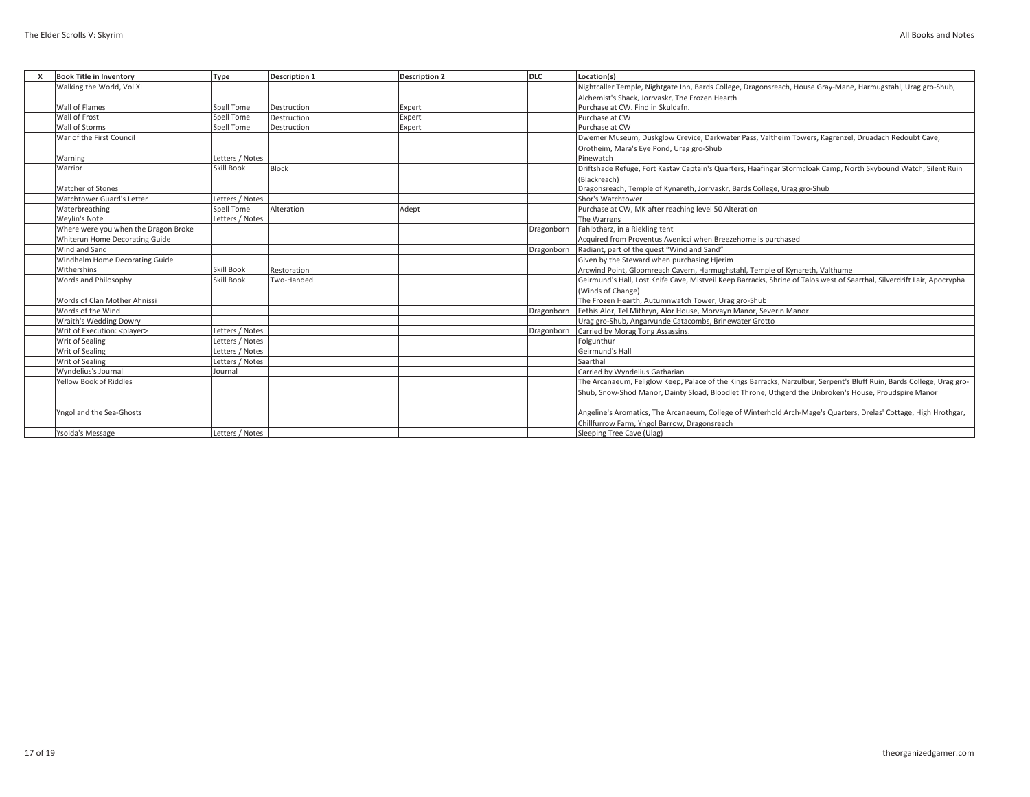| <b>Book Title in Inventory</b>       | Type            | <b>Description 1</b> | <b>Description 2</b> | <b>DLC</b> | Location(s)                                                                                                             |
|--------------------------------------|-----------------|----------------------|----------------------|------------|-------------------------------------------------------------------------------------------------------------------------|
| Walking the World, Vol XI            |                 |                      |                      |            | Nightcaller Temple, Nightgate Inn, Bards College, Dragonsreach, House Gray-Mane, Harmugstahl, Urag gro-Shub,            |
|                                      |                 |                      |                      |            | Alchemist's Shack. Jorrvaskr. The Frozen Hearth                                                                         |
| Wall of Flames                       | Spell Tome      | Destruction          | Expert               |            | Purchase at CW. Find in Skuldafn.                                                                                       |
| Wall of Frost                        | Spell Tome      | Destruction          | Expert               |            | Purchase at CW                                                                                                          |
| Wall of Storms                       | Spell Tome      | Destruction          | Expert               |            | Purchase at CW                                                                                                          |
| War of the First Council             |                 |                      |                      |            | Dwemer Museum, Duskglow Crevice, Darkwater Pass, Valtheim Towers, Kagrenzel, Druadach Redoubt Cave,                     |
|                                      |                 |                      |                      |            | Orotheim, Mara's Eye Pond, Urag gro-Shub                                                                                |
| Warning                              | Letters / Notes |                      |                      |            | Pinewatch                                                                                                               |
| Warrior                              | Skill Book      | Block                |                      |            | Driftshade Refuge, Fort Kastav Captain's Quarters, Haafingar Stormcloak Camp, North Skybound Watch, Silent Ruin         |
|                                      |                 |                      |                      |            | (Blackreach)                                                                                                            |
| Watcher of Stones                    |                 |                      |                      |            | Dragonsreach, Temple of Kynareth, Jorrvaskr, Bards College, Urag gro-Shub                                               |
| Watchtower Guard's Letter            | Letters / Notes |                      |                      |            | Shor's Watchtower                                                                                                       |
| Waterbreathing                       | Spell Tome      | Alteration           | Adept                |            | Purchase at CW, MK after reaching level 50 Alteration                                                                   |
| <b>Wevlin's Note</b>                 | Letters / Notes |                      |                      |            | The Warrens                                                                                                             |
| Where were you when the Dragon Broke |                 |                      |                      | Dragonborn | Fahlbtharz, in a Riekling tent                                                                                          |
| Whiterun Home Decorating Guide       |                 |                      |                      |            | Acquired from Proventus Avenicci when Breezehome is purchased                                                           |
| Wind and Sand                        |                 |                      |                      | Dragonborn | Radiant, part of the quest "Wind and Sand"                                                                              |
| Windhelm Home Decorating Guide       |                 |                      |                      |            | Given by the Steward when purchasing Hjerim                                                                             |
| Withershins                          | Skill Book      | Restoration          |                      |            | Arcwind Point, Gloomreach Cavern, Harmughstahl, Temple of Kynareth, Valthume                                            |
| Words and Philosophy                 | Skill Book      | Two-Handed           |                      |            | Geirmund's Hall, Lost Knife Cave, Mistveil Keep Barracks, Shrine of Talos west of Saarthal, Silverdrift Lair, Apocrypha |
|                                      |                 |                      |                      |            | (Winds of Change)                                                                                                       |
| Words of Clan Mother Ahnissi         |                 |                      |                      |            | The Frozen Hearth, Autumnwatch Tower, Urag gro-Shub                                                                     |
| Words of the Wind                    |                 |                      |                      | Dragonborn | Fethis Alor, Tel Mithryn, Alor House, Morvayn Manor, Severin Manor                                                      |
| Wraith's Wedding Dowry               |                 |                      |                      |            | Urag gro-Shub, Angarvunde Catacombs, Brinewater Grotto                                                                  |
| Writ of Execution: <player></player> | Letters / Notes |                      |                      | Dragonborn | Carried by Morag Tong Assassins.                                                                                        |
| Writ of Sealing                      | Letters / Notes |                      |                      |            | Folgunthur                                                                                                              |
| Writ of Sealing                      | Letters / Notes |                      |                      |            | Geirmund's Hall                                                                                                         |
| Writ of Sealing                      | Letters / Notes |                      |                      |            | Saarthal                                                                                                                |
| Wyndelius's Journal                  | Journal         |                      |                      |            | Carried by Wyndelius Gatharian                                                                                          |
| Yellow Book of Riddles               |                 |                      |                      |            | The Arcanaeum, Fellglow Keep, Palace of the Kings Barracks, Narzulbur, Serpent's Bluff Ruin, Bards College, Urag gro-   |
|                                      |                 |                      |                      |            | Shub, Snow-Shod Manor, Dainty Sload, Bloodlet Throne, Uthgerd the Unbroken's House, Proudspire Manor                    |
| Yngol and the Sea-Ghosts             |                 |                      |                      |            | Angeline's Aromatics, The Arcanaeum, College of Winterhold Arch-Mage's Quarters, Drelas' Cottage, High Hrothgar,        |
|                                      |                 |                      |                      |            | Chillfurrow Farm, Yngol Barrow, Dragonsreach                                                                            |
| Ysolda's Message                     | Letters / Notes |                      |                      |            | Sleeping Tree Cave (Ulag)                                                                                               |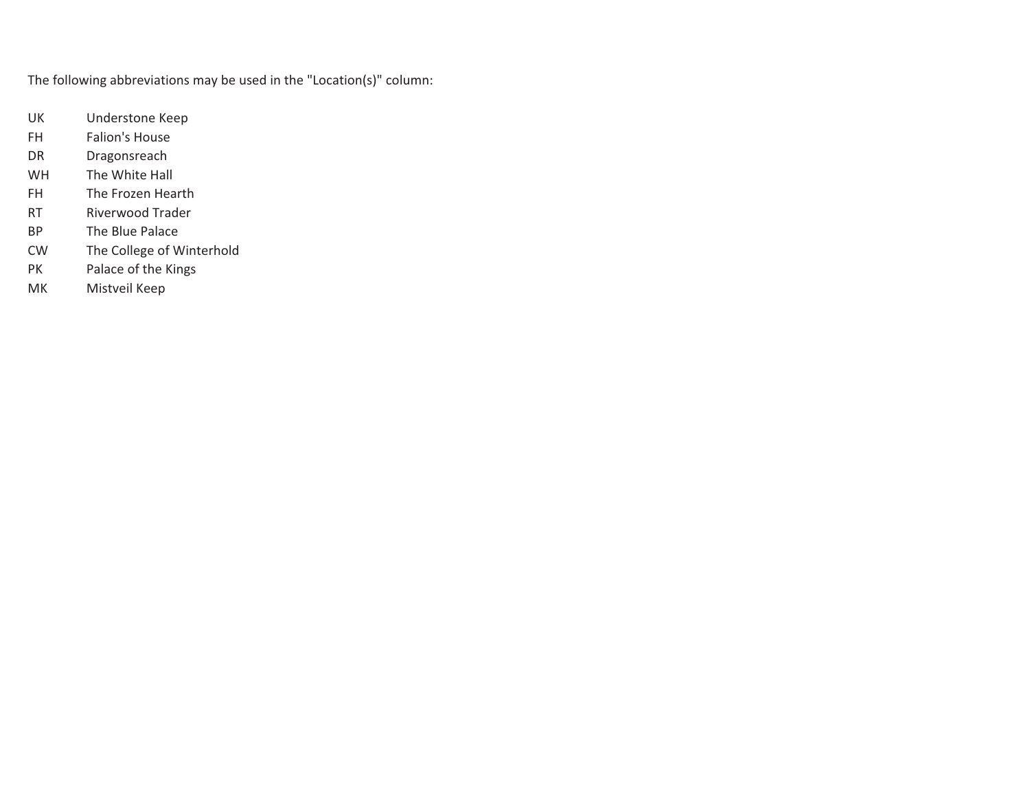The following abbreviations may be used in the "Location(s)" column:

- UK Understone Keep
- FH Falion's House
- DR Dragonsreach
- WH The White Hall
- FH The Frozen Hearth
- RT Riverwood Trader
- BP The Blue Palace
- CW The College of Winterhold
- PK Palace of the Kings
- MK Mistveil Keep